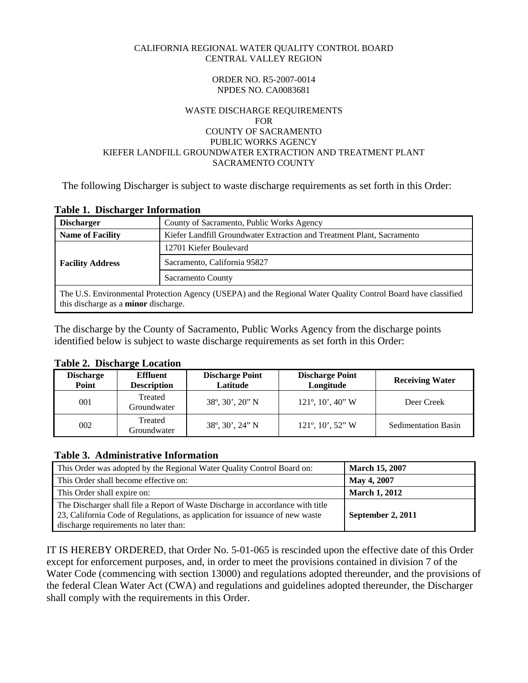#### <span id="page-0-0"></span>CALIFORNIA REGIONAL WATER QUALITY CONTROL BOARD CENTRAL VALLEY REGION

#### ORDER NO. R5-2007-0014 NPDES NO. CA0083681

#### WASTE DISCHARGE REQUIREMENTS FOR COUNTY OF SACRAMENTO PUBLIC WORKS AGENCY KIEFER LANDFILL GROUNDWATER EXTRACTION AND TREATMENT PLANT SACRAMENTO COUNTY

The following Discharger is subject to waste discharge requirements as set forth in this Order:

| Tuble 1, Dischal gel Imformation                                                                                                                             |                                                                        |  |  |
|--------------------------------------------------------------------------------------------------------------------------------------------------------------|------------------------------------------------------------------------|--|--|
| <b>Discharger</b>                                                                                                                                            | County of Sacramento, Public Works Agency                              |  |  |
| <b>Name of Facility</b>                                                                                                                                      | Kiefer Landfill Groundwater Extraction and Treatment Plant, Sacramento |  |  |
|                                                                                                                                                              | 12701 Kiefer Boulevard                                                 |  |  |
| <b>Facility Address</b>                                                                                                                                      | Sacramento, California 95827                                           |  |  |
|                                                                                                                                                              | Sacramento County                                                      |  |  |
| The U.S. Environmental Protection Agency (USEPA) and the Regional Water Quality Control Board have classified<br>this discharge as a <b>minor</b> discharge. |                                                                        |  |  |

# **Table 1. Discharger Information**

The discharge by the County of Sacramento, Public Works Agency from the discharge points identified below is subject to waste discharge requirements as set forth in this Order:

#### **Table 2. Discharge Location**

| <b>Discharge</b><br>Point | <b>Effluent</b><br><b>Description</b> | <b>Discharge Point</b><br>Latitude             | <b>Discharge Point</b><br>Longitude | <b>Receiving Water</b>     |
|---------------------------|---------------------------------------|------------------------------------------------|-------------------------------------|----------------------------|
| 001                       | Treated<br>Groundwater                | $38^{\circ}, 30^{\prime}, 20^{\prime\prime}$ N | $121^\circ, 10^\prime, 40^\prime$ W | Deer Creek                 |
| 002                       | Treated<br>Groundwater                | $38^{\circ}, 30^{\circ}, 24^{\circ}$ N         | $121^\circ, 10^\circ, 52^\circ$ W   | <b>Sedimentation Basin</b> |

# **Table 3. Administrative Information**

| This Order was adopted by the Regional Water Quality Control Board on:                                                                                                                                  | <b>March 15, 2007</b> |
|---------------------------------------------------------------------------------------------------------------------------------------------------------------------------------------------------------|-----------------------|
| This Order shall become effective on:                                                                                                                                                                   | May 4, 2007           |
| This Order shall expire on:                                                                                                                                                                             | <b>March 1, 2012</b>  |
| The Discharger shall file a Report of Waste Discharge in accordance with title<br>23, California Code of Regulations, as application for issuance of new waste<br>discharge requirements no later than: | September 2, 2011     |

IT IS HEREBY ORDERED, that Order No. 5-01-065 is rescinded upon the effective date of this Order except for enforcement purposes, and, in order to meet the provisions contained in division 7 of the Water Code (commencing with section 13000) and regulations adopted thereunder, and the provisions of the federal Clean Water Act (CWA) and regulations and guidelines adopted thereunder, the Discharger shall comply with the requirements in this Order.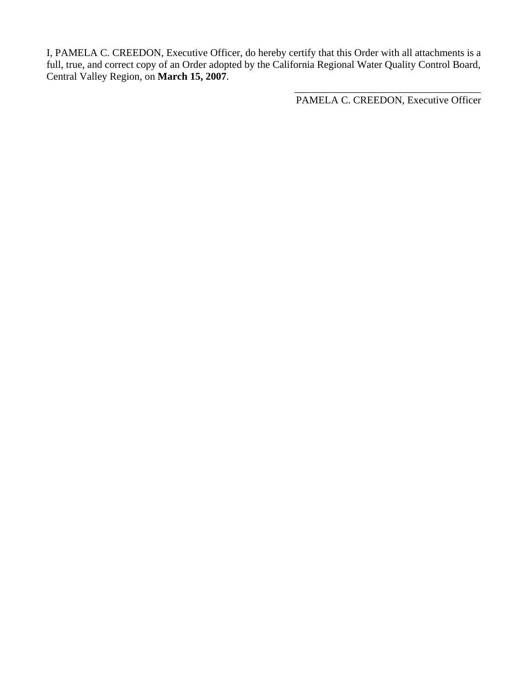I, PAMELA C. CREEDON, Executive Officer, do hereby certify that this Order with all attachments is a full, true, and correct copy of an Order adopted by the California Regional Water Quality Control Board, Central Valley Region, on **March 15, 2007**.

PAMELA C. CREEDON, Executive Officer

 $\frac{1}{\sqrt{2}}$  ,  $\frac{1}{\sqrt{2}}$  ,  $\frac{1}{\sqrt{2}}$  ,  $\frac{1}{\sqrt{2}}$  ,  $\frac{1}{\sqrt{2}}$  ,  $\frac{1}{\sqrt{2}}$  ,  $\frac{1}{\sqrt{2}}$  ,  $\frac{1}{\sqrt{2}}$  ,  $\frac{1}{\sqrt{2}}$  ,  $\frac{1}{\sqrt{2}}$  ,  $\frac{1}{\sqrt{2}}$  ,  $\frac{1}{\sqrt{2}}$  ,  $\frac{1}{\sqrt{2}}$  ,  $\frac{1}{\sqrt{2}}$  ,  $\frac{1}{\sqrt{2}}$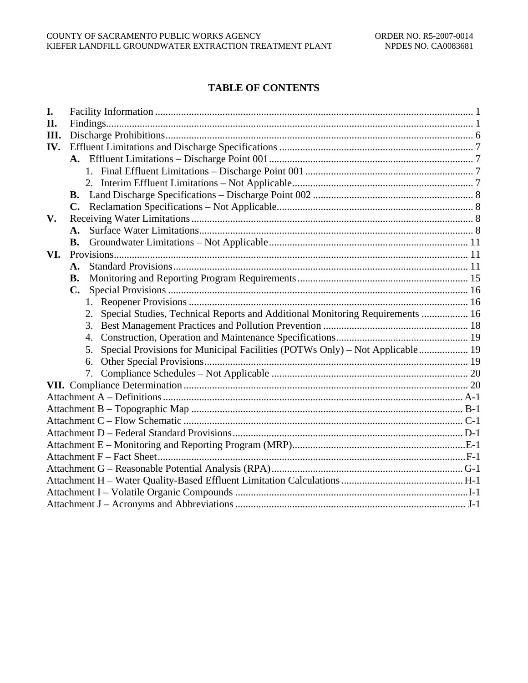# **TABLE OF CONTENTS**

| I.  |                                                                                     |  |
|-----|-------------------------------------------------------------------------------------|--|
| II. |                                                                                     |  |
| Ш.  |                                                                                     |  |
| IV. |                                                                                     |  |
|     |                                                                                     |  |
|     |                                                                                     |  |
|     |                                                                                     |  |
|     | <b>B.</b>                                                                           |  |
|     | $\mathbf{C}$ .                                                                      |  |
| V.  |                                                                                     |  |
|     | A.                                                                                  |  |
|     | В.                                                                                  |  |
| VI. |                                                                                     |  |
|     | $\mathbf{A}$ .                                                                      |  |
|     | <b>B.</b>                                                                           |  |
|     | C.                                                                                  |  |
|     | 1.                                                                                  |  |
|     | Special Studies, Technical Reports and Additional Monitoring Requirements  16<br>2. |  |
|     | 3.                                                                                  |  |
|     | 4.                                                                                  |  |
|     | Special Provisions for Municipal Facilities (POTWs Only) – Not Applicable 19<br>5.  |  |
|     |                                                                                     |  |
|     | 7.                                                                                  |  |
|     |                                                                                     |  |
|     |                                                                                     |  |
|     |                                                                                     |  |
|     |                                                                                     |  |
|     |                                                                                     |  |
|     |                                                                                     |  |
|     |                                                                                     |  |
|     |                                                                                     |  |
|     |                                                                                     |  |
|     |                                                                                     |  |
|     |                                                                                     |  |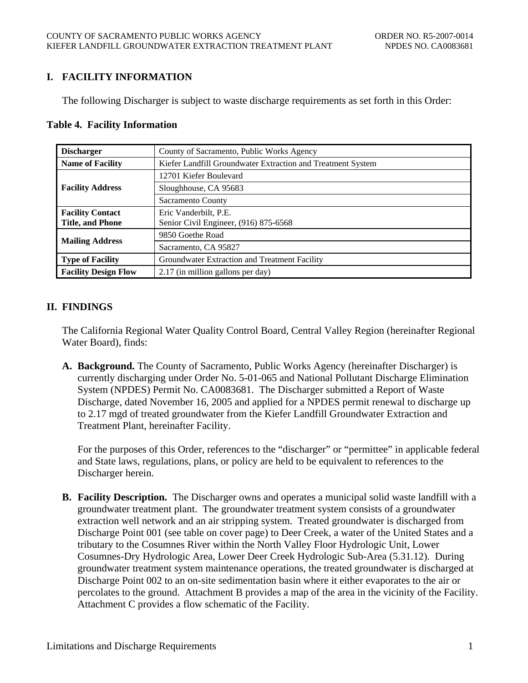# <span id="page-3-0"></span>**I. FACILITY INFORMATION**

The following Discharger is subject to waste discharge requirements as set forth in this Order:

#### **Table 4. Facility Information**

| <b>Discharger</b>           | County of Sacramento, Public Works Agency                   |  |  |
|-----------------------------|-------------------------------------------------------------|--|--|
| <b>Name of Facility</b>     | Kiefer Landfill Groundwater Extraction and Treatment System |  |  |
|                             | 12701 Kiefer Boulevard                                      |  |  |
| <b>Facility Address</b>     | Sloughhouse, CA 95683                                       |  |  |
| Sacramento County           |                                                             |  |  |
| <b>Facility Contact</b>     | Eric Vanderbilt, P.E.                                       |  |  |
| <b>Title, and Phone</b>     | Senior Civil Engineer, (916) 875-6568                       |  |  |
| <b>Mailing Address</b>      | 9850 Goethe Road                                            |  |  |
|                             | Sacramento, CA 95827                                        |  |  |
| <b>Type of Facility</b>     | Groundwater Extraction and Treatment Facility               |  |  |
| <b>Facility Design Flow</b> | 2.17 (in million gallons per day)                           |  |  |

# **II. FINDINGS**

The California Regional Water Quality Control Board, Central Valley Region (hereinafter Regional Water Board), finds:

**A. Background.** The County of Sacramento, Public Works Agency (hereinafter Discharger) is currently discharging under Order No. 5-01-065 and National Pollutant Discharge Elimination System (NPDES) Permit No. CA0083681. The Discharger submitted a Report of Waste Discharge, dated November 16, 2005 and applied for a NPDES permit renewal to discharge up to 2.17 mgd of treated groundwater from the Kiefer Landfill Groundwater Extraction and Treatment Plant, hereinafter Facility.

For the purposes of this Order, references to the "discharger" or "permittee" in applicable federal and State laws, regulations, plans, or policy are held to be equivalent to references to the Discharger herein.

**B. Facility Description.** The Discharger owns and operates a municipal solid waste landfill with a groundwater treatment plant. The groundwater treatment system consists of a groundwater extraction well network and an air stripping system. Treated groundwater is discharged from Discharge Point 001 (see table on cover page) to Deer Creek, a water of the United States and a tributary to the Cosumnes River within the North Valley Floor Hydrologic Unit, Lower Cosumnes-Dry Hydrologic Area, Lower Deer Creek Hydrologic Sub-Area (5.31.12). During groundwater treatment system maintenance operations, the treated groundwater is discharged at Discharge Point 002 to an on-site sedimentation basin where it either evaporates to the air or percolates to the ground. Attachment B provides a map of the area in the vicinity of the Facility. Attachment C provides a flow schematic of the Facility.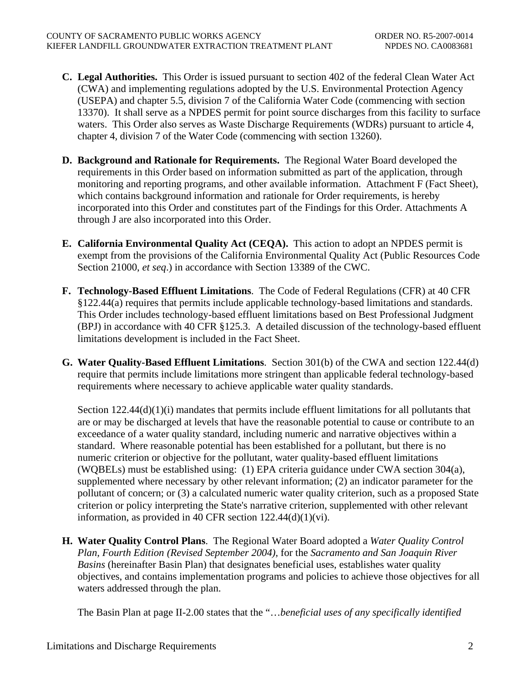- **C. Legal Authorities.** This Order is issued pursuant to section 402 of the federal Clean Water Act (CWA) and implementing regulations adopted by the U.S. Environmental Protection Agency (USEPA) and chapter 5.5, division 7 of the California Water Code (commencing with section 13370). It shall serve as a NPDES permit for point source discharges from this facility to surface waters. This Order also serves as Waste Discharge Requirements (WDRs) pursuant to article 4, chapter 4, division 7 of the Water Code (commencing with section 13260).
- **D. Background and Rationale for Requirements.** The Regional Water Board developed the requirements in this Order based on information submitted as part of the application, through monitoring and reporting programs, and other available information. Attachment F (Fact Sheet), which contains background information and rationale for Order requirements, is hereby incorporated into this Order and constitutes part of the Findings for this Order. Attachments A through J are also incorporated into this Order.
- **E. California Environmental Quality Act (CEQA).** This action to adopt an NPDES permit is exempt from the provisions of the California Environmental Quality Act (Public Resources Code Section 21000, *et seq*.) in accordance with Section 13389 of the CWC.
- **F. Technology-Based Effluent Limitations**. The Code of Federal Regulations (CFR) at 40 CFR §122.44(a) requires that permits include applicable technology-based limitations and standards. This Order includes technology-based effluent limitations based on Best Professional Judgment (BPJ) in accordance with 40 CFR §125.3. A detailed discussion of the technology-based effluent limitations development is included in the Fact Sheet.
- **G. Water Quality-Based Effluent Limitations**. Section 301(b) of the CWA and section 122.44(d) require that permits include limitations more stringent than applicable federal technology-based requirements where necessary to achieve applicable water quality standards.

Section 122.44(d)(1)(i) mandates that permits include effluent limitations for all pollutants that are or may be discharged at levels that have the reasonable potential to cause or contribute to an exceedance of a water quality standard, including numeric and narrative objectives within a standard. Where reasonable potential has been established for a pollutant, but there is no numeric criterion or objective for the pollutant, water quality-based effluent limitations (WQBELs) must be established using: (1) EPA criteria guidance under CWA section 304(a), supplemented where necessary by other relevant information; (2) an indicator parameter for the pollutant of concern; or (3) a calculated numeric water quality criterion, such as a proposed State criterion or policy interpreting the State's narrative criterion, supplemented with other relevant information, as provided in 40 CFR section  $122.44(d)(1)(vi)$ .

**H. Water Quality Control Plans**. The Regional Water Board adopted a *Water Quality Control Plan, Fourth Edition (Revised September 2004),* for the *Sacramento and San Joaquin River Basins* (hereinafter Basin Plan) that designates beneficial uses, establishes water quality objectives, and contains implementation programs and policies to achieve those objectives for all waters addressed through the plan.

The Basin Plan at page II-2.00 states that the "…*beneficial uses of any specifically identified*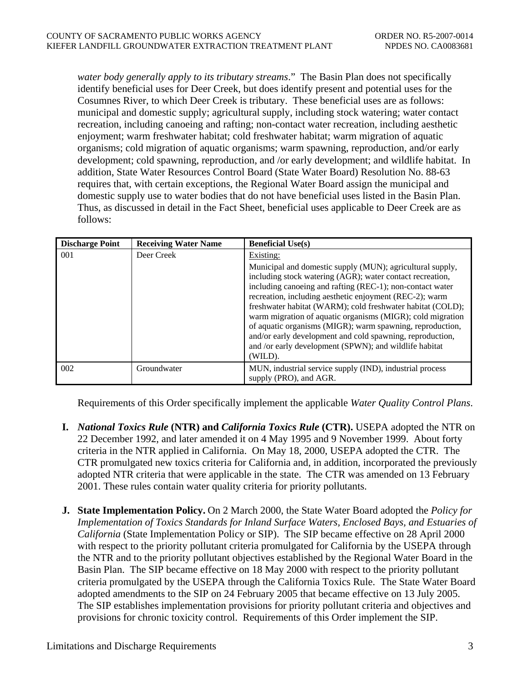*water body generally apply to its tributary streams*." The Basin Plan does not specifically identify beneficial uses for Deer Creek, but does identify present and potential uses for the Cosumnes River, to which Deer Creek is tributary. These beneficial uses are as follows: municipal and domestic supply; agricultural supply, including stock watering; water contact recreation, including canoeing and rafting; non-contact water recreation, including aesthetic enjoyment; warm freshwater habitat; cold freshwater habitat; warm migration of aquatic organisms; cold migration of aquatic organisms; warm spawning, reproduction, and/or early development; cold spawning, reproduction, and /or early development; and wildlife habitat. In addition, State Water Resources Control Board (State Water Board) Resolution No. 88-63 requires that, with certain exceptions, the Regional Water Board assign the municipal and domestic supply use to water bodies that do not have beneficial uses listed in the Basin Plan. Thus, as discussed in detail in the Fact Sheet, beneficial uses applicable to Deer Creek are as follows:

| <b>Discharge Point</b> | <b>Receiving Water Name</b> | <b>Beneficial Use(s)</b>                                                                                                                                                                                                                                                                                                                                                                                                                                                                                                                                                  |
|------------------------|-----------------------------|---------------------------------------------------------------------------------------------------------------------------------------------------------------------------------------------------------------------------------------------------------------------------------------------------------------------------------------------------------------------------------------------------------------------------------------------------------------------------------------------------------------------------------------------------------------------------|
| 001                    | Deer Creek                  | Existing:                                                                                                                                                                                                                                                                                                                                                                                                                                                                                                                                                                 |
|                        |                             | Municipal and domestic supply (MUN); agricultural supply,<br>including stock watering (AGR); water contact recreation,<br>including canoeing and rafting (REC-1); non-contact water<br>recreation, including aesthetic enjoyment (REC-2); warm<br>freshwater habitat (WARM); cold freshwater habitat (COLD);<br>warm migration of aquatic organisms (MIGR); cold migration<br>of aquatic organisms (MIGR); warm spawning, reproduction,<br>and/or early development and cold spawning, reproduction,<br>and /or early development (SPWN); and wildlife habitat<br>(WILD). |
| 002                    | Groundwater                 | MUN, industrial service supply (IND), industrial process<br>supply (PRO), and AGR.                                                                                                                                                                                                                                                                                                                                                                                                                                                                                        |

Requirements of this Order specifically implement the applicable *Water Quality Control Plans*.

- **I.** *National Toxics Rule* **(NTR) and** *California Toxics Rule* **(CTR).** USEPA adopted the NTR on 22 December 1992, and later amended it on 4 May 1995 and 9 November 1999. About forty criteria in the NTR applied in California. On May 18, 2000, USEPA adopted the CTR. The CTR promulgated new toxics criteria for California and, in addition, incorporated the previously adopted NTR criteria that were applicable in the state. The CTR was amended on 13 February 2001. These rules contain water quality criteria for priority pollutants.
- **J. State Implementation Policy.** On 2 March 2000, the State Water Board adopted the *Policy for Implementation of Toxics Standards for Inland Surface Waters, Enclosed Bays, and Estuaries of California* (State Implementation Policy or SIP). The SIP became effective on 28 April 2000 with respect to the priority pollutant criteria promulgated for California by the USEPA through the NTR and to the priority pollutant objectives established by the Regional Water Board in the Basin Plan. The SIP became effective on 18 May 2000 with respect to the priority pollutant criteria promulgated by the USEPA through the California Toxics Rule. The State Water Board adopted amendments to the SIP on 24 February 2005 that became effective on 13 July 2005. The SIP establishes implementation provisions for priority pollutant criteria and objectives and provisions for chronic toxicity control. Requirements of this Order implement the SIP.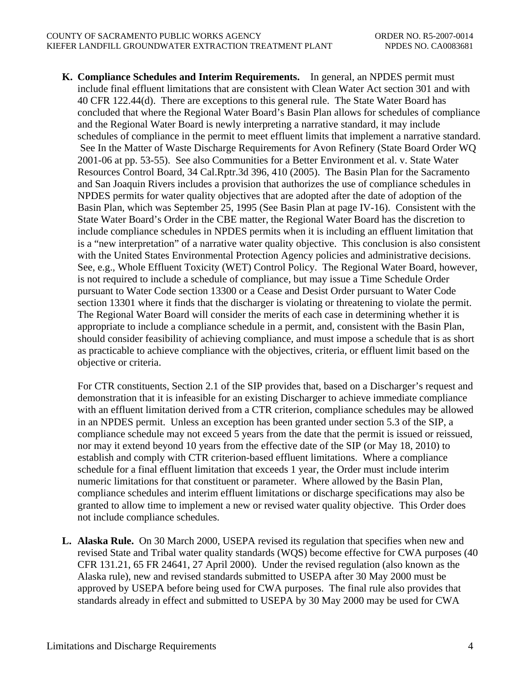**K. Compliance Schedules and Interim Requirements.** In general, an NPDES permit must include final effluent limitations that are consistent with Clean Water Act section 301 and with 40 CFR 122.44(d). There are exceptions to this general rule. The State Water Board has concluded that where the Regional Water Board's Basin Plan allows for schedules of compliance and the Regional Water Board is newly interpreting a narrative standard, it may include schedules of compliance in the permit to meet effluent limits that implement a narrative standard. See In the Matter of Waste Discharge Requirements for Avon Refinery (State Board Order WQ 2001-06 at pp. 53-55). See also Communities for a Better Environment et al. v. State Water Resources Control Board, 34 Cal.Rptr.3d 396, 410 (2005). The Basin Plan for the Sacramento and San Joaquin Rivers includes a provision that authorizes the use of compliance schedules in NPDES permits for water quality objectives that are adopted after the date of adoption of the Basin Plan, which was September 25, 1995 (See Basin Plan at page IV-16). Consistent with the State Water Board's Order in the CBE matter, the Regional Water Board has the discretion to include compliance schedules in NPDES permits when it is including an effluent limitation that is a "new interpretation" of a narrative water quality objective. This conclusion is also consistent with the United States Environmental Protection Agency policies and administrative decisions. See, e.g., Whole Effluent Toxicity (WET) Control Policy. The Regional Water Board, however, is not required to include a schedule of compliance, but may issue a Time Schedule Order pursuant to Water Code section 13300 or a Cease and Desist Order pursuant to Water Code section 13301 where it finds that the discharger is violating or threatening to violate the permit. The Regional Water Board will consider the merits of each case in determining whether it is appropriate to include a compliance schedule in a permit, and, consistent with the Basin Plan, should consider feasibility of achieving compliance, and must impose a schedule that is as short as practicable to achieve compliance with the objectives, criteria, or effluent limit based on the objective or criteria.

For CTR constituents, Section 2.1 of the SIP provides that, based on a Discharger's request and demonstration that it is infeasible for an existing Discharger to achieve immediate compliance with an effluent limitation derived from a CTR criterion, compliance schedules may be allowed in an NPDES permit. Unless an exception has been granted under section 5.3 of the SIP, a compliance schedule may not exceed 5 years from the date that the permit is issued or reissued, nor may it extend beyond 10 years from the effective date of the SIP (or May 18, 2010) to establish and comply with CTR criterion-based effluent limitations. Where a compliance schedule for a final effluent limitation that exceeds 1 year, the Order must include interim numeric limitations for that constituent or parameter. Where allowed by the Basin Plan, compliance schedules and interim effluent limitations or discharge specifications may also be granted to allow time to implement a new or revised water quality objective. This Order does not include compliance schedules.

**L. Alaska Rule.** On 30 March 2000, USEPA revised its regulation that specifies when new and revised State and Tribal water quality standards (WQS) become effective for CWA purposes (40 CFR 131.21, 65 FR 24641, 27 April 2000). Under the revised regulation (also known as the Alaska rule), new and revised standards submitted to USEPA after 30 May 2000 must be approved by USEPA before being used for CWA purposes. The final rule also provides that standards already in effect and submitted to USEPA by 30 May 2000 may be used for CWA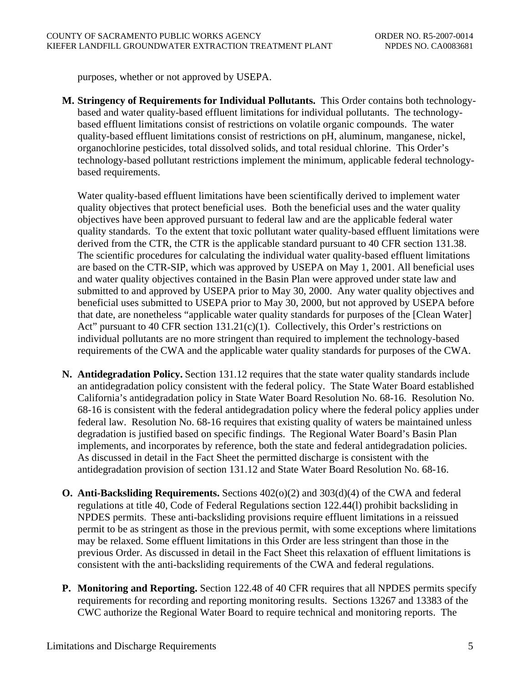purposes, whether or not approved by USEPA.

**M. Stringency of Requirements for Individual Pollutants.** This Order contains both technologybased and water quality-based effluent limitations for individual pollutants. The technologybased effluent limitations consist of restrictions on volatile organic compounds. The water quality-based effluent limitations consist of restrictions on pH, aluminum, manganese, nickel, organochlorine pesticides, total dissolved solids, and total residual chlorine. This Order's technology-based pollutant restrictions implement the minimum, applicable federal technologybased requirements.

Water quality-based effluent limitations have been scientifically derived to implement water quality objectives that protect beneficial uses. Both the beneficial uses and the water quality objectives have been approved pursuant to federal law and are the applicable federal water quality standards. To the extent that toxic pollutant water quality-based effluent limitations were derived from the CTR, the CTR is the applicable standard pursuant to 40 CFR section 131.38. The scientific procedures for calculating the individual water quality-based effluent limitations are based on the CTR-SIP, which was approved by USEPA on May 1, 2001. All beneficial uses and water quality objectives contained in the Basin Plan were approved under state law and submitted to and approved by USEPA prior to May 30, 2000. Any water quality objectives and beneficial uses submitted to USEPA prior to May 30, 2000, but not approved by USEPA before that date, are nonetheless "applicable water quality standards for purposes of the [Clean Water] Act" pursuant to 40 CFR section  $131.21(c)(1)$ . Collectively, this Order's restrictions on individual pollutants are no more stringent than required to implement the technology-based requirements of the CWA and the applicable water quality standards for purposes of the CWA.

- **N. Antidegradation Policy.** Section 131.12 requires that the state water quality standards include an antidegradation policy consistent with the federal policy. The State Water Board established California's antidegradation policy in State Water Board Resolution No. 68-16. Resolution No. 68-16 is consistent with the federal antidegradation policy where the federal policy applies under federal law. Resolution No. 68-16 requires that existing quality of waters be maintained unless degradation is justified based on specific findings. The Regional Water Board's Basin Plan implements, and incorporates by reference, both the state and federal antidegradation policies. As discussed in detail in the Fact Sheet the permitted discharge is consistent with the antidegradation provision of section 131.12 and State Water Board Resolution No. 68-16.
- **O. Anti-Backsliding Requirements.** Sections 402(o)(2) and 303(d)(4) of the CWA and federal regulations at title 40, Code of Federal Regulations section 122.44(l) prohibit backsliding in NPDES permits. These anti-backsliding provisions require effluent limitations in a reissued permit to be as stringent as those in the previous permit, with some exceptions where limitations may be relaxed. Some effluent limitations in this Order are less stringent than those in the previous Order. As discussed in detail in the Fact Sheet this relaxation of effluent limitations is consistent with the anti-backsliding requirements of the CWA and federal regulations.
- **P. Monitoring and Reporting.** Section 122.48 of 40 CFR requires that all NPDES permits specify requirements for recording and reporting monitoring results. Sections 13267 and 13383 of the CWC authorize the Regional Water Board to require technical and monitoring reports. The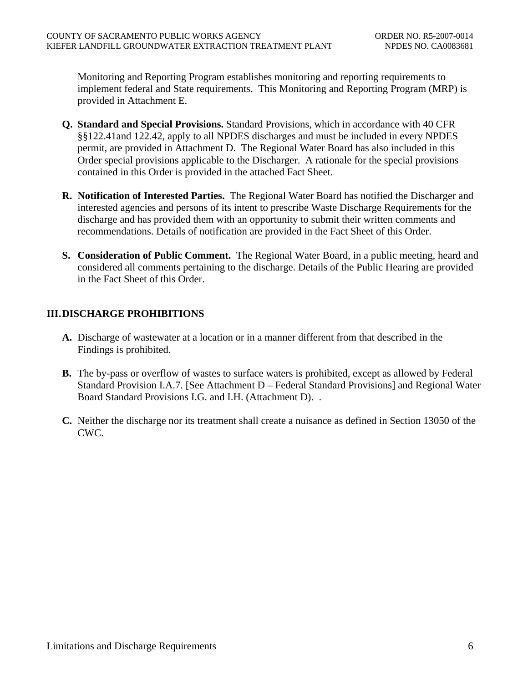<span id="page-8-0"></span>Monitoring and Reporting Program establishes monitoring and reporting requirements to implement federal and State requirements. This Monitoring and Reporting Program (MRP) is provided in Attachment E.

- **Q. Standard and Special Provisions.** Standard Provisions, which in accordance with 40 CFR §§122.41and 122.42, apply to all NPDES discharges and must be included in every NPDES permit, are provided in Attachment D. The Regional Water Board has also included in this Order special provisions applicable to the Discharger. A rationale for the special provisions contained in this Order is provided in the attached Fact Sheet.
- **R. Notification of Interested Parties.** The Regional Water Board has notified the Discharger and interested agencies and persons of its intent to prescribe Waste Discharge Requirements for the discharge and has provided them with an opportunity to submit their written comments and recommendations. Details of notification are provided in the Fact Sheet of this Order.
- **S. Consideration of Public Comment.** The Regional Water Board, in a public meeting, heard and considered all comments pertaining to the discharge. Details of the Public Hearing are provided in the Fact Sheet of this Order.

# **III. DISCHARGE PROHIBITIONS**

- **A.** Discharge of wastewater at a location or in a manner different from that described in the Findings is prohibited.
- **B.** The by-pass or overflow of wastes to surface waters is prohibited, except as allowed by Federal Standard Provision I.A.7. [See Attachment D – Federal Standard Provisions] and Regional Water Board Standard Provisions I.G. and I.H. (Attachment D). .
- **C.** Neither the discharge nor its treatment shall create a nuisance as defined in Section 13050 of the CWC.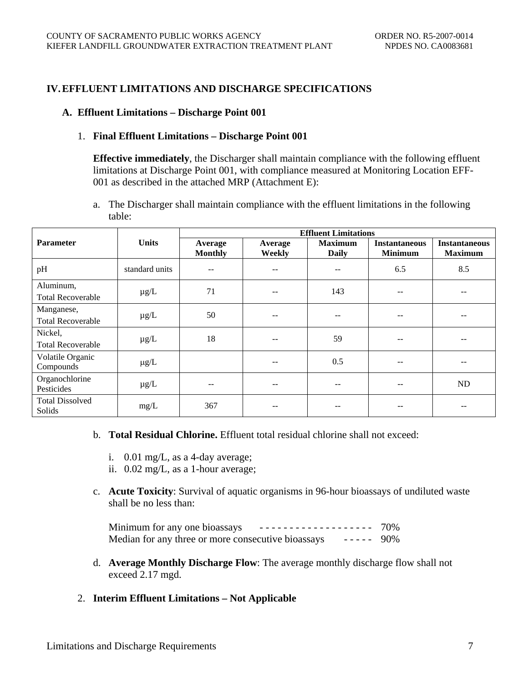### <span id="page-9-0"></span>**IV. EFFLUENT LIMITATIONS AND DISCHARGE SPECIFICATIONS**

#### **A. Effluent Limitations – Discharge Point 001**

#### 1. **Final Effluent Limitations – Discharge Point 001**

**Effective immediately**, the Discharger shall maintain compliance with the following effluent limitations at Discharge Point 001, with compliance measured at Monitoring Location EFF-001 as described in the attached MRP (Attachment E):

a. The Discharger shall maintain compliance with the effluent limitations in the following table:

|                                        |                | <b>Effluent Limitations</b> |                   |                                |                                        |                                        |
|----------------------------------------|----------------|-----------------------------|-------------------|--------------------------------|----------------------------------------|----------------------------------------|
| <b>Parameter</b>                       | <b>Units</b>   | Average<br><b>Monthly</b>   | Average<br>Weekly | <b>Maximum</b><br><b>Daily</b> | <b>Instantaneous</b><br><b>Minimum</b> | <b>Instantaneous</b><br><b>Maximum</b> |
| pH                                     | standard units | --                          | --                | --                             | 6.5                                    | 8.5                                    |
| Aluminum,<br><b>Total Recoverable</b>  | $\mu$ g/L      | 71                          | $- -$             | 143                            |                                        |                                        |
| Manganese,<br><b>Total Recoverable</b> | $\mu$ g/L      | 50                          | $- -$             | $\qquad \qquad -$              | --                                     |                                        |
| Nickel,<br><b>Total Recoverable</b>    | $\mu$ g/L      | 18                          | $- -$             | 59                             | --                                     | $-$                                    |
| Volatile Organic<br>Compounds          | $\mu$ g/L      |                             | $- -$             | 0.5                            | --                                     |                                        |
| Organochlorine<br>Pesticides           | $\mu$ g/L      | --                          | $- -$             | $- -$                          | --                                     | N <sub>D</sub>                         |
| <b>Total Dissolved</b><br>Solids       | mg/L           | 367                         |                   |                                |                                        |                                        |

- b. **Total Residual Chlorine.** Effluent total residual chlorine shall not exceed:
	- i. 0.01 mg/L, as a 4-day average;
	- ii. 0.02 mg/L, as a 1-hour average;
- c. **Acute Toxicity**: Survival of aquatic organisms in 96-hour bioassays of undiluted waste shall be no less than:

Minimum for any one bioassays  $-$  - - - - - - - - - - - - - - - - - 70% Median for any three or more consecutive bioassays ----- 90%

- d. **Average Monthly Discharge Flow**: The average monthly discharge flow shall not exceed 2.17 mgd.
- 2. **Interim Effluent Limitations Not Applicable**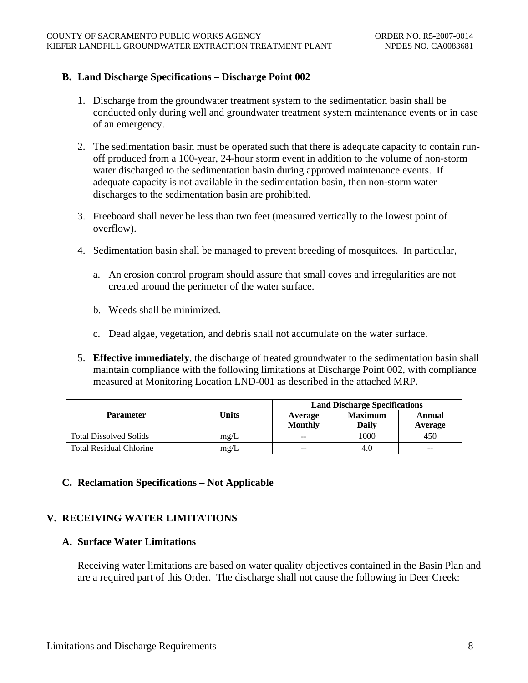## <span id="page-10-0"></span>**B. Land Discharge Specifications – Discharge Point 002**

- 1. Discharge from the groundwater treatment system to the sedimentation basin shall be conducted only during well and groundwater treatment system maintenance events or in case of an emergency.
- 2. The sedimentation basin must be operated such that there is adequate capacity to contain runoff produced from a 100-year, 24-hour storm event in addition to the volume of non-storm water discharged to the sedimentation basin during approved maintenance events. If adequate capacity is not available in the sedimentation basin, then non-storm water discharges to the sedimentation basin are prohibited.
- 3. Freeboard shall never be less than two feet (measured vertically to the lowest point of overflow).
- 4. Sedimentation basin shall be managed to prevent breeding of mosquitoes. In particular,
	- a. An erosion control program should assure that small coves and irregularities are not created around the perimeter of the water surface.
	- b. Weeds shall be minimized.
	- c. Dead algae, vegetation, and debris shall not accumulate on the water surface.
- 5. **Effective immediately**, the discharge of treated groundwater to the sedimentation basin shall maintain compliance with the following limitations at Discharge Point 002, with compliance measured at Monitoring Location LND-001 as described in the attached MRP.

|                                |       | <b>Land Discharge Specifications</b> |                         |                   |  |
|--------------------------------|-------|--------------------------------------|-------------------------|-------------------|--|
| <b>Parameter</b>               | Units | Average<br><b>Monthly</b>            | <b>Maximum</b><br>Daily | Annual<br>Average |  |
| <b>Total Dissolved Solids</b>  | mg/L  | $- -$                                | 1000                    | 450               |  |
| <b>Total Residual Chlorine</b> | mg/L  | $- -$                                | 4.0                     | $-$               |  |

## **C. Reclamation Specifications – Not Applicable**

## **V. RECEIVING WATER LIMITATIONS**

## **A. Surface Water Limitations**

Receiving water limitations are based on water quality objectives contained in the Basin Plan and are a required part of this Order. The discharge shall not cause the following in Deer Creek: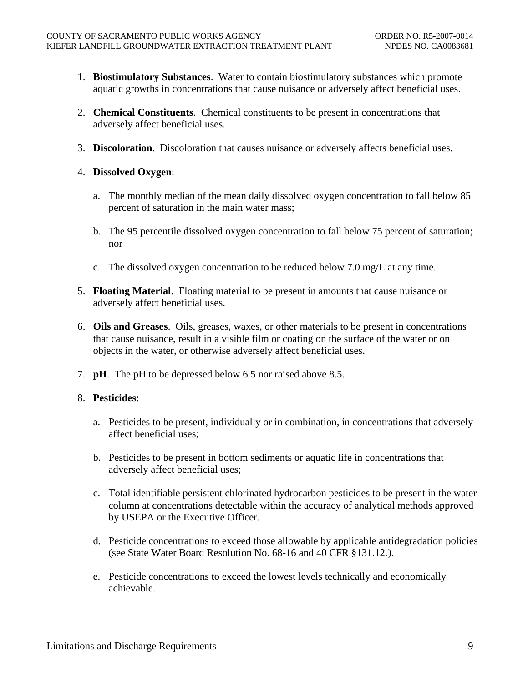- 1. **Biostimulatory Substances**. Water to contain biostimulatory substances which promote aquatic growths in concentrations that cause nuisance or adversely affect beneficial uses.
- 2. **Chemical Constituents**. Chemical constituents to be present in concentrations that adversely affect beneficial uses.
- 3. **Discoloration**. Discoloration that causes nuisance or adversely affects beneficial uses.
- 4. **Dissolved Oxygen**:
	- a. The monthly median of the mean daily dissolved oxygen concentration to fall below 85 percent of saturation in the main water mass;
	- b. The 95 percentile dissolved oxygen concentration to fall below 75 percent of saturation; nor
	- c. The dissolved oxygen concentration to be reduced below 7.0 mg/L at any time.
- 5. **Floating Material**. Floating material to be present in amounts that cause nuisance or adversely affect beneficial uses.
- 6. **Oils and Greases**. Oils, greases, waxes, or other materials to be present in concentrations that cause nuisance, result in a visible film or coating on the surface of the water or on objects in the water, or otherwise adversely affect beneficial uses.
- 7. **pH**. The pH to be depressed below 6.5 nor raised above 8.5.

# 8. **Pesticides**:

- a. Pesticides to be present, individually or in combination, in concentrations that adversely affect beneficial uses;
- b. Pesticides to be present in bottom sediments or aquatic life in concentrations that adversely affect beneficial uses;
- c. Total identifiable persistent chlorinated hydrocarbon pesticides to be present in the water column at concentrations detectable within the accuracy of analytical methods approved by USEPA or the Executive Officer.
- d. Pesticide concentrations to exceed those allowable by applicable antidegradation policies (see State Water Board Resolution No. 68-16 and 40 CFR §131.12. ).
- e. Pesticide concentrations to exceed the lowest levels technically and economically achievable.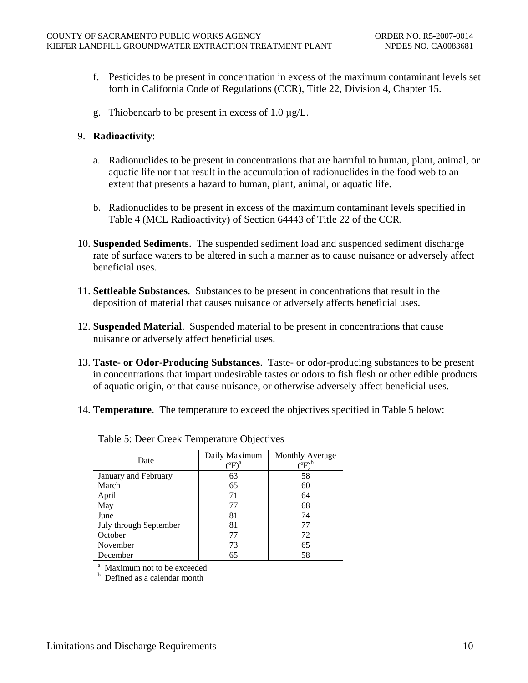- f. Pesticides to be present in concentration in excess of the maximum contaminant levels set forth in California Code of Regulations (CCR), Title 22, Division 4, Chapter 15.
- g. Thiobencarb to be present in excess of 1.0 µg/L.

#### 9. **Radioactivity**:

- a. Radionuclides to be present in concentrations that are harmful to human, plant, animal, or aquatic life nor that result in the accumulation of radionuclides in the food web to an extent that presents a hazard to human, plant, animal, or aquatic life.
- b. Radionuclides to be present in excess of the maximum contaminant levels specified in Table 4 (MCL Radioactivity) of Section 64443 of Title 22 of the CCR.
- 10. **Suspended Sediments**. The suspended sediment load and suspended sediment discharge rate of surface waters to be altered in such a manner as to cause nuisance or adversely affect beneficial uses.
- 11. **Settleable Substances**. Substances to be present in concentrations that result in the deposition of material that causes nuisance or adversely affects beneficial uses.
- 12. **Suspended Material**. Suspended material to be present in concentrations that cause nuisance or adversely affect beneficial uses.
- 13. **Taste- or Odor-Producing Substances**. Taste- or odor-producing substances to be present in concentrations that impart undesirable tastes or odors to fish flesh or other edible products of aquatic origin, or that cause nuisance, or otherwise adversely affect beneficial uses.
- 14. **Temperature**. The temperature to exceed the objectives specified in Table 5 below:

| Date                                    | Daily Maximum<br>$\rm ^{(o}\!F)^a$ | <b>Monthly Average</b><br>$\mathrm{^{\prime o}F)^{b}}$ |  |  |  |
|-----------------------------------------|------------------------------------|--------------------------------------------------------|--|--|--|
| January and February                    | 63                                 | 58                                                     |  |  |  |
| March                                   | 65                                 | 60                                                     |  |  |  |
| April                                   | 71                                 | 64                                                     |  |  |  |
| May                                     | 77                                 | 68                                                     |  |  |  |
| June                                    | 81                                 | 74                                                     |  |  |  |
| July through September                  | 81                                 | 77                                                     |  |  |  |
| October                                 | 77                                 | 72                                                     |  |  |  |
| November                                | 73                                 | 65                                                     |  |  |  |
| December                                | 65                                 | 58                                                     |  |  |  |
| <sup>a</sup> Maximum not to be exceeded |                                    |                                                        |  |  |  |

Table 5: Deer Creek Temperature Objectives

Maximum not to be exceeded

**b** Defined as a calendar month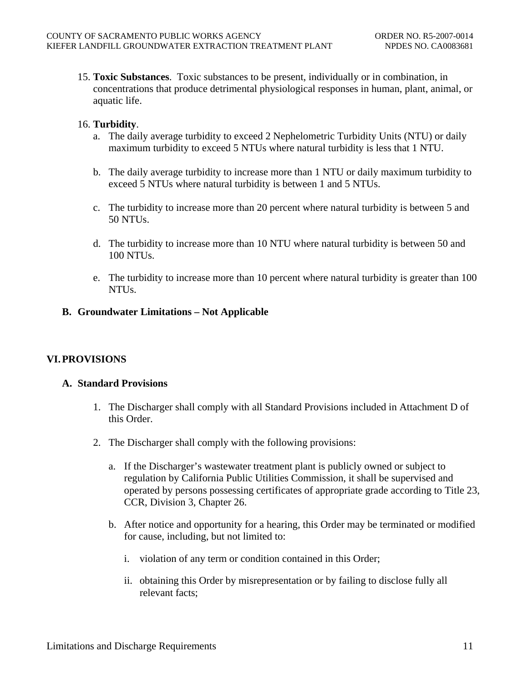<span id="page-13-0"></span>15. **Toxic Substances**. Toxic substances to be present, individually or in combination, in concentrations that produce detrimental physiological responses in human, plant, animal, or aquatic life.

### 16. **Turbidity**.

- a. The daily average turbidity to exceed 2 Nephelometric Turbidity Units (NTU) or daily maximum turbidity to exceed 5 NTUs where natural turbidity is less that 1 NTU.
- b. The daily average turbidity to increase more than 1 NTU or daily maximum turbidity to exceed 5 NTUs where natural turbidity is between 1 and 5 NTUs.
- c. The turbidity to increase more than 20 percent where natural turbidity is between 5 and 50 NTUs.
- d. The turbidity to increase more than 10 NTU where natural turbidity is between 50 and 100 NTUs.
- e. The turbidity to increase more than 10 percent where natural turbidity is greater than 100 NTUs.

#### **B. Groundwater Limitations – Not Applicable**

## **VI. PROVISIONS**

#### **A. Standard Provisions**

- 1. The Discharger shall comply with all Standard Provisions included in Attachment D of this Order.
- 2. The Discharger shall comply with the following provisions:
	- a. If the Discharger's wastewater treatment plant is publicly owned or subject to regulation by California Public Utilities Commission, it shall be supervised and operated by persons possessing certificates of appropriate grade according to Title 23, CCR, Division 3, Chapter 26.
	- b. After notice and opportunity for a hearing, this Order may be terminated or modified for cause, including, but not limited to:
		- i. violation of any term or condition contained in this Order;
		- ii. obtaining this Order by misrepresentation or by failing to disclose fully all relevant facts;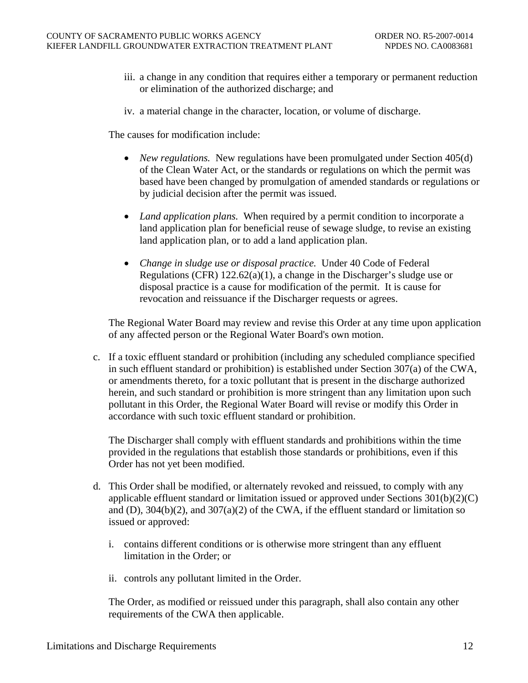- iii. a change in any condition that requires either a temporary or permanent reduction or elimination of the authorized discharge; and
- iv. a material change in the character, location, or volume of discharge.

The causes for modification include:

- *New regulations.* New regulations have been promulgated under Section 405(d) of the Clean Water Act, or the standards or regulations on which the permit was based have been changed by promulgation of amended standards or regulations or by judicial decision after the permit was issued.
- *Land application plans.* When required by a permit condition to incorporate a land application plan for beneficial reuse of sewage sludge, to revise an existing land application plan, or to add a land application plan.
- *Change in sludge use or disposal practice.* Under 40 Code of Federal Regulations (CFR) 122.62(a)(1), a change in the Discharger's sludge use or disposal practice is a cause for modification of the permit. It is cause for revocation and reissuance if the Discharger requests or agrees.

The Regional Water Board may review and revise this Order at any time upon application of any affected person or the Regional Water Board's own motion.

c. If a toxic effluent standard or prohibition (including any scheduled compliance specified in such effluent standard or prohibition) is established under Section 307(a) of the CWA, or amendments thereto, for a toxic pollutant that is present in the discharge authorized herein, and such standard or prohibition is more stringent than any limitation upon such pollutant in this Order, the Regional Water Board will revise or modify this Order in accordance with such toxic effluent standard or prohibition.

The Discharger shall comply with effluent standards and prohibitions within the time provided in the regulations that establish those standards or prohibitions, even if this Order has not yet been modified.

- d. This Order shall be modified, or alternately revoked and reissued, to comply with any applicable effluent standard or limitation issued or approved under Sections 301(b)(2)(C) and (D),  $304(b)(2)$ , and  $307(a)(2)$  of the CWA, if the effluent standard or limitation so issued or approved:
	- i. contains different conditions or is otherwise more stringent than any effluent limitation in the Order; or
	- ii. controls any pollutant limited in the Order.

The Order, as modified or reissued under this paragraph, shall also contain any other requirements of the CWA then applicable.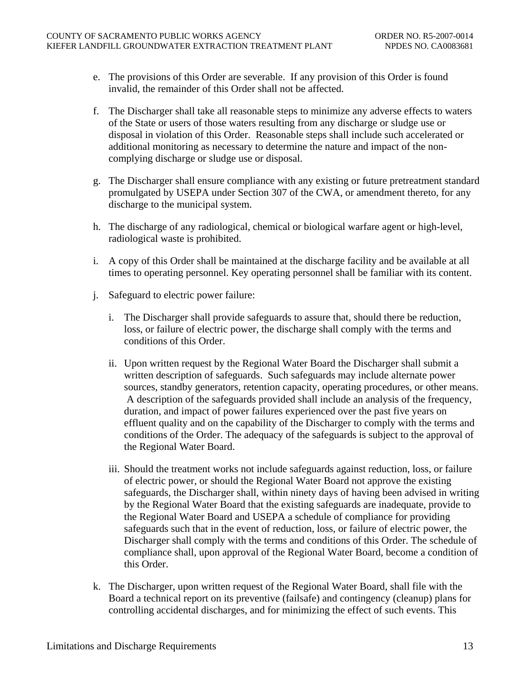- e. The provisions of this Order are severable. If any provision of this Order is found invalid, the remainder of this Order shall not be affected.
- f. The Discharger shall take all reasonable steps to minimize any adverse effects to waters of the State or users of those waters resulting from any discharge or sludge use or disposal in violation of this Order. Reasonable steps shall include such accelerated or additional monitoring as necessary to determine the nature and impact of the noncomplying discharge or sludge use or disposal.
- g. The Discharger shall ensure compliance with any existing or future pretreatment standard promulgated by USEPA under Section 307 of the CWA, or amendment thereto, for any discharge to the municipal system.
- h. The discharge of any radiological, chemical or biological warfare agent or high-level, radiological waste is prohibited.
- i. A copy of this Order shall be maintained at the discharge facility and be available at all times to operating personnel. Key operating personnel shall be familiar with its content.
- j. Safeguard to electric power failure:
	- i. The Discharger shall provide safeguards to assure that, should there be reduction, loss, or failure of electric power, the discharge shall comply with the terms and conditions of this Order.
	- ii. Upon written request by the Regional Water Board the Discharger shall submit a written description of safeguards. Such safeguards may include alternate power sources, standby generators, retention capacity, operating procedures, or other means. A description of the safeguards provided shall include an analysis of the frequency, duration, and impact of power failures experienced over the past five years on effluent quality and on the capability of the Discharger to comply with the terms and conditions of the Order. The adequacy of the safeguards is subject to the approval of the Regional Water Board.
	- iii. Should the treatment works not include safeguards against reduction, loss, or failure of electric power, or should the Regional Water Board not approve the existing safeguards, the Discharger shall, within ninety days of having been advised in writing by the Regional Water Board that the existing safeguards are inadequate, provide to the Regional Water Board and USEPA a schedule of compliance for providing safeguards such that in the event of reduction, loss, or failure of electric power, the Discharger shall comply with the terms and conditions of this Order. The schedule of compliance shall, upon approval of the Regional Water Board, become a condition of this Order.
- k. The Discharger, upon written request of the Regional Water Board, shall file with the Board a technical report on its preventive (failsafe) and contingency (cleanup) plans for controlling accidental discharges, and for minimizing the effect of such events. This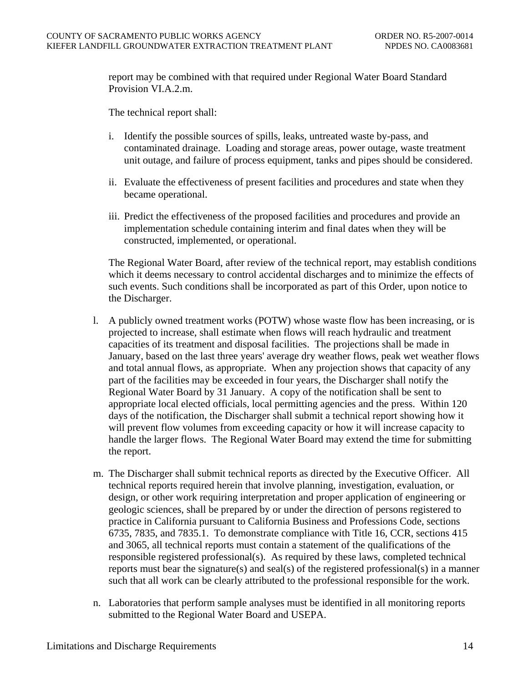report may be combined with that required under Regional Water Board Standard Provision VI.A.2.m.

The technical report shall:

- i. Identify the possible sources of spills, leaks, untreated waste by-pass, and contaminated drainage. Loading and storage areas, power outage, waste treatment unit outage, and failure of process equipment, tanks and pipes should be considered.
- ii. Evaluate the effectiveness of present facilities and procedures and state when they became operational.
- iii. Predict the effectiveness of the proposed facilities and procedures and provide an implementation schedule containing interim and final dates when they will be constructed, implemented, or operational.

The Regional Water Board, after review of the technical report, may establish conditions which it deems necessary to control accidental discharges and to minimize the effects of such events. Such conditions shall be incorporated as part of this Order, upon notice to the Discharger.

- l. A publicly owned treatment works (POTW) whose waste flow has been increasing, or is projected to increase, shall estimate when flows will reach hydraulic and treatment capacities of its treatment and disposal facilities. The projections shall be made in January, based on the last three years' average dry weather flows, peak wet weather flows and total annual flows, as appropriate. When any projection shows that capacity of any part of the facilities may be exceeded in four years, the Discharger shall notify the Regional Water Board by 31 January. A copy of the notification shall be sent to appropriate local elected officials, local permitting agencies and the press. Within 120 days of the notification, the Discharger shall submit a technical report showing how it will prevent flow volumes from exceeding capacity or how it will increase capacity to handle the larger flows. The Regional Water Board may extend the time for submitting the report.
- m. The Discharger shall submit technical reports as directed by the Executive Officer. All technical reports required herein that involve planning, investigation, evaluation, or design, or other work requiring interpretation and proper application of engineering or geologic sciences, shall be prepared by or under the direction of persons registered to practice in California pursuant to California Business and Professions Code, sections 6735, 7835, and 7835.1. To demonstrate compliance with Title 16, CCR, sections 415 and 3065, all technical reports must contain a statement of the qualifications of the responsible registered professional(s). As required by these laws, completed technical reports must bear the signature(s) and seal(s) of the registered professional(s) in a manner such that all work can be clearly attributed to the professional responsible for the work.
- n. Laboratories that perform sample analyses must be identified in all monitoring reports submitted to the Regional Water Board and USEPA.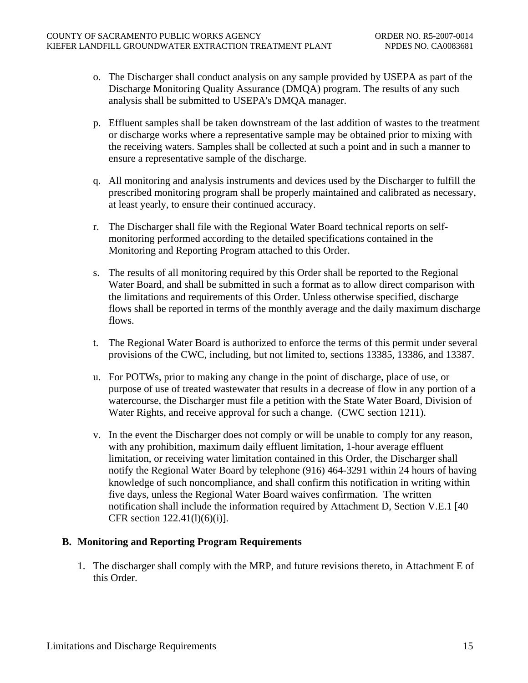- <span id="page-17-0"></span>o. The Discharger shall conduct analysis on any sample provided by USEPA as part of the Discharge Monitoring Quality Assurance (DMQA) program. The results of any such analysis shall be submitted to USEPA's DMQA manager.
- p. Effluent samples shall be taken downstream of the last addition of wastes to the treatment or discharge works where a representative sample may be obtained prior to mixing with the receiving waters. Samples shall be collected at such a point and in such a manner to ensure a representative sample of the discharge.
- q. All monitoring and analysis instruments and devices used by the Discharger to fulfill the prescribed monitoring program shall be properly maintained and calibrated as necessary, at least yearly, to ensure their continued accuracy.
- r. The Discharger shall file with the Regional Water Board technical reports on selfmonitoring performed according to the detailed specifications contained in the Monitoring and Reporting Program attached to this Order.
- s. The results of all monitoring required by this Order shall be reported to the Regional Water Board, and shall be submitted in such a format as to allow direct comparison with the limitations and requirements of this Order. Unless otherwise specified, discharge flows shall be reported in terms of the monthly average and the daily maximum discharge flows.
- t. The Regional Water Board is authorized to enforce the terms of this permit under several provisions of the CWC, including, but not limited to, sections 13385, 13386, and 13387.
- u. For POTWs, prior to making any change in the point of discharge, place of use, or purpose of use of treated wastewater that results in a decrease of flow in any portion of a watercourse, the Discharger must file a petition with the State Water Board, Division of Water Rights, and receive approval for such a change. (CWC section 1211).
- v. In the event the Discharger does not comply or will be unable to comply for any reason, with any prohibition, maximum daily effluent limitation, 1-hour average effluent limitation, or receiving water limitation contained in this Order, the Discharger shall notify the Regional Water Board by telephone (916) 464-3291 within 24 hours of having knowledge of such noncompliance, and shall confirm this notification in writing within five days, unless the Regional Water Board waives confirmation. The written notification shall include the information required by [Attachment D, Section V.E.1](#page-0-0) [40 CFR section 122.41(l)(6)(i)].

## **B. Monitoring and Reporting Program Requirements**

1. The discharger shall comply with the MRP, and future revisions thereto, in Attachment E of this Order.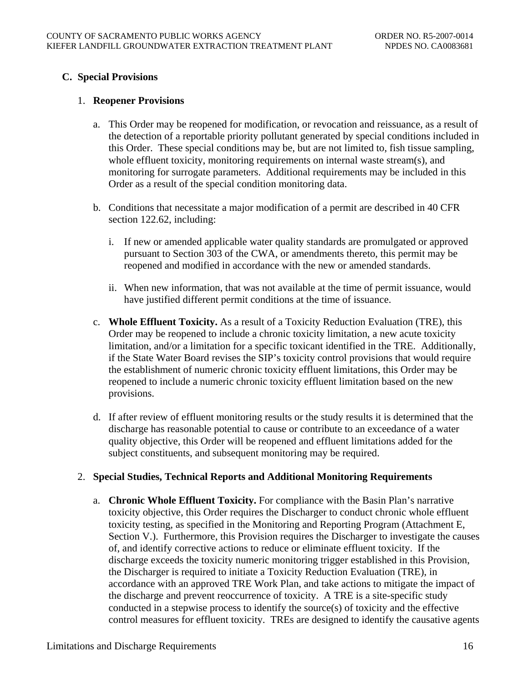# <span id="page-18-0"></span>**C. Special Provisions**

#### 1. **Reopener Provisions**

- a. This Order may be reopened for modification, or revocation and reissuance, as a result of the detection of a reportable priority pollutant generated by special conditions included in this Order. These special conditions may be, but are not limited to, fish tissue sampling, whole effluent toxicity, monitoring requirements on internal waste stream(s), and monitoring for surrogate parameters. Additional requirements may be included in this Order as a result of the special condition monitoring data.
- b. Conditions that necessitate a major modification of a permit are described in 40 CFR section 122.62, including:
	- i. If new or amended applicable water quality standards are promulgated or approved pursuant to Section 303 of the CWA, or amendments thereto, this permit may be reopened and modified in accordance with the new or amended standards.
	- ii. When new information, that was not available at the time of permit issuance, would have justified different permit conditions at the time of issuance.
- c. **Whole Effluent Toxicity.** As a result of a Toxicity Reduction Evaluation (TRE), this Order may be reopened to include a chronic toxicity limitation, a new acute toxicity limitation, and/or a limitation for a specific toxicant identified in the TRE. Additionally, if the State Water Board revises the SIP's toxicity control provisions that would require the establishment of numeric chronic toxicity effluent limitations, this Order may be reopened to include a numeric chronic toxicity effluent limitation based on the new provisions.
- d. If after review of effluent monitoring results or the study results it is determined that the discharge has reasonable potential to cause or contribute to an exceedance of a water quality objective, this Order will be reopened and effluent limitations added for the subject constituents, and subsequent monitoring may be required.

## 2. **Special Studies, Technical Reports and Additional Monitoring Requirements**

a. **Chronic Whole Effluent Toxicity.** For compliance with the Basin Plan's narrative toxicity objective, this Order requires the Discharger to conduct chronic whole effluent toxicity testing, as specified in the Monitoring and Reporting Program (Attachment E, Section V.). Furthermore, this Provision requires the Discharger to investigate the causes of, and identify corrective actions to reduce or eliminate effluent toxicity. If the discharge exceeds the toxicity numeric monitoring trigger established in this Provision, the Discharger is required to initiate a Toxicity Reduction Evaluation (TRE), in accordance with an approved TRE Work Plan, and take actions to mitigate the impact of the discharge and prevent reoccurrence of toxicity. A TRE is a site-specific study conducted in a stepwise process to identify the source(s) of toxicity and the effective control measures for effluent toxicity. TREs are designed to identify the causative agents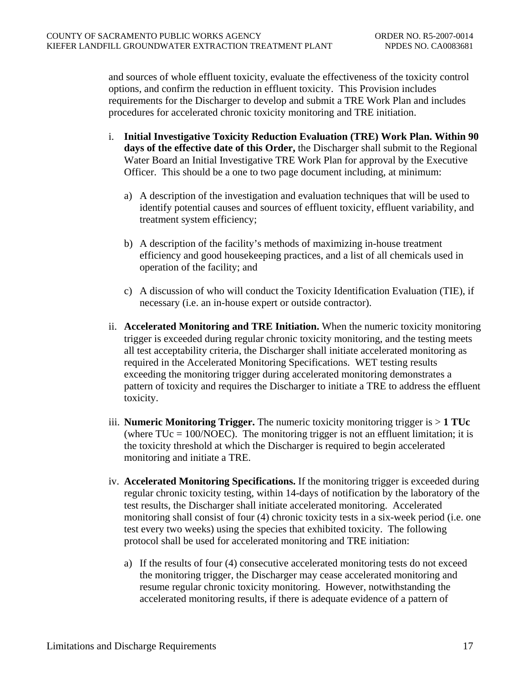and sources of whole effluent toxicity, evaluate the effectiveness of the toxicity control options, and confirm the reduction in effluent toxicity. This Provision includes requirements for the Discharger to develop and submit a TRE Work Plan and includes procedures for accelerated chronic toxicity monitoring and TRE initiation.

- i. **Initial Investigative Toxicity Reduction Evaluation (TRE) Work Plan. Within 90 days of the effective date of this Order,** the Discharger shall submit to the Regional Water Board an Initial Investigative TRE Work Plan for approval by the Executive Officer. This should be a one to two page document including, at minimum:
	- a) A description of the investigation and evaluation techniques that will be used to identify potential causes and sources of effluent toxicity, effluent variability, and treatment system efficiency;
	- b) A description of the facility's methods of maximizing in-house treatment efficiency and good housekeeping practices, and a list of all chemicals used in operation of the facility; and
	- c) A discussion of who will conduct the Toxicity Identification Evaluation (TIE), if necessary (i.e. an in-house expert or outside contractor).
- ii. **Accelerated Monitoring and TRE Initiation.** When the numeric toxicity monitoring trigger is exceeded during regular chronic toxicity monitoring, and the testing meets all test acceptability criteria, the Discharger shall initiate accelerated monitoring as required in the Accelerated Monitoring Specifications. WET testing results exceeding the monitoring trigger during accelerated monitoring demonstrates a pattern of toxicity and requires the Discharger to initiate a TRE to address the effluent toxicity.
- iii. **Numeric Monitoring Trigger.** The numeric toxicity monitoring trigger is > **1 TUc**  (where  $TUC = 100/NOEC$ ). The monitoring trigger is not an effluent limitation; it is the toxicity threshold at which the Discharger is required to begin accelerated monitoring and initiate a TRE.
- iv. **Accelerated Monitoring Specifications.** If the monitoring trigger is exceeded during regular chronic toxicity testing, within 14-days of notification by the laboratory of the test results, the Discharger shall initiate accelerated monitoring. Accelerated monitoring shall consist of four (4) chronic toxicity tests in a six-week period (i.e. one test every two weeks) using the species that exhibited toxicity. The following protocol shall be used for accelerated monitoring and TRE initiation:
	- a) If the results of four (4) consecutive accelerated monitoring tests do not exceed the monitoring trigger, the Discharger may cease accelerated monitoring and resume regular chronic toxicity monitoring. However, notwithstanding the accelerated monitoring results, if there is adequate evidence of a pattern of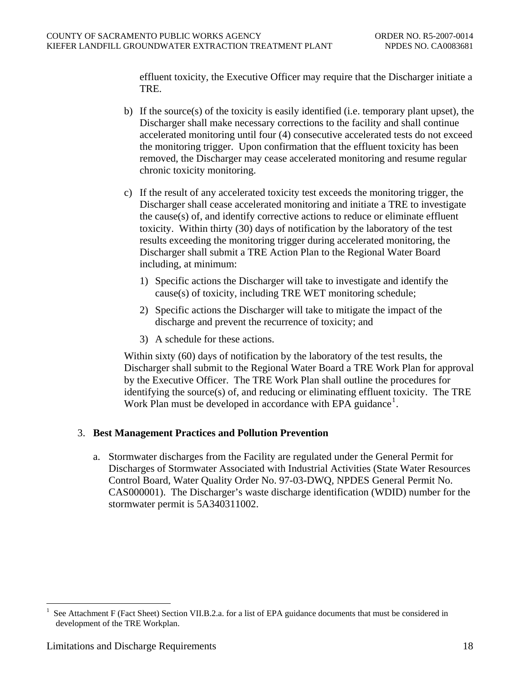<span id="page-20-0"></span>effluent toxicity, the Executive Officer may require that the Discharger initiate a TRE.

- b) If the source(s) of the toxicity is easily identified (i.e. temporary plant upset), the Discharger shall make necessary corrections to the facility and shall continue accelerated monitoring until four (4) consecutive accelerated tests do not exceed the monitoring trigger. Upon confirmation that the effluent toxicity has been removed, the Discharger may cease accelerated monitoring and resume regular chronic toxicity monitoring.
- c) If the result of any accelerated toxicity test exceeds the monitoring trigger, the Discharger shall cease accelerated monitoring and initiate a TRE to investigate the cause(s) of, and identify corrective actions to reduce or eliminate effluent toxicity. Within thirty (30) days of notification by the laboratory of the test results exceeding the monitoring trigger during accelerated monitoring, the Discharger shall submit a TRE Action Plan to the Regional Water Board including, at minimum:
	- 1) Specific actions the Discharger will take to investigate and identify the cause(s) of toxicity, including TRE WET monitoring schedule;
	- 2) Specific actions the Discharger will take to mitigate the impact of the discharge and prevent the recurrence of toxicity; and
	- 3) A schedule for these actions.

Within sixty (60) days of notification by the laboratory of the test results, the Discharger shall submit to the Regional Water Board a TRE Work Plan for approval by the Executive Officer. The TRE Work Plan shall outline the procedures for identifying the source(s) of, and reducing or eliminating effluent toxicity. The TRE Work Plan must be developed in accordance with EPA guidance<sup>[1](#page-20-1)</sup>.

## 3. **Best Management Practices and Pollution Prevention**

a. Stormwater discharges from the Facility are regulated under the General Permit for Discharges of Stormwater Associated with Industrial Activities (State Water Resources Control Board, Water Quality Order No. 97-03-DWQ, NPDES General Permit No. CAS000001). The Discharger's waste discharge identification (WDID) number for the stormwater permit is 5A340311002.

 $\overline{a}$ 

<span id="page-20-1"></span>See Attachment F (Fact Sheet) Section VII.B.2.a. for a list of EPA guidance documents that must be considered in development of the TRE Workplan.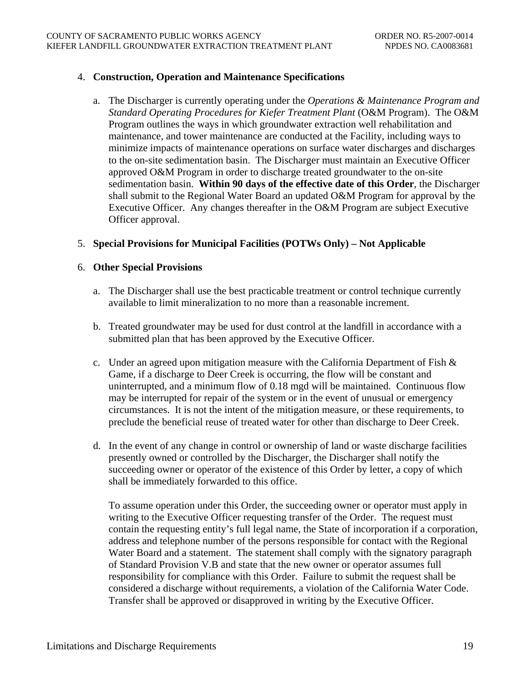## <span id="page-21-0"></span>4. **Construction, Operation and Maintenance Specifications**

a. The Discharger is currently operating under the *Operations & Maintenance Program and Standard Operating Procedures for Kiefer Treatment Plant* (O&M Program). The O&M Program outlines the ways in which groundwater extraction well rehabilitation and maintenance, and tower maintenance are conducted at the Facility, including ways to minimize impacts of maintenance operations on surface water discharges and discharges to the on-site sedimentation basin. The Discharger must maintain an Executive Officer approved O&M Program in order to discharge treated groundwater to the on-site sedimentation basin. **Within 90 days of the effective date of this Order**, the Discharger shall submit to the Regional Water Board an updated O&M Program for approval by the Executive Officer. Any changes thereafter in the O&M Program are subject Executive Officer approval.

## 5. **Special Provisions for Municipal Facilities (POTWs Only) – Not Applicable**

#### 6. **Other Special Provisions**

- a. The Discharger shall use the best practicable treatment or control technique currently available to limit mineralization to no more than a reasonable increment.
- b. Treated groundwater may be used for dust control at the landfill in accordance with a submitted plan that has been approved by the Executive Officer.
- c. Under an agreed upon mitigation measure with the California Department of Fish & Game, if a discharge to Deer Creek is occurring, the flow will be constant and uninterrupted, and a minimum flow of 0.18 mgd will be maintained. Continuous flow may be interrupted for repair of the system or in the event of unusual or emergency circumstances. It is not the intent of the mitigation measure, or these requirements, to preclude the beneficial reuse of treated water for other than discharge to Deer Creek.
- d. In the event of any change in control or ownership of land or waste discharge facilities presently owned or controlled by the Discharger, the Discharger shall notify the succeeding owner or operator of the existence of this Order by letter, a copy of which shall be immediately forwarded to this office.

To assume operation under this Order, the succeeding owner or operator must apply in writing to the Executive Officer requesting transfer of the Order. The request must contain the requesting entity's full legal name, the State of incorporation if a corporation, address and telephone number of the persons responsible for contact with the Regional Water Board and a statement. The statement shall comply with the signatory paragraph of Standard Provision V.B and state that the new owner or operator assumes full responsibility for compliance with this Order. Failure to submit the request shall be considered a discharge without requirements, a violation of the California Water Code. Transfer shall be approved or disapproved in writing by the Executive Officer.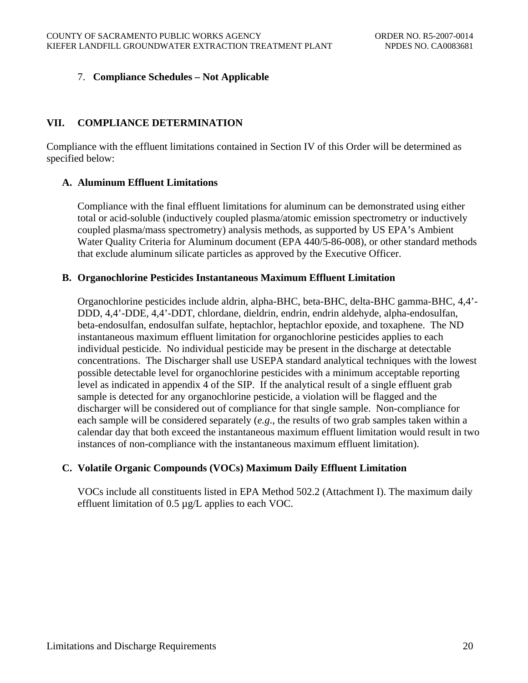# <span id="page-22-0"></span>7. **Compliance Schedules – Not Applicable**

# **VII. COMPLIANCE DETERMINATION**

Compliance with the effluent limitations contained in Section IV of this Order will be determined as specified below:

## **A. Aluminum Effluent Limitations**

Compliance with the final effluent limitations for aluminum can be demonstrated using either total or acid-soluble (inductively coupled plasma/atomic emission spectrometry or inductively coupled plasma/mass spectrometry) analysis methods, as supported by US EPA's Ambient Water Quality Criteria for Aluminum document (EPA 440/5-86-008), or other standard methods that exclude aluminum silicate particles as approved by the Executive Officer.

#### **B. Organochlorine Pesticides Instantaneous Maximum Effluent Limitation**

Organochlorine pesticides include aldrin, alpha-BHC, beta-BHC, delta-BHC gamma-BHC, 4,4'- DDD, 4,4'-DDE, 4,4'-DDT, chlordane, dieldrin, endrin, endrin aldehyde, alpha-endosulfan, beta-endosulfan, endosulfan sulfate, heptachlor, heptachlor epoxide, and toxaphene. The ND instantaneous maximum effluent limitation for organochlorine pesticides applies to each individual pesticide. No individual pesticide may be present in the discharge at detectable concentrations. The Discharger shall use USEPA standard analytical techniques with the lowest possible detectable level for organochlorine pesticides with a minimum acceptable reporting level as indicated in appendix 4 of the SIP. If the analytical result of a single effluent grab sample is detected for any organochlorine pesticide, a violation will be flagged and the discharger will be considered out of compliance for that single sample. Non-compliance for each sample will be considered separately (*e.g*., the results of two grab samples taken within a calendar day that both exceed the instantaneous maximum effluent limitation would result in two instances of non-compliance with the instantaneous maximum effluent limitation).

## **C. Volatile Organic Compounds (VOCs) Maximum Daily Effluent Limitation**

VOCs include all constituents listed in EPA Method 502.2 (Attachment I). The maximum daily effluent limitation of 0.5 µg/L applies to each VOC.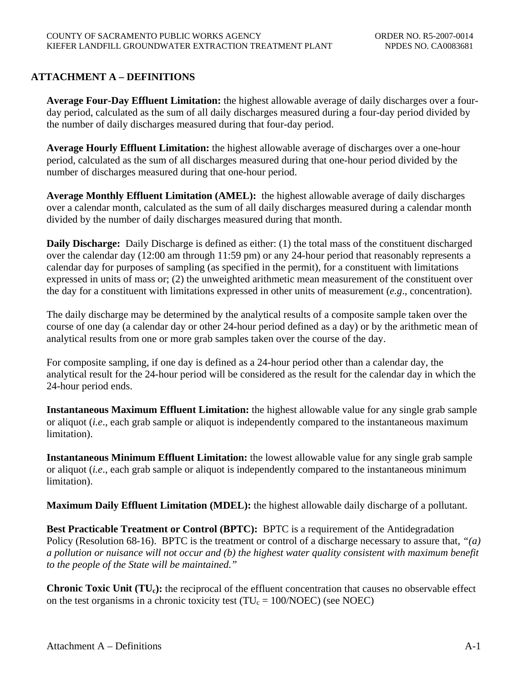# <span id="page-23-0"></span>**ATTACHMENT A – DEFINITIONS**

**Average Four-Day Effluent Limitation:** the highest allowable average of daily discharges over a fourday period, calculated as the sum of all daily discharges measured during a four-day period divided by the number of daily discharges measured during that four-day period.

**Average Hourly Effluent Limitation:** the highest allowable average of discharges over a one-hour period, calculated as the sum of all discharges measured during that one-hour period divided by the number of discharges measured during that one-hour period.

**Average Monthly Effluent Limitation (AMEL):** the highest allowable average of daily discharges over a calendar month, calculated as the sum of all daily discharges measured during a calendar month divided by the number of daily discharges measured during that month.

**Daily Discharge:** Daily Discharge is defined as either: (1) the total mass of the constituent discharged over the calendar day (12:00 am through 11:59 pm) or any 24-hour period that reasonably represents a calendar day for purposes of sampling (as specified in the permit), for a constituent with limitations expressed in units of mass or; (2) the unweighted arithmetic mean measurement of the constituent over the day for a constituent with limitations expressed in other units of measurement (*e.g*., concentration).

The daily discharge may be determined by the analytical results of a composite sample taken over the course of one day (a calendar day or other 24-hour period defined as a day) or by the arithmetic mean of analytical results from one or more grab samples taken over the course of the day.

For composite sampling, if one day is defined as a 24-hour period other than a calendar day, the analytical result for the 24-hour period will be considered as the result for the calendar day in which the 24-hour period ends.

**Instantaneous Maximum Effluent Limitation:** the highest allowable value for any single grab sample or aliquot (*i.e*., each grab sample or aliquot is independently compared to the instantaneous maximum limitation).

**Instantaneous Minimum Effluent Limitation:** the lowest allowable value for any single grab sample or aliquot (*i.e*., each grab sample or aliquot is independently compared to the instantaneous minimum limitation).

**Maximum Daily Effluent Limitation (MDEL):** the highest allowable daily discharge of a pollutant.

**Best Practicable Treatment or Control (BPTC):** BPTC is a requirement of the Antidegradation Policy (Resolution 68-16). BPTC is the treatment or control of a discharge necessary to assure that, *"(a) a pollution or nuisance will not occur and (b) the highest water quality consistent with maximum benefit to the people of the State will be maintained."*

**Chronic Toxic Unit (TU<sub>c</sub>):** the reciprocal of the effluent concentration that causes no observable effect on the test organisms in a chronic toxicity test ( $TU_c = 100/NOEC$ ) (see NOEC)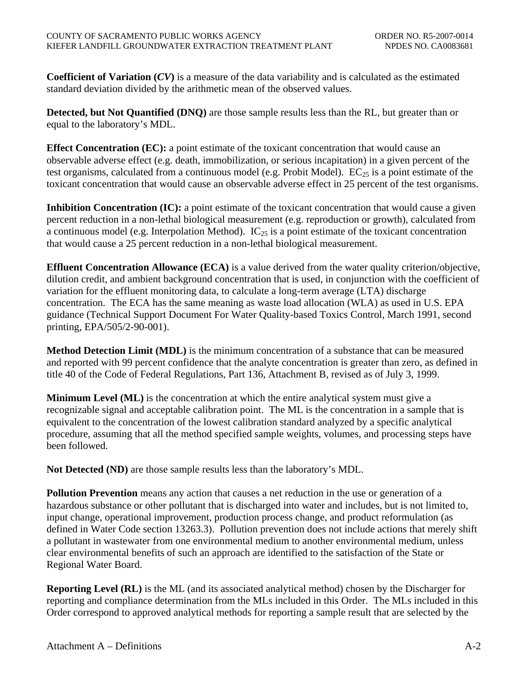**Coefficient of Variation (***CV***)** is a measure of the data variability and is calculated as the estimated standard deviation divided by the arithmetic mean of the observed values.

**Detected, but Not Quantified (DNQ)** are those sample results less than the RL, but greater than or equal to the laboratory's MDL.

**Effect Concentration (EC):** a point estimate of the toxicant concentration that would cause an observable adverse effect (e.g. death, immobilization, or serious incapitation) in a given percent of the test organisms, calculated from a continuous model (e.g. Probit Model).  $EC_{25}$  is a point estimate of the toxicant concentration that would cause an observable adverse effect in 25 percent of the test organisms.

**Inhibition Concentration (IC):** a point estimate of the toxicant concentration that would cause a given percent reduction in a non-lethal biological measurement (e.g. reproduction or growth), calculated from a continuous model (e.g. Interpolation Method).  $IC_{25}$  is a point estimate of the toxicant concentration that would cause a 25 percent reduction in a non-lethal biological measurement.

**Effluent Concentration Allowance (ECA)** is a value derived from the water quality criterion/objective, dilution credit, and ambient background concentration that is used, in conjunction with the coefficient of variation for the effluent monitoring data, to calculate a long-term average (LTA) discharge concentration. The ECA has the same meaning as waste load allocation (WLA) as used in U.S. EPA guidance (Technical Support Document For Water Quality-based Toxics Control, March 1991, second printing, EPA/505/2-90-001).

**Method Detection Limit (MDL)** is the minimum concentration of a substance that can be measured and reported with 99 percent confidence that the analyte concentration is greater than zero, as defined in title 40 of the Code of Federal Regulations, Part 136, Attachment B, revised as of July 3, 1999.

**Minimum Level (ML)** is the concentration at which the entire analytical system must give a recognizable signal and acceptable calibration point. The ML is the concentration in a sample that is equivalent to the concentration of the lowest calibration standard analyzed by a specific analytical procedure, assuming that all the method specified sample weights, volumes, and processing steps have been followed.

**Not Detected (ND)** are those sample results less than the laboratory's MDL.

**Pollution Prevention** means any action that causes a net reduction in the use or generation of a hazardous substance or other pollutant that is discharged into water and includes, but is not limited to, input change, operational improvement, production process change, and product reformulation (as defined in Water Code section 13263.3). Pollution prevention does not include actions that merely shift a pollutant in wastewater from one environmental medium to another environmental medium, unless clear environmental benefits of such an approach are identified to the satisfaction of the State or Regional Water Board.

**Reporting Level (RL)** is the ML (and its associated analytical method) chosen by the Discharger for reporting and compliance determination from the MLs included in this Order. The MLs included in this Order correspond to approved analytical methods for reporting a sample result that are selected by the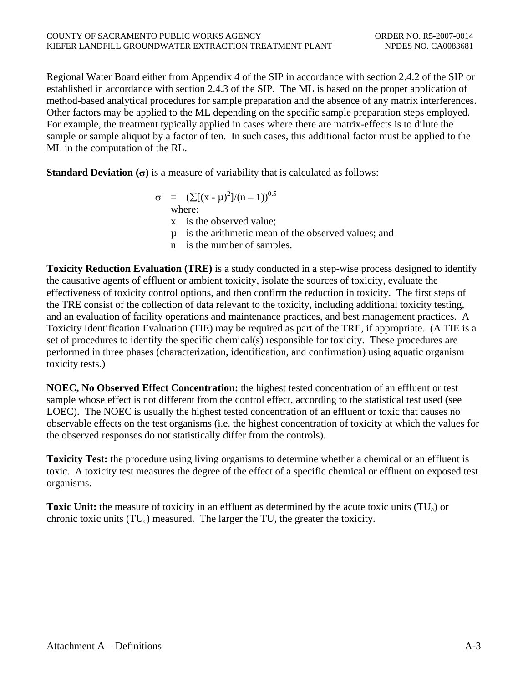Regional Water Board either from Appendix 4 of the SIP in accordance with section 2.4.2 of the SIP or established in accordance with section 2.4.3 of the SIP. The ML is based on the proper application of method-based analytical procedures for sample preparation and the absence of any matrix interferences. Other factors may be applied to the ML depending on the specific sample preparation steps employed. For example, the treatment typically applied in cases where there are matrix-effects is to dilute the sample or sample aliquot by a factor of ten. In such cases, this additional factor must be applied to the ML in the computation of the RL.

**Standard Deviation (**σ**)** is a measure of variability that is calculated as follows:

$$
\sigma = (\sum [(x - \mu)^2]/(n - 1))^{0.5}
$$
  
where:

x is the observed value;

µ is the arithmetic mean of the observed values; and

n is the number of samples.

**Toxicity Reduction Evaluation (TRE)** is a study conducted in a step-wise process designed to identify the causative agents of effluent or ambient toxicity, isolate the sources of toxicity, evaluate the effectiveness of toxicity control options, and then confirm the reduction in toxicity. The first steps of the TRE consist of the collection of data relevant to the toxicity, including additional toxicity testing, and an evaluation of facility operations and maintenance practices, and best management practices. A Toxicity Identification Evaluation (TIE) may be required as part of the TRE, if appropriate. (A TIE is a set of procedures to identify the specific chemical(s) responsible for toxicity. These procedures are performed in three phases (characterization, identification, and confirmation) using aquatic organism toxicity tests.)

**NOEC, No Observed Effect Concentration:** the highest tested concentration of an effluent or test sample whose effect is not different from the control effect, according to the statistical test used (see LOEC). The NOEC is usually the highest tested concentration of an effluent or toxic that causes no observable effects on the test organisms (i.e. the highest concentration of toxicity at which the values for the observed responses do not statistically differ from the controls).

**Toxicity Test:** the procedure using living organisms to determine whether a chemical or an effluent is toxic. A toxicity test measures the degree of the effect of a specific chemical or effluent on exposed test organisms.

**Toxic Unit:** the measure of toxicity in an effluent as determined by the acute toxic units (TU<sub>a</sub>) or chronic toxic units  $(TU_c)$  measured. The larger the TU, the greater the toxicity.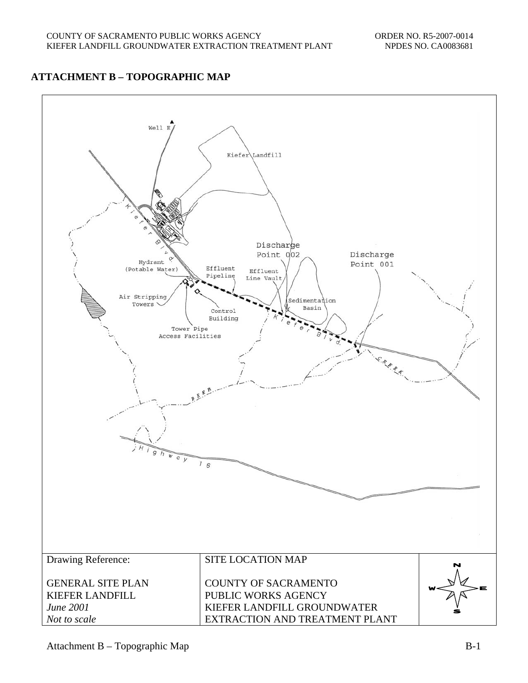# <span id="page-26-0"></span>**ATTACHMENT B – TOPOGRAPHIC MAP**

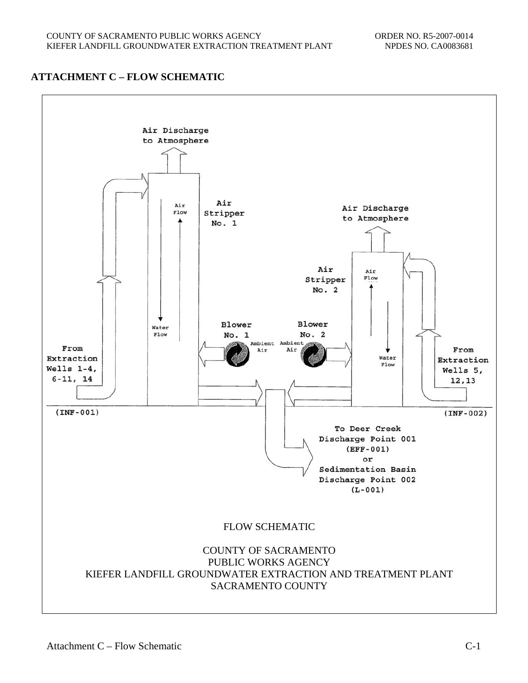# <span id="page-27-0"></span>**ATTACHMENT C – FLOW SCHEMATIC**

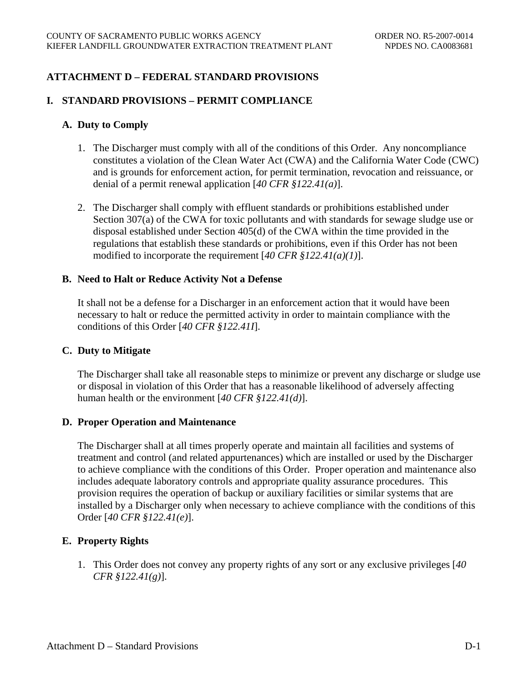# <span id="page-28-0"></span>**ATTACHMENT D – FEDERAL STANDARD PROVISIONS**

## **I. STANDARD PROVISIONS – PERMIT COMPLIANCE**

### **A. Duty to Comply**

- 1. The Discharger must comply with all of the conditions of this Order. Any noncompliance constitutes a violation of the Clean Water Act (CWA) and the California Water Code (CWC) and is grounds for enforcement action, for permit termination, revocation and reissuance, or denial of a permit renewal application [*40 CFR §122.41(a)*].
- 2. The Discharger shall comply with effluent standards or prohibitions established under Section 307(a) of the CWA for toxic pollutants and with standards for sewage sludge use or disposal established under Section 405(d) of the CWA within the time provided in the regulations that establish these standards or prohibitions, even if this Order has not been modified to incorporate the requirement [*40 CFR §122.41(a)(1)*].

#### **B. Need to Halt or Reduce Activity Not a Defense**

It shall not be a defense for a Discharger in an enforcement action that it would have been necessary to halt or reduce the permitted activity in order to maintain compliance with the conditions of this Order [*40 CFR §122.41I*].

## **C. Duty to Mitigate**

The Discharger shall take all reasonable steps to minimize or prevent any discharge or sludge use or disposal in violation of this Order that has a reasonable likelihood of adversely affecting human health or the environment [*40 CFR §122.41(d)*].

## **D. Proper Operation and Maintenance**

The Discharger shall at all times properly operate and maintain all facilities and systems of treatment and control (and related appurtenances) which are installed or used by the Discharger to achieve compliance with the conditions of this Order. Proper operation and maintenance also includes adequate laboratory controls and appropriate quality assurance procedures. This provision requires the operation of backup or auxiliary facilities or similar systems that are installed by a Discharger only when necessary to achieve compliance with the conditions of this Order [*40 CFR §122.41(e)*].

## **E. Property Rights**

1. This Order does not convey any property rights of any sort or any exclusive privileges [*40 CFR §122.41(g)*].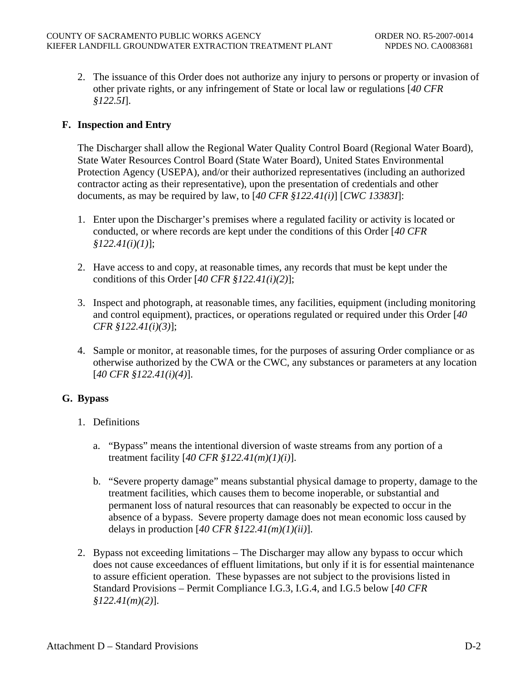2. The issuance of this Order does not authorize any injury to persons or property or invasion of other private rights, or any infringement of State or local law or regulations [*40 CFR §122.5I*].

# **F. Inspection and Entry**

The Discharger shall allow the Regional Water Quality Control Board (Regional Water Board), State Water Resources Control Board (State Water Board), United States Environmental Protection Agency (USEPA), and/or their authorized representatives (including an authorized contractor acting as their representative), upon the presentation of credentials and other documents, as may be required by law, to [*40 CFR §122.41(i)*] [*CWC 13383I*]:

- 1. Enter upon the Discharger's premises where a regulated facility or activity is located or conducted, or where records are kept under the conditions of this Order [*40 CFR §122.41(i)(1)*];
- 2. Have access to and copy, at reasonable times, any records that must be kept under the conditions of this Order [*40 CFR §122.41(i)(2)*];
- 3. Inspect and photograph, at reasonable times, any facilities, equipment (including monitoring and control equipment), practices, or operations regulated or required under this Order [*40 CFR §122.41(i)(3)*];
- 4. Sample or monitor, at reasonable times, for the purposes of assuring Order compliance or as otherwise authorized by the CWA or the CWC, any substances or parameters at any location [*40 CFR §122.41(i)(4)*].

## **G. Bypass**

- 1. Definitions
	- a. "Bypass" means the intentional diversion of waste streams from any portion of a treatment facility [*40 CFR §122.41(m)(1)(i)*].
	- b. "Severe property damage" means substantial physical damage to property, damage to the treatment facilities, which causes them to become inoperable, or substantial and permanent loss of natural resources that can reasonably be expected to occur in the absence of a bypass. Severe property damage does not mean economic loss caused by delays in production [*40 CFR §122.41(m)(1)(ii)*].
- 2. Bypass not exceeding limitations The Discharger may allow any bypass to occur which does not cause exceedances of effluent limitations, but only if it is for essential maintenance to assure efficient operation. These bypasses are not subject to the provisions listed in Standard Provisions – Permit Compliance I.G.3, I.G.4, and I.G.5 below [*40 CFR §122.41(m)(2)*].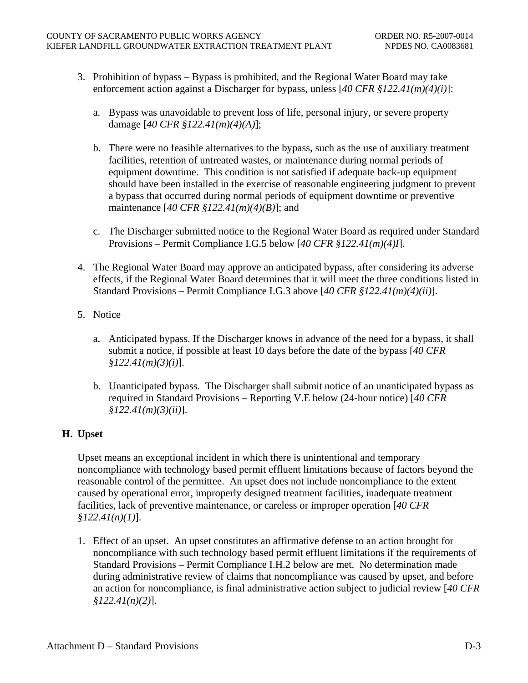- 3. Prohibition of bypass Bypass is prohibited, and the Regional Water Board may take enforcement action against a Discharger for bypass, unless [*40 CFR §122.41(m)(4)(i)*]:
	- a. Bypass was unavoidable to prevent loss of life, personal injury, or severe property damage [*40 CFR §122.41(m)(4)(A)*];
	- b. There were no feasible alternatives to the bypass, such as the use of auxiliary treatment facilities, retention of untreated wastes, or maintenance during normal periods of equipment downtime. This condition is not satisfied if adequate back-up equipment should have been installed in the exercise of reasonable engineering judgment to prevent a bypass that occurred during normal periods of equipment downtime or preventive maintenance [*40 CFR §122.41(m)(4)(B)*]; and
	- c. The Discharger submitted notice to the Regional Water Board as required under Standard Provisions – Permit Compliance I.G.5 below [*40 CFR §122.41(m)(4)I*].
- 4. The Regional Water Board may approve an anticipated bypass, after considering its adverse effects, if the Regional Water Board determines that it will meet the three conditions listed in Standard Provisions – Permit Compliance I.G.3 above [*40 CFR §122.41(m)(4)(ii)*].
- 5. Notice
	- a. Anticipated bypass. If the Discharger knows in advance of the need for a bypass, it shall submit a notice, if possible at least 10 days before the date of the bypass [*40 CFR §122.41(m)(3)(i)*].
	- b. Unanticipated bypass. The Discharger shall submit notice of an unanticipated bypass as required in Standard Provisions – Reporting V.E below (24-hour notice) [*40 CFR §122.41(m)(3)(ii)*].

# **H. Upset**

Upset means an exceptional incident in which there is unintentional and temporary noncompliance with technology based permit effluent limitations because of factors beyond the reasonable control of the permittee. An upset does not include noncompliance to the extent caused by operational error, improperly designed treatment facilities, inadequate treatment facilities, lack of preventive maintenance, or careless or improper operation [*40 CFR §122.41(n)(1)*].

1. Effect of an upset. An upset constitutes an affirmative defense to an action brought for noncompliance with such technology based permit effluent limitations if the requirements of Standard Provisions – Permit Compliance I.H.2 below are met. No determination made during administrative review of claims that noncompliance was caused by upset, and before an action for noncompliance, is final administrative action subject to judicial review [*40 CFR §122.41(n)(2)*].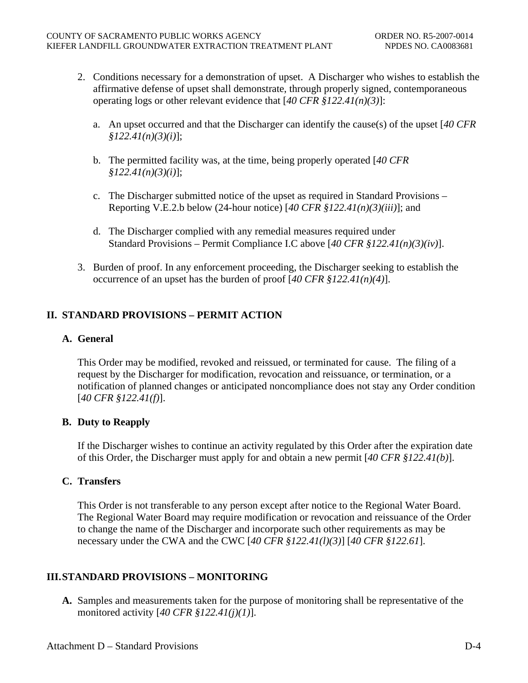- 2. Conditions necessary for a demonstration of upset. A Discharger who wishes to establish the affirmative defense of upset shall demonstrate, through properly signed, contemporaneous operating logs or other relevant evidence that [*40 CFR §122.41(n)(3)*]:
	- a. An upset occurred and that the Discharger can identify the cause(s) of the upset [*40 CFR §122.41(n)(3)(i)*];
	- b. The permitted facility was, at the time, being properly operated [*40 CFR §122.41(n)(3)(i)*];
	- c. The Discharger submitted notice of the upset as required in Standard Provisions Reporting V.E.2.b below (24-hour notice) [*40 CFR §122.41(n)(3)(iii)*]; and
	- d. The Discharger complied with any remedial measures required under Standard Provisions – Permit Compliance I.C above [*40 CFR §122.41(n)(3)(iv)*].
- 3. Burden of proof. In any enforcement proceeding, the Discharger seeking to establish the occurrence of an upset has the burden of proof [*40 CFR §122.41(n)(4)*].

# **II. STANDARD PROVISIONS – PERMIT ACTION**

# **A. General**

This Order may be modified, revoked and reissued, or terminated for cause. The filing of a request by the Discharger for modification, revocation and reissuance, or termination, or a notification of planned changes or anticipated noncompliance does not stay any Order condition [*40 CFR §122.41(f)*].

# **B. Duty to Reapply**

If the Discharger wishes to continue an activity regulated by this Order after the expiration date of this Order, the Discharger must apply for and obtain a new permit [*40 CFR §122.41(b)*].

# **C. Transfers**

This Order is not transferable to any person except after notice to the Regional Water Board. The Regional Water Board may require modification or revocation and reissuance of the Order to change the name of the Discharger and incorporate such other requirements as may be necessary under the CWA and the CWC [*40 CFR §122.41(l)(3)*] [*40 CFR §122.61*].

# **III. STANDARD PROVISIONS – MONITORING**

**A.** Samples and measurements taken for the purpose of monitoring shall be representative of the monitored activity [*40 CFR §122.41(j)(1)*].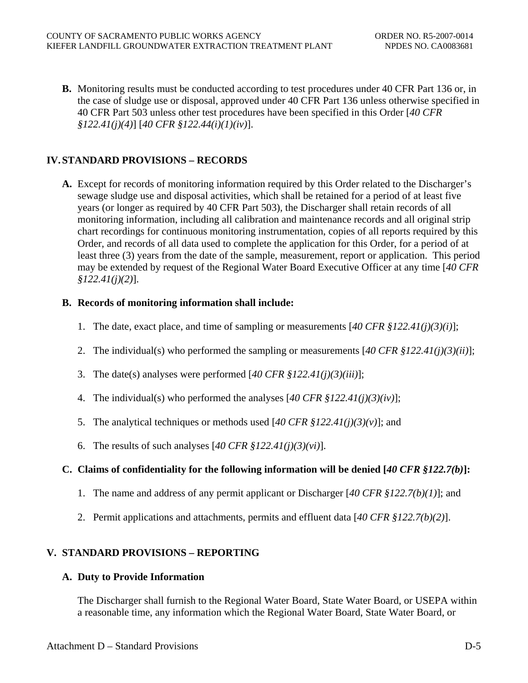**B.** Monitoring results must be conducted according to test procedures under 40 CFR Part 136 or, in the case of sludge use or disposal, approved under 40 CFR Part 136 unless otherwise specified in 40 CFR Part 503 unless other test procedures have been specified in this Order [*40 CFR §122.41(j)(4)*] [*40 CFR §122.44(i)(1)(iv)*].

# **IV. STANDARD PROVISIONS – RECORDS**

**A.** Except for records of monitoring information required by this Order related to the Discharger's sewage sludge use and disposal activities, which shall be retained for a period of at least five years (or longer as required by 40 CFR Part 503), the Discharger shall retain records of all monitoring information, including all calibration and maintenance records and all original strip chart recordings for continuous monitoring instrumentation, copies of all reports required by this Order, and records of all data used to complete the application for this Order, for a period of at least three (3) years from the date of the sample, measurement, report or application. This period may be extended by request of the Regional Water Board Executive Officer at any time [*40 CFR §122.41(j)(2)*].

# **B. Records of monitoring information shall include:**

- 1. The date, exact place, and time of sampling or measurements [*40 CFR §122.41(j)(3)(i)*];
- 2. The individual(s) who performed the sampling or measurements [*40 CFR §122.41(j)(3)(ii)*];
- 3. The date(s) analyses were performed [*40 CFR §122.41(j)(3)(iii)*];
- 4. The individual(s) who performed the analyses [*40 CFR §122.41(j)(3)(iv)*];
- 5. The analytical techniques or methods used [*40 CFR §122.41(j)(3)(v)*]; and
- 6. The results of such analyses [*40 CFR §122.41(j)(3)(vi)*].

# **C. Claims of confidentiality for the following information will be denied [***40 CFR §122.7(b)***]:**

- 1. The name and address of any permit applicant or Discharger [*40 CFR §122.7(b)(1)*]; and
- 2. Permit applications and attachments, permits and effluent data [*40 CFR §122.7(b)(2)*].

# **V. STANDARD PROVISIONS – REPORTING**

## **A. Duty to Provide Information**

The Discharger shall furnish to the Regional Water Board, State Water Board, or USEPA within a reasonable time, any information which the Regional Water Board, State Water Board, or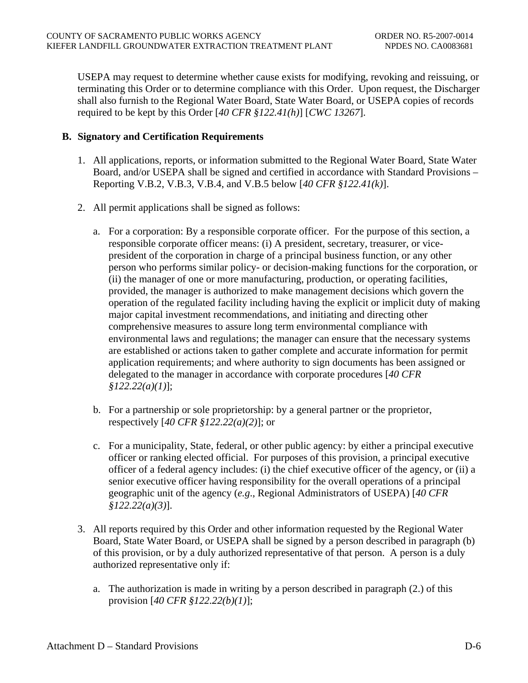USEPA may request to determine whether cause exists for modifying, revoking and reissuing, or terminating this Order or to determine compliance with this Order. Upon request, the Discharger shall also furnish to the Regional Water Board, State Water Board, or USEPA copies of records required to be kept by this Order [*40 CFR §122.41(h)*] [*CWC 13267*].

## **B. Signatory and Certification Requirements**

- 1. All applications, reports, or information submitted to the Regional Water Board, State Water Board, and/or USEPA shall be signed and certified in accordance with Standard Provisions – Reporting [V.B.2,](#page-33-0) [V.B.3](#page-33-1), [V.B.4,](#page-34-0) and [V.B.5](#page-34-1) below [*40 CFR §122.41(k)*].
- <span id="page-33-0"></span>2. All permit applications shall be signed as follows:
	- a. For a corporation: By a responsible corporate officer. For the purpose of this section, a responsible corporate officer means: (i) A president, secretary, treasurer, or vicepresident of the corporation in charge of a principal business function, or any other person who performs similar policy- or decision-making functions for the corporation, or (ii) the manager of one or more manufacturing, production, or operating facilities, provided, the manager is authorized to make management decisions which govern the operation of the regulated facility including having the explicit or implicit duty of making major capital investment recommendations, and initiating and directing other comprehensive measures to assure long term environmental compliance with environmental laws and regulations; the manager can ensure that the necessary systems are established or actions taken to gather complete and accurate information for permit application requirements; and where authority to sign documents has been assigned or delegated to the manager in accordance with corporate procedures [*40 CFR §122.22(a)(1)*];
	- b. For a partnership or sole proprietorship: by a general partner or the proprietor, respectively [*40 CFR §122.22(a)(2)*]; or
	- c. For a municipality, State, federal, or other public agency: by either a principal executive officer or ranking elected official. For purposes of this provision, a principal executive officer of a federal agency includes: (i) the chief executive officer of the agency, or (ii) a senior executive officer having responsibility for the overall operations of a principal geographic unit of the agency (*e.g*., Regional Administrators of USEPA) [*40 CFR §122.22(a)(3)*].
- <span id="page-33-1"></span>3. All reports required by this Order and other information requested by the Regional Water Board, State Water Board, or USEPA shall be signed by a person described in paragraph (b) of this provision, or by a duly authorized representative of that person. A person is a duly authorized representative only if:
	- a. The authorization is made in writing by a person described in paragraph (2.) of this provision [*40 CFR §122.22(b)(1)*];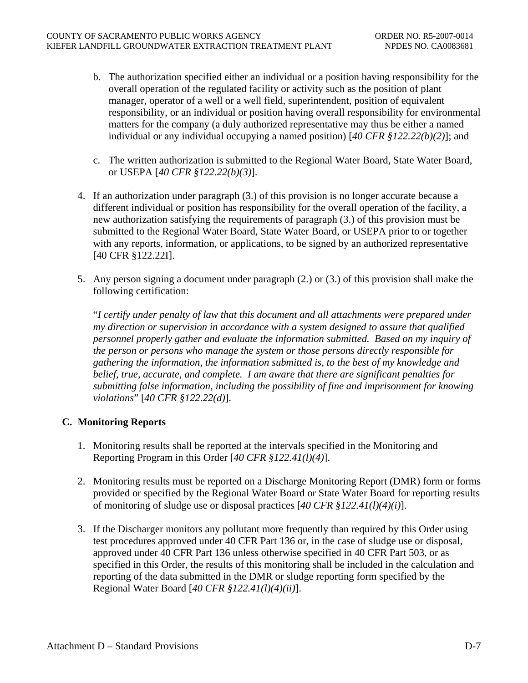- b. The authorization specified either an individual or a position having responsibility for the overall operation of the regulated facility or activity such as the position of plant manager, operator of a well or a well field, superintendent, position of equivalent responsibility, or an individual or position having overall responsibility for environmental matters for the company (a duly authorized representative may thus be either a named individual or any individual occupying a named position) [*40 CFR §122.22(b)(2)*]; and
- c. The written authorization is submitted to the Regional Water Board, State Water Board, or USEPA [*40 CFR §122.22(b)(3)*].
- <span id="page-34-0"></span>4. If an authorization under paragraph (3.) of this provision is no longer accurate because a different individual or position has responsibility for the overall operation of the facility, a new authorization satisfying the requirements of paragraph (3.) of this provision must be submitted to the Regional Water Board, State Water Board, or USEPA prior to or together with any reports, information, or applications, to be signed by an authorized representative [40 CFR §122.22I].
- <span id="page-34-1"></span>5. Any person signing a document under paragraph (2.) or (3.) of this provision shall make the following certification:

"*I certify under penalty of law that this document and all attachments were prepared under my direction or supervision in accordance with a system designed to assure that qualified personnel properly gather and evaluate the information submitted. Based on my inquiry of the person or persons who manage the system or those persons directly responsible for gathering the information, the information submitted is, to the best of my knowledge and belief, true, accurate, and complete. I am aware that there are significant penalties for submitting false information, including the possibility of fine and imprisonment for knowing violations*" [*40 CFR §122.22(d)*].

# **C. Monitoring Reports**

- 1. Monitoring results shall be reported at the intervals specified in the Monitoring and Reporting Program in this Order [*40 CFR §122.41(l)(4)*].
- 2. Monitoring results must be reported on a Discharge Monitoring Report (DMR) form or forms provided or specified by the Regional Water Board or State Water Board for reporting results of monitoring of sludge use or disposal practices [*40 CFR §122.41(l)(4)(i)*].
- 3. If the Discharger monitors any pollutant more frequently than required by this Order using test procedures approved under 40 CFR Part 136 or, in the case of sludge use or disposal, approved under 40 CFR Part 136 unless otherwise specified in 40 CFR Part 503, or as specified in this Order, the results of this monitoring shall be included in the calculation and reporting of the data submitted in the DMR or sludge reporting form specified by the Regional Water Board [*40 CFR §122.41(l)(4)(ii)*].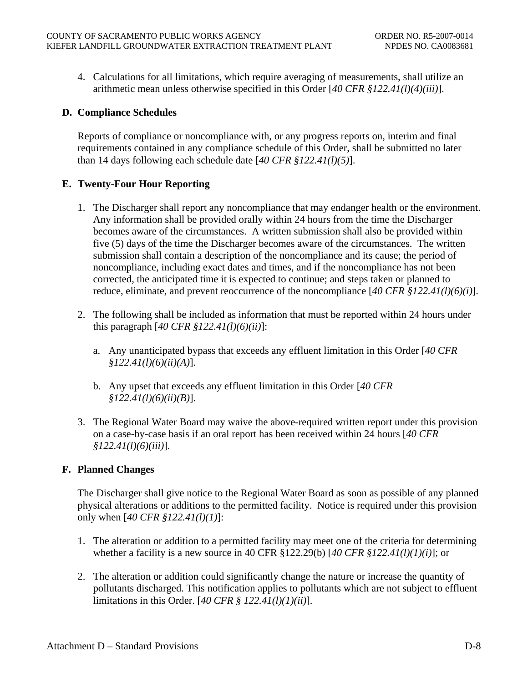4. Calculations for all limitations, which require averaging of measurements, shall utilize an arithmetic mean unless otherwise specified in this Order [*40 CFR §122.41(l)(4)(iii)*].

# **D. Compliance Schedules**

Reports of compliance or noncompliance with, or any progress reports on, interim and final requirements contained in any compliance schedule of this Order, shall be submitted no later than 14 days following each schedule date [*40 CFR §122.41(l)(5)*].

# **E. Twenty-Four Hour Reporting**

- 1. The Discharger shall report any noncompliance that may endanger health or the environment. Any information shall be provided orally within 24 hours from the time the Discharger becomes aware of the circumstances. A written submission shall also be provided within five (5) days of the time the Discharger becomes aware of the circumstances. The written submission shall contain a description of the noncompliance and its cause; the period of noncompliance, including exact dates and times, and if the noncompliance has not been corrected, the anticipated time it is expected to continue; and steps taken or planned to reduce, eliminate, and prevent reoccurrence of the noncompliance [*40 CFR §122.41(l)(6)(i)*].
- 2. The following shall be included as information that must be reported within 24 hours under this paragraph [*40 CFR §122.41(l)(6)(ii)*]:
	- a. Any unanticipated bypass that exceeds any effluent limitation in this Order [*40 CFR §122.41(l)(6)(ii)(A)*].
	- b. Any upset that exceeds any effluent limitation in this Order [*40 CFR §122.41(l)(6)(ii)(B)*].
- 3. The Regional Water Board may waive the above-required written report under this provision on a case-by-case basis if an oral report has been received within 24 hours [*40 CFR §122.41(l)(6)(iii)*].

# **F. Planned Changes**

The Discharger shall give notice to the Regional Water Board as soon as possible of any planned physical alterations or additions to the permitted facility. Notice is required under this provision only when [*40 CFR §122.41(l)(1)*]:

- 1. The alteration or addition to a permitted facility may meet one of the criteria for determining whether a facility is a new source in 40 CFR §122.29(b) [*40 CFR §122.41(l)(1)(i)*]; or
- 2. The alteration or addition could significantly change the nature or increase the quantity of pollutants discharged. This notification applies to pollutants which are not subject to effluent limitations in this Order. [*40 CFR § 122.41(l)(1)(ii)*].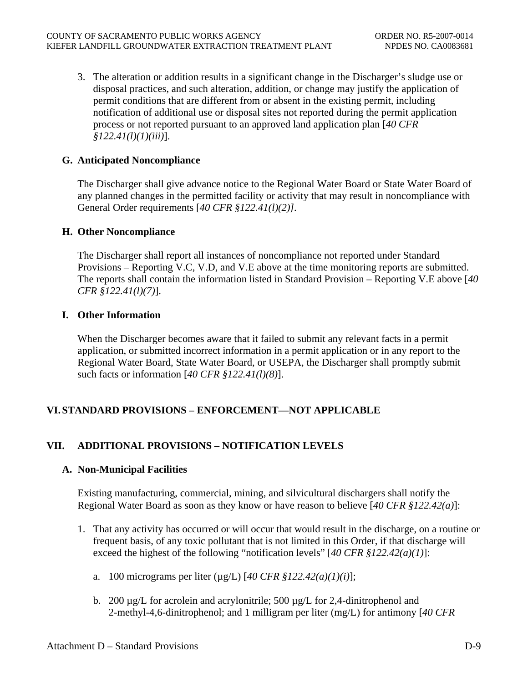3. The alteration or addition results in a significant change in the Discharger's sludge use or disposal practices, and such alteration, addition, or change may justify the application of permit conditions that are different from or absent in the existing permit, including notification of additional use or disposal sites not reported during the permit application process or not reported pursuant to an approved land application plan [*40 CFR §122.41(l)(1)(iii)*].

## **G. Anticipated Noncompliance**

The Discharger shall give advance notice to the Regional Water Board or State Water Board of any planned changes in the permitted facility or activity that may result in noncompliance with General Order requirements [*40 CFR §122.41(l)(2)].*

#### **H. Other Noncompliance**

The Discharger shall report all instances of noncompliance not reported under Standard Provisions – Reporting V.C, V.D, and V.E above at the time monitoring reports are submitted. The reports shall contain the information listed in Standard Provision – Reporting V.E above [*40 CFR §122.41(l)(7)*].

## **I. Other Information**

When the Discharger becomes aware that it failed to submit any relevant facts in a permit application, or submitted incorrect information in a permit application or in any report to the Regional Water Board, State Water Board, or USEPA, the Discharger shall promptly submit such facts or information [*40 CFR §122.41(l)(8)*].

# **VI. STANDARD PROVISIONS – ENFORCEMENT—NOT APPLICABLE**

# **VII. ADDITIONAL PROVISIONS – NOTIFICATION LEVELS**

#### **A. Non-Municipal Facilities**

Existing manufacturing, commercial, mining, and silvicultural dischargers shall notify the Regional Water Board as soon as they know or have reason to believe [*40 CFR §122.42(a)*]:

- 1. That any activity has occurred or will occur that would result in the discharge, on a routine or frequent basis, of any toxic pollutant that is not limited in this Order, if that discharge will exceed the highest of the following "notification levels" [*40 CFR §122.42(a)(1)*]:
	- a. 100 micrograms per liter (µg/L) [*40 CFR §122.42(a)(1)(i)*];
	- b. 200  $\mu$ g/L for acrolein and acrylonitrile; 500  $\mu$ g/L for 2,4-dinitrophenol and 2-methyl-4,6-dinitrophenol; and 1 milligram per liter (mg/L) for antimony [*40 CFR*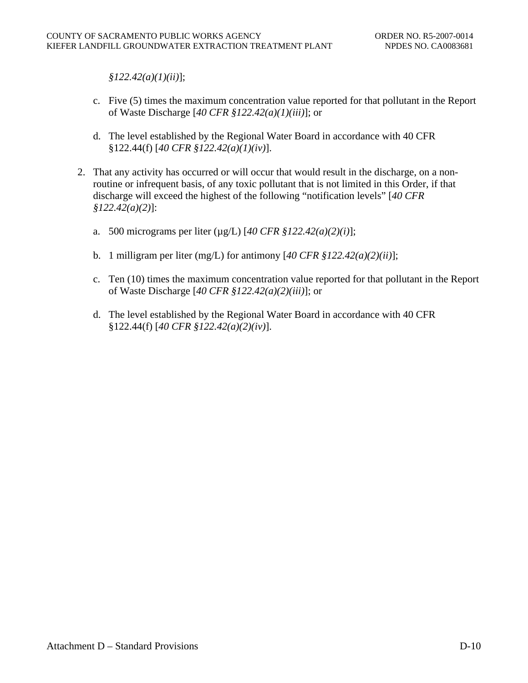*§122.42(a)(1)(ii)*];

- c. Five (5) times the maximum concentration value reported for that pollutant in the Report of Waste Discharge [*40 CFR §122.42(a)(1)(iii)*]; or
- d. The level established by the Regional Water Board in accordance with 40 CFR §122.44(f) [*40 CFR §122.42(a)(1)(iv)*].
- 2. That any activity has occurred or will occur that would result in the discharge, on a nonroutine or infrequent basis, of any toxic pollutant that is not limited in this Order, if that discharge will exceed the highest of the following "notification levels" [*40 CFR §122.42(a)(2)*]:
	- a. 500 micrograms per liter (µg/L) [*40 CFR §122.42(a)(2)(i)*];
	- b. 1 milligram per liter (mg/L) for antimony [*40 CFR §122.42(a)(2)(ii)*];
	- c. Ten (10) times the maximum concentration value reported for that pollutant in the Report of Waste Discharge [*40 CFR §122.42(a)(2)(iii)*]; or
	- d. The level established by the Regional Water Board in accordance with 40 CFR §122.44(f) [*40 CFR §122.42(a)(2)(iv)*].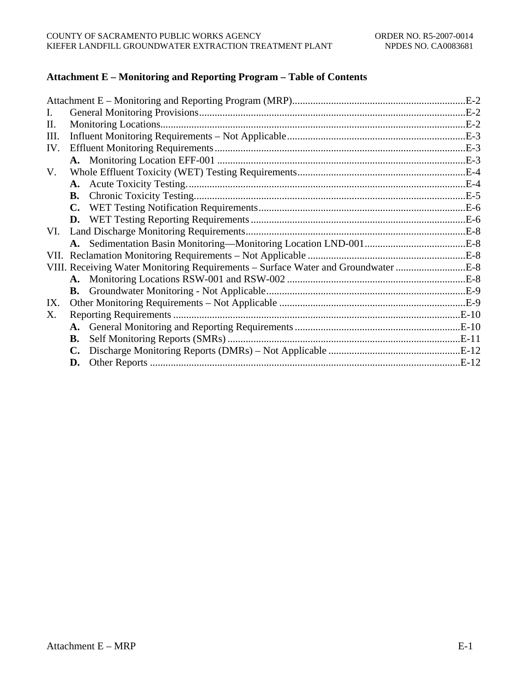## **Attachment E – Monitoring and Reporting Program – Table of Contents**

|                                                                                   | $.E-2$ |
|-----------------------------------------------------------------------------------|--------|
|                                                                                   |        |
|                                                                                   |        |
|                                                                                   |        |
|                                                                                   |        |
|                                                                                   |        |
|                                                                                   |        |
|                                                                                   |        |
|                                                                                   |        |
| $\mathbf{C}$ .                                                                    |        |
|                                                                                   |        |
|                                                                                   |        |
|                                                                                   |        |
|                                                                                   |        |
| VIII. Receiving Water Monitoring Requirements – Surface Water and Groundwater E-8 |        |
|                                                                                   |        |
|                                                                                   |        |
|                                                                                   |        |
|                                                                                   |        |
|                                                                                   |        |
| В.                                                                                |        |
|                                                                                   |        |
| D.                                                                                |        |
|                                                                                   |        |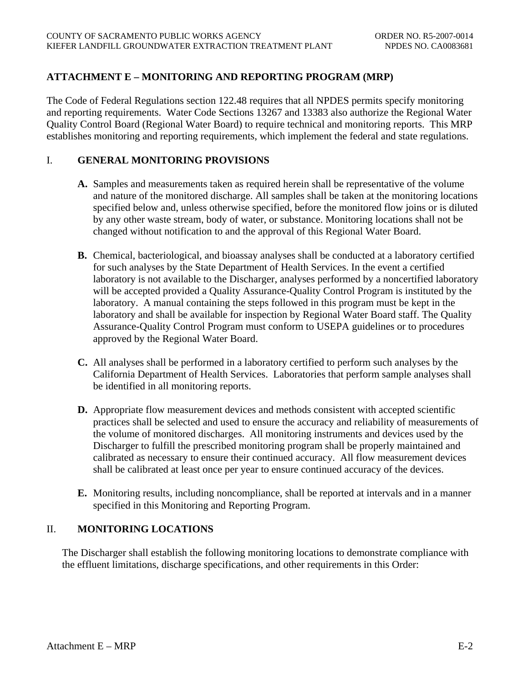# <span id="page-39-0"></span>**ATTACHMENT E – MONITORING AND REPORTING PROGRAM (MRP)**

The Code of Federal Regulations section 122.48 requires that all NPDES permits specify monitoring and reporting requirements. Water Code Sections 13267 and 13383 also authorize the Regional Water Quality Control Board (Regional Water Board) to require technical and monitoring reports. This MRP establishes monitoring and reporting requirements, which implement the federal and state regulations.

## I. **GENERAL MONITORING PROVISIONS**

- **A.** Samples and measurements taken as required herein shall be representative of the volume and nature of the monitored discharge. All samples shall be taken at the monitoring locations specified below and, unless otherwise specified, before the monitored flow joins or is diluted by any other waste stream, body of water, or substance. Monitoring locations shall not be changed without notification to and the approval of this Regional Water Board.
- **B.** Chemical, bacteriological, and bioassay analyses shall be conducted at a laboratory certified for such analyses by the State Department of Health Services. In the event a certified laboratory is not available to the Discharger, analyses performed by a noncertified laboratory will be accepted provided a Quality Assurance-Quality Control Program is instituted by the laboratory. A manual containing the steps followed in this program must be kept in the laboratory and shall be available for inspection by Regional Water Board staff. The Quality Assurance-Quality Control Program must conform to USEPA guidelines or to procedures approved by the Regional Water Board.
- **C.** All analyses shall be performed in a laboratory certified to perform such analyses by the California Department of Health Services. Laboratories that perform sample analyses shall be identified in all monitoring reports.
- **D.** Appropriate flow measurement devices and methods consistent with accepted scientific practices shall be selected and used to ensure the accuracy and reliability of measurements of the volume of monitored discharges. All monitoring instruments and devices used by the Discharger to fulfill the prescribed monitoring program shall be properly maintained and calibrated as necessary to ensure their continued accuracy. All flow measurement devices shall be calibrated at least once per year to ensure continued accuracy of the devices.
- **E.** Monitoring results, including noncompliance, shall be reported at intervals and in a manner specified in this Monitoring and Reporting Program.

# II. **MONITORING LOCATIONS**

The Discharger shall establish the following monitoring locations to demonstrate compliance with the effluent limitations, discharge specifications, and other requirements in this Order: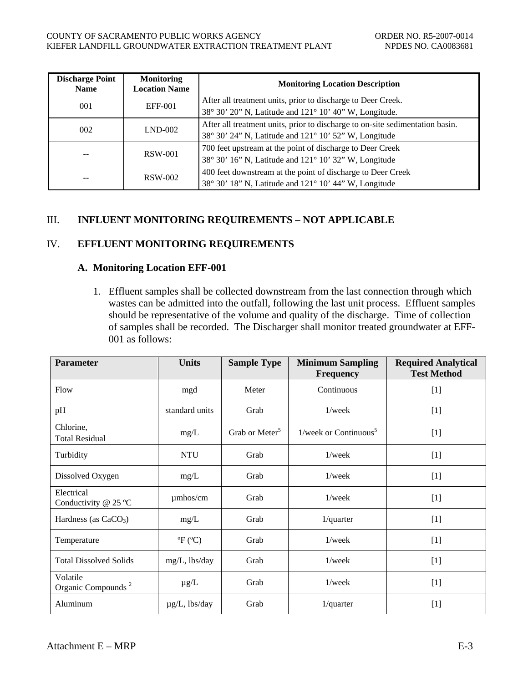<span id="page-40-0"></span>

| <b>Discharge Point</b><br><b>Name</b> | <b>Monitoring</b><br><b>Location Name</b> | <b>Monitoring Location Description</b>                                                                                                 |
|---------------------------------------|-------------------------------------------|----------------------------------------------------------------------------------------------------------------------------------------|
| 001                                   | EFF-001                                   | After all treatment units, prior to discharge to Deer Creek.<br>38° 30' 20" N, Latitude and 121° 10' 40" W, Longitude.                 |
| 002                                   | $LND-002$                                 | After all treatment units, prior to discharge to on-site sedimentation basin.<br>38° 30' 24" N, Latitude and 121° 10' 52" W, Longitude |
|                                       | RSW-001                                   | 700 feet upstream at the point of discharge to Deer Creek<br>38° 30' 16" N, Latitude and 121° 10' 32" W, Longitude                     |
| --                                    | <b>RSW-002</b>                            | 400 feet downstream at the point of discharge to Deer Creek<br>38° 30' 18" N, Latitude and 121° 10' 44" W, Longitude                   |

## III. **INFLUENT MONITORING REQUIREMENTS – NOT APPLICABLE**

# IV. **EFFLUENT MONITORING REQUIREMENTS**

#### **A. Monitoring Location EFF-001**

1. Effluent samples shall be collected downstream from the last connection through which wastes can be admitted into the outfall, following the last unit process. Effluent samples should be representative of the volume and quality of the discharge. Time of collection of samples shall be recorded. The Discharger shall monitor treated groundwater at EFF-001 as follows:

| <b>Parameter</b>                                        | <b>Units</b>       | <b>Sample Type</b>         | <b>Minimum Sampling</b><br><b>Frequency</b> | <b>Required Analytical</b><br><b>Test Method</b> |
|---------------------------------------------------------|--------------------|----------------------------|---------------------------------------------|--------------------------------------------------|
| Flow                                                    | mgd                |                            | Continuous                                  | $[1]$                                            |
| pH                                                      | standard units     | Grab                       | $1$ /week                                   | $[1]$                                            |
| Chlorine,<br><b>Total Residual</b>                      | mg/L               | Grab or Meter <sup>5</sup> | $1$ /week or Continuous <sup>5</sup>        | $[1]$                                            |
| <b>NTU</b><br>Turbidity                                 |                    | Grab<br>$1$ /week          |                                             | $[1]$                                            |
| Dissolved Oxygen<br>mg/L                                |                    | Grab                       | $1$ /week                                   | $[1]$                                            |
| Electrical<br>umhos/cm<br>Conductivity $@$ 25 °C        |                    | Grab                       | $1$ /week                                   | $[1]$                                            |
| Hardness (as $CaCO3$ )<br>mg/L                          |                    | Grab                       | $1$ /quarter                                | $[1]$                                            |
| ${}^{\circ}F$ ( ${}^{\circ}C$ )<br>Temperature          |                    | $1$ /week<br>Grab          |                                             | $[1]$                                            |
| <b>Total Dissolved Solids</b><br>mg/L, lbs/day          |                    | Grab<br>$1$ /week          |                                             | $[1]$                                            |
| Volatile<br>$\mu$ g/L<br>Organic Compounds <sup>2</sup> |                    | Grab                       | 1/week                                      | $[1]$                                            |
| Aluminum                                                | $\mu$ g/L, lbs/day | Grab                       | $1$ /quarter                                | $[1]$                                            |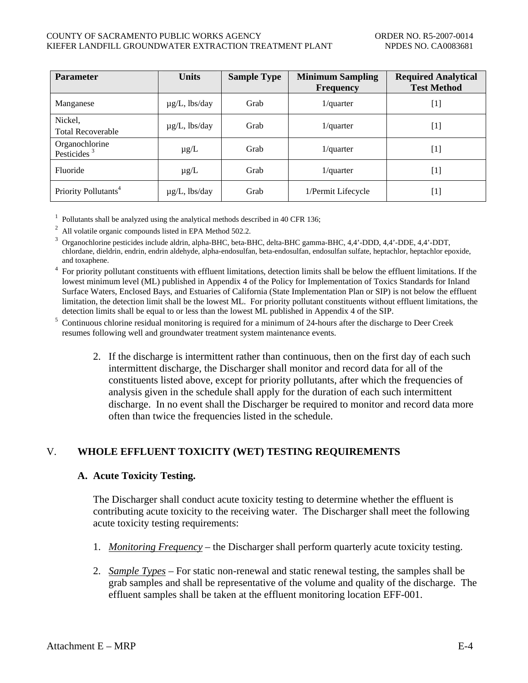#### <span id="page-41-0"></span>COUNTY OF SACRAMENTO PUBLIC WORKS AGENCY ORDER NO. R5-2007-0014 KIEFER LANDFILL GROUNDWATER EXTRACTION TREATMENT PLANT NPDES NO. CA0083681

| <b>Parameter</b>                                       | <b>Units</b>       | <b>Sample Type</b> | <b>Minimum Sampling</b><br><b>Frequency</b> | <b>Required Analytical</b><br><b>Test Method</b>                                                                                                                                               |
|--------------------------------------------------------|--------------------|--------------------|---------------------------------------------|------------------------------------------------------------------------------------------------------------------------------------------------------------------------------------------------|
| Manganese                                              | $\mu$ g/L, lbs/day | Grab               | $1$ /quarter                                | $[1] % \includegraphics[width=0.9\columnwidth]{figures/fig_1a} \caption{The figure shows the number of times on the right, and the number of times on the right, respectively.} \label{fig:1}$ |
| Nickel,<br><b>Total Recoverable</b>                    | $\mu$ g/L, lbs/day | Grab               | $1$ /quarter                                | $[1] % \includegraphics[width=0.9\columnwidth]{figures/fig_10.pdf} \caption{The figure shows the number of times of the estimators in the left and right.} \label{fig:fig:time}$               |
| Organochlorine<br>Pesticides <sup><math>3</math></sup> | $\mu$ g/L          | Grab               | $1$ /quarter                                | $[1] % \includegraphics[width=0.9\columnwidth]{figures/fig_10.pdf} \caption{The figure shows the number of times of the estimators in the left and right.} \label{fig:fig:time}$               |
| Fluoride                                               | $\mu$ g/L          | Grab               | $1$ /quarter                                | $[1] % \includegraphics[width=0.9\columnwidth]{figures/fig_10.pdf} \caption{The figure shows the number of times of the estimators in the left and right.} \label{fig:fig:time}$               |
| Priority Pollutants <sup>4</sup>                       | $\mu$ g/L, lbs/day | Grab               | 1/Permit Lifecycle                          | $[1] % \includegraphics[width=0.9\columnwidth]{figures/fig_1a} \caption{The figure shows the number of times on the right, and the number of times on the right, respectively.} \label{fig:1}$ |

<sup>1</sup> Pollutants shall be analyzed using the analytical methods described in 40 CFR 136;<br><sup>2</sup> All volatile organic compounds listed in EPA Method 502.2.

<sup>3</sup> Organochlorine pesticides include aldrin, alpha-BHC, beta-BHC, delta-BHC gamma-BHC, 4,4'-DDD, 4,4'-DDE, 4,4'-DDT, chlordane, dieldrin, endrin, endrin aldehyde, alpha-endosulfan, beta-endosulfan, endosulfan sulfate, heptachlor, heptachlor epoxide, and toxaphene.

<sup>4</sup> For priority pollutant constituents with effluent limitations, detection limits shall be below the effluent limitations. If the lowest minimum level (ML) published in Appendix 4 of the Policy for Implementation of Toxics Standards for Inland Surface Waters, Enclosed Bays, and Estuaries of California (State Implementation Plan or SIP) is not below the effluent limitation, the detection limit shall be the lowest ML. For priority pollutant constituents without effluent limitations, the detection limits shall be equal to or less than the lowest ML published in Appendix 4 of the SIP.

<sup>5</sup> Continuous chlorine residual monitoring is required for a minimum of 24-hours after the discharge to Deer Creek resumes following well and groundwater treatment system maintenance events.

2. If the discharge is intermittent rather than continuous, then on the first day of each such intermittent discharge, the Discharger shall monitor and record data for all of the constituents listed above, except for priority pollutants, after which the frequencies of analysis given in the schedule shall apply for the duration of each such intermittent discharge. In no event shall the Discharger be required to monitor and record data more often than twice the frequencies listed in the schedule.

# V. **WHOLE EFFLUENT TOXICITY (WET) TESTING REQUIREMENTS**

#### **A. Acute Toxicity Testing.**

The Discharger shall conduct acute toxicity testing to determine whether the effluent is contributing acute toxicity to the receiving water. The Discharger shall meet the following acute toxicity testing requirements:

- 1. *Monitoring Frequency* the Discharger shall perform quarterly acute toxicity testing.
- 2. *Sample Types* For static non-renewal and static renewal testing, the samples shall be grab samples and shall be representative of the volume and quality of the discharge. The effluent samples shall be taken at the effluent monitoring location EFF-001.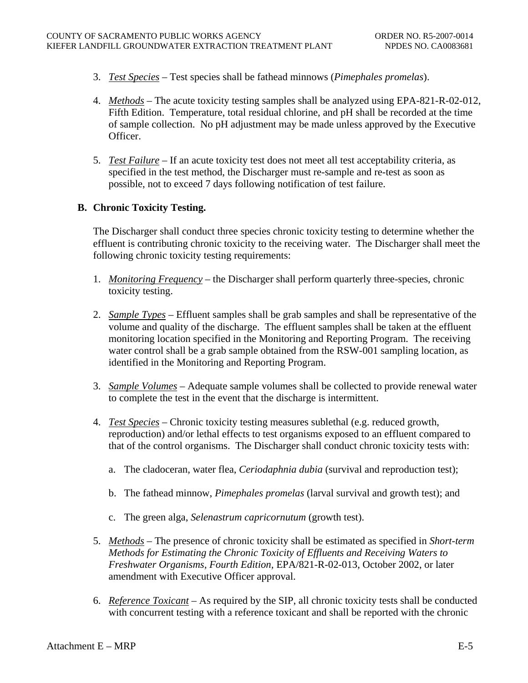- <span id="page-42-0"></span>3. *Test Species* – Test species shall be fathead minnows (*Pimephales promelas*).
- 4. *Methods* The acute toxicity testing samples shall be analyzed using EPA-821-R-02-012, Fifth Edition. Temperature, total residual chlorine, and pH shall be recorded at the time of sample collection. No pH adjustment may be made unless approved by the Executive Officer.
- 5. *Test Failure* If an acute toxicity test does not meet all test acceptability criteria, as specified in the test method, the Discharger must re-sample and re-test as soon as possible, not to exceed 7 days following notification of test failure.

## **B. Chronic Toxicity Testing.**

The Discharger shall conduct three species chronic toxicity testing to determine whether the effluent is contributing chronic toxicity to the receiving water. The Discharger shall meet the following chronic toxicity testing requirements:

- 1. *Monitoring Frequency* the Discharger shall perform quarterly three-species, chronic toxicity testing.
- 2. *Sample Types* Effluent samples shall be grab samples and shall be representative of the volume and quality of the discharge. The effluent samples shall be taken at the effluent monitoring location specified in the Monitoring and Reporting Program. The receiving water control shall be a grab sample obtained from the RSW-001 sampling location, as identified in the Monitoring and Reporting Program.
- 3. *Sample Volumes* Adequate sample volumes shall be collected to provide renewal water to complete the test in the event that the discharge is intermittent.
- 4. *Test Species* Chronic toxicity testing measures sublethal (e.g. reduced growth, reproduction) and/or lethal effects to test organisms exposed to an effluent compared to that of the control organisms. The Discharger shall conduct chronic toxicity tests with:
	- a. The cladoceran, water flea, *Ceriodaphnia dubia* (survival and reproduction test);
	- b. The fathead minnow, *Pimephales promelas* (larval survival and growth test); and
	- c. The green alga, *Selenastrum capricornutum* (growth test).
- 5. *Methods* The presence of chronic toxicity shall be estimated as specified in *Short-term Methods for Estimating the Chronic Toxicity of Effluents and Receiving Waters to Freshwater Organisms, Fourth Edition,* EPA/821-R-02-013, October 2002, or later amendment with Executive Officer approval.
- 6. *Reference Toxicant* As required by the SIP, all chronic toxicity tests shall be conducted with concurrent testing with a reference toxicant and shall be reported with the chronic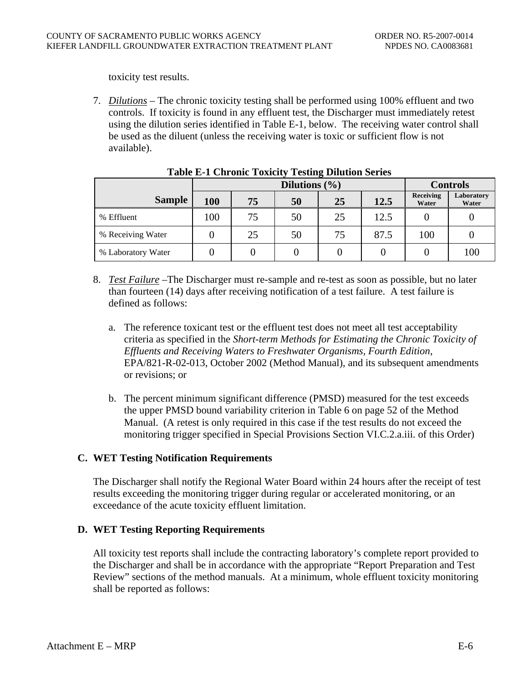<span id="page-43-0"></span>toxicity test results.

7. *Dilutions* – The chronic toxicity testing shall be performed using 100% effluent and two controls. If toxicity is found in any effluent test, the Discharger must immediately retest using the dilution series identified in Table E-1, below. The receiving water control shall be used as the diluent (unless the receiving water is toxic or sufficient flow is not available).

|                    |     | $1.0010 \pm 1.00110 \pm 0.00010$<br>Dilutions $(\% )$ |    |    |      |     | <b>Controls</b>     |
|--------------------|-----|-------------------------------------------------------|----|----|------|-----|---------------------|
| <b>Sample</b>      | 100 | 12.5<br>75<br>25<br>50                                |    |    |      |     | Laboratory<br>Water |
| % Effluent         | 100 | 75                                                    | 50 | 25 | 12.5 |     |                     |
| % Receiving Water  |     | 25                                                    | 50 | 75 | 87.5 | 100 |                     |
| % Laboratory Water |     |                                                       |    |    |      |     | 100                 |

#### **Table E-1 Chronic Toxicity Testing Dilution Series**

- 8. *Test Failure* –The Discharger must re-sample and re-test as soon as possible, but no later than fourteen (14) days after receiving notification of a test failure. A test failure is defined as follows:
	- a. The reference toxicant test or the effluent test does not meet all test acceptability criteria as specified in the *Short-term Methods for Estimating the Chronic Toxicity of Effluents and Receiving Waters to Freshwater Organisms, Fourth Edition*, EPA/821-R-02-013, October 2002 (Method Manual), and its subsequent amendments or revisions; or
	- b. The percent minimum significant difference (PMSD) measured for the test exceeds the upper PMSD bound variability criterion in Table 6 on page 52 of the Method Manual. (A retest is only required in this case if the test results do not exceed the monitoring trigger specified in Special Provisions Section VI.C.2.a.iii. of this Order)

#### **C. WET Testing Notification Requirements**

The Discharger shall notify the Regional Water Board within 24 hours after the receipt of test results exceeding the monitoring trigger during regular or accelerated monitoring, or an exceedance of the acute toxicity effluent limitation.

# **D. WET Testing Reporting Requirements**

All toxicity test reports shall include the contracting laboratory's complete report provided to the Discharger and shall be in accordance with the appropriate "Report Preparation and Test Review" sections of the method manuals. At a minimum, whole effluent toxicity monitoring shall be reported as follows: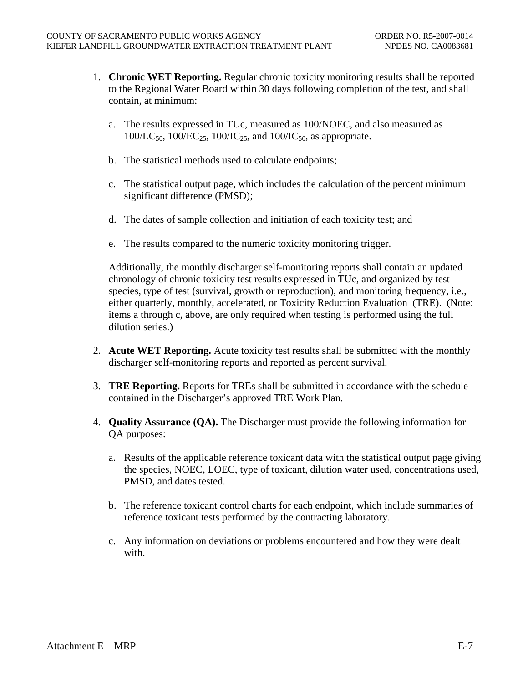- 1. **Chronic WET Reporting.** Regular chronic toxicity monitoring results shall be reported to the Regional Water Board within 30 days following completion of the test, and shall contain, at minimum:
	- a. The results expressed in TUc, measured as 100/NOEC, and also measured as  $100/LC_{50}$ ,  $100/EC_{25}$ ,  $100/IC_{25}$ , and  $100/IC_{50}$ , as appropriate.
	- b. The statistical methods used to calculate endpoints;
	- c. The statistical output page, which includes the calculation of the percent minimum significant difference (PMSD);
	- d. The dates of sample collection and initiation of each toxicity test; and
	- e. The results compared to the numeric toxicity monitoring trigger.

Additionally, the monthly discharger self-monitoring reports shall contain an updated chronology of chronic toxicity test results expressed in TUc, and organized by test species, type of test (survival, growth or reproduction), and monitoring frequency, i.e., either quarterly, monthly, accelerated, or Toxicity Reduction Evaluation (TRE). (Note: items a through c, above, are only required when testing is performed using the full dilution series.)

- 2. **Acute WET Reporting.** Acute toxicity test results shall be submitted with the monthly discharger self-monitoring reports and reported as percent survival.
- 3. **TRE Reporting.** Reports for TREs shall be submitted in accordance with the schedule contained in the Discharger's approved TRE Work Plan.
- 4. **Quality Assurance (QA).** The Discharger must provide the following information for QA purposes:
	- a. Results of the applicable reference toxicant data with the statistical output page giving the species, NOEC, LOEC, type of toxicant, dilution water used, concentrations used, PMSD, and dates tested.
	- b. The reference toxicant control charts for each endpoint, which include summaries of reference toxicant tests performed by the contracting laboratory.
	- c. Any information on deviations or problems encountered and how they were dealt with.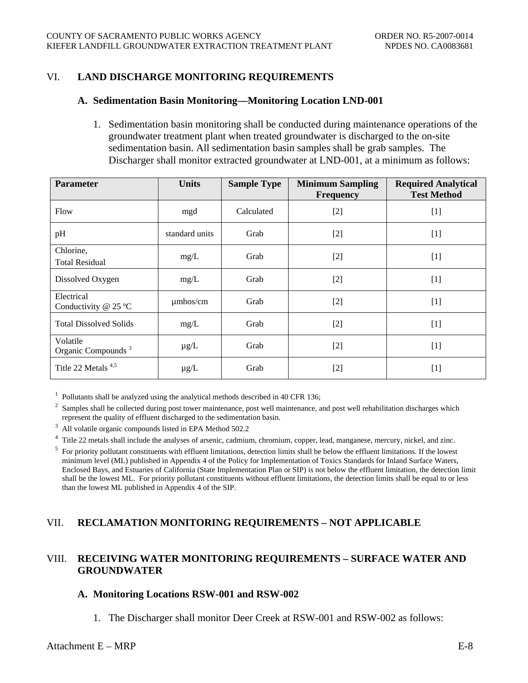## <span id="page-45-0"></span>VI. **LAND DISCHARGE MONITORING REQUIREMENTS**

#### **A. Sedimentation Basin Monitoring—Monitoring Location LND-001**

1. Sedimentation basin monitoring shall be conducted during maintenance operations of the groundwater treatment plant when treated groundwater is discharged to the on-site sedimentation basin. All sedimentation basin samples shall be grab samples. The Discharger shall monitor extracted groundwater at LND-001, at a minimum as follows:

| <b>Parameter</b>                                        | <b>Units</b>           | <b>Sample Type</b> | <b>Minimum Sampling</b><br><b>Frequency</b> | <b>Required Analytical</b><br><b>Test Method</b> |
|---------------------------------------------------------|------------------------|--------------------|---------------------------------------------|--------------------------------------------------|
| Flow                                                    | mgd                    | Calculated         | $[2]$                                       | $[1]$                                            |
| pH                                                      | standard units<br>Grab |                    | $[2]$                                       | $[1]$                                            |
| Chlorine,<br>mg/L<br><b>Total Residual</b>              |                        | Grab               | $[2]$                                       | $[1]$                                            |
| Dissolved Oxygen                                        | mg/L                   | Grab               | $[2]$                                       | $[1]$                                            |
| Electrical<br>$\mu$ mhos/cm<br>Conductivity $@$ 25 °C   |                        | Grab               | $[2]$                                       | $[1]$                                            |
| <b>Total Dissolved Solids</b>                           | mg/L                   | Grab               | $[2]$                                       | $[1]$                                            |
| Volatile<br>$\mu$ g/L<br>Organic Compounds <sup>3</sup> |                        | Grab               | $[2]$                                       | $[1]$                                            |
| Title 22 Metals <sup>4,5</sup>                          | $\mu$ g/L              | Grab               | $[2]$                                       | $[1]$                                            |

<sup>1</sup> Pollutants shall be analyzed using the analytical methods described in 40 CFR 136;<br><sup>2</sup> Samples shall be collected during post tower maintenance, post well maintenance, and post well rehabilitation discharges which represent the quality of effluent discharged to the sedimentation basin.

<sup>3</sup> All volatile organic compounds listed in EPA Method 502.2

 $4$  Title 22 metals shall include the analyses of arsenic, cadmium, chromium, copper, lead, manganese, mercury, nickel, and zinc.<br>
<sup>5</sup> For priority pollutant constituents with effluent limitations, detection limits shall

minimum level (ML) published in Appendix 4 of the Policy for Implementation of Toxics Standards for Inland Surface Waters, Enclosed Bays, and Estuaries of California (State Implementation Plan or SIP) is not below the effluent limitation, the detection limit shall be the lowest ML. For priority pollutant constituents without effluent limitations, the detection limits shall be equal to or less than the lowest ML published in Appendix 4 of the SIP.

#### VII. **RECLAMATION MONITORING REQUIREMENTS – NOT APPLICABLE**

## VIII. **RECEIVING WATER MONITORING REQUIREMENTS – SURFACE WATER AND GROUNDWATER**

#### **A. Monitoring Locations RSW-001 and RSW-002**

1. The Discharger shall monitor Deer Creek at RSW-001 and RSW-002 as follows:

## Attachment  $E - MRP$  E-8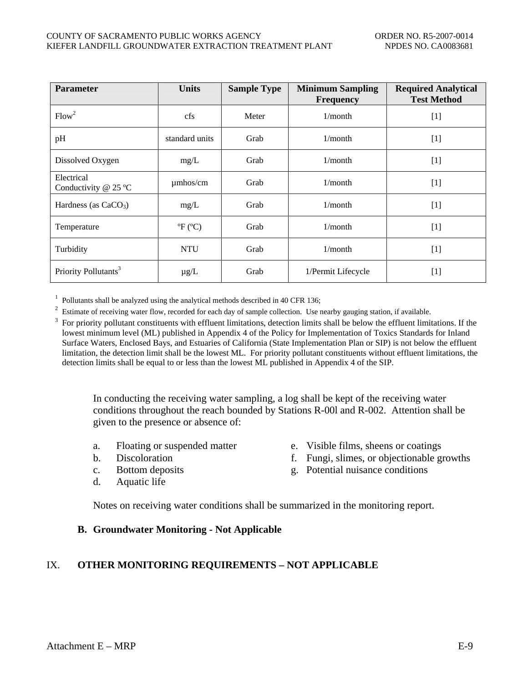<span id="page-46-0"></span>

| <b>Parameter</b>                                   | <b>Units</b>   | <b>Sample Type</b> | <b>Minimum Sampling</b><br><b>Frequency</b> | <b>Required Analytical</b><br><b>Test Method</b>                                                                                                                                 |
|----------------------------------------------------|----------------|--------------------|---------------------------------------------|----------------------------------------------------------------------------------------------------------------------------------------------------------------------------------|
| Flow <sup>2</sup>                                  | cfs            | Meter              | $1/m$ onth                                  | $[1]$                                                                                                                                                                            |
| pH                                                 | standard units | Grab               | 1/month                                     | $[1]$                                                                                                                                                                            |
| Dissolved Oxygen<br>mg/L                           |                | Grab<br>1/month    |                                             | $[1]$                                                                                                                                                                            |
| Electrical<br>Conductivity @ 25 °C                 | $\mu$ mhos/cm  | Grab               | 1/month                                     | $[1]$                                                                                                                                                                            |
| Hardness (as $CaCO3$ )<br>mg/L                     |                | Grab               | 1/month                                     | $[1]$                                                                                                                                                                            |
| ${}^{\circ}\!F$ ( ${}^{\circ}\!C$ )<br>Temperature |                | Grab<br>$1/m$ onth |                                             | $[1]$                                                                                                                                                                            |
| <b>NTU</b><br>Turbidity                            |                | Grab               | 1/month                                     | $[1]$                                                                                                                                                                            |
| Priority Pollutants <sup>3</sup>                   | $\mu$ g/L      | Grab               | 1/Permit Lifecycle                          | $[1] % \includegraphics[width=0.9\columnwidth]{figures/fig_10.pdf} \caption{The figure shows the number of times of the estimators in the left and right.} \label{fig:fig:time}$ |

<sup>1</sup> Pollutants shall be analyzed using the analytical methods described in 40 CFR 136;<br><sup>2</sup> Estimate of receiving water flow, recorded for each day of sample collection. Use nearby gauging station, if available.

3 For priority pollutant constituents with effluent limitations, detection limits shall be below the effluent limitations. If the lowest minimum level (ML) published in Appendix 4 of the Policy for Implementation of Toxics Standards for Inland Surface Waters, Enclosed Bays, and Estuaries of California (State Implementation Plan or SIP) is not below the effluent limitation, the detection limit shall be the lowest ML. For priority pollutant constituents without effluent limitations, the detection limits shall be equal to or less than the lowest ML published in Appendix 4 of the SIP.

In conducting the receiving water sampling, a log shall be kept of the receiving water conditions throughout the reach bounded by Stations R-001 and R-002. Attention shall be given to the presence or absence of:

- 
- 
- 
- d. Aquatic life
- a. Floating or suspended matter e. Visible films, sheens or coatings
- b. Discoloration f. Fungi, slimes, or objectionable growths
- c. Bottom deposits g. Potential nuisance conditions

Notes on receiving water conditions shall be summarized in the monitoring report.

#### **B. Groundwater Monitoring - Not Applicable**

## IX. **OTHER MONITORING REQUIREMENTS – NOT APPLICABLE**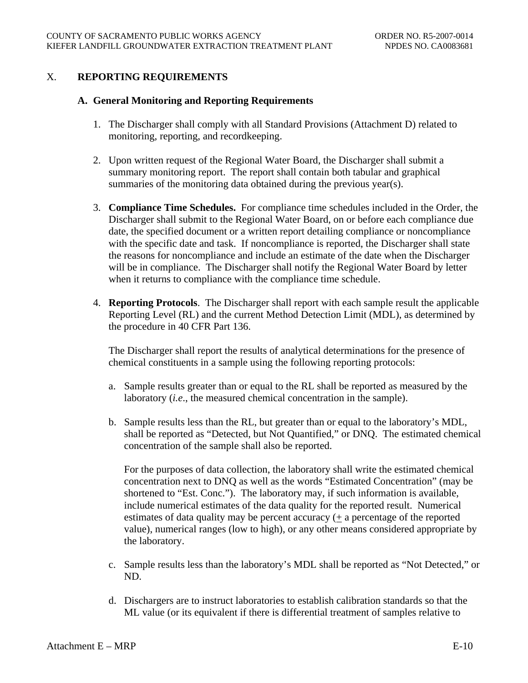## <span id="page-47-0"></span>X. **REPORTING REQUIREMENTS**

#### **A. General Monitoring and Reporting Requirements**

- 1. The Discharger shall comply with all Standard Provisions (Attachment D) related to monitoring, reporting, and recordkeeping.
- 2. Upon written request of the Regional Water Board, the Discharger shall submit a summary monitoring report. The report shall contain both tabular and graphical summaries of the monitoring data obtained during the previous year(s).
- 3. **Compliance Time Schedules.** For compliance time schedules included in the Order, the Discharger shall submit to the Regional Water Board, on or before each compliance due date, the specified document or a written report detailing compliance or noncompliance with the specific date and task. If noncompliance is reported, the Discharger shall state the reasons for noncompliance and include an estimate of the date when the Discharger will be in compliance. The Discharger shall notify the Regional Water Board by letter when it returns to compliance with the compliance time schedule.
- 4. **Reporting Protocols**. The Discharger shall report with each sample result the applicable Reporting Level (RL) and the current Method Detection Limit (MDL), as determined by the procedure in 40 CFR Part 136.

The Discharger shall report the results of analytical determinations for the presence of chemical constituents in a sample using the following reporting protocols:

- a. Sample results greater than or equal to the RL shall be reported as measured by the laboratory (*i.e*., the measured chemical concentration in the sample).
- b. Sample results less than the RL, but greater than or equal to the laboratory's MDL, shall be reported as "Detected, but Not Quantified," or DNQ. The estimated chemical concentration of the sample shall also be reported.

For the purposes of data collection, the laboratory shall write the estimated chemical concentration next to DNQ as well as the words "Estimated Concentration" (may be shortened to "Est. Conc."). The laboratory may, if such information is available, include numerical estimates of the data quality for the reported result. Numerical estimates of data quality may be percent accuracy (+ a percentage of the reported value), numerical ranges (low to high), or any other means considered appropriate by the laboratory.

- c. Sample results less than the laboratory's MDL shall be reported as "Not Detected," or ND.
- d. Dischargers are to instruct laboratories to establish calibration standards so that the ML value (or its equivalent if there is differential treatment of samples relative to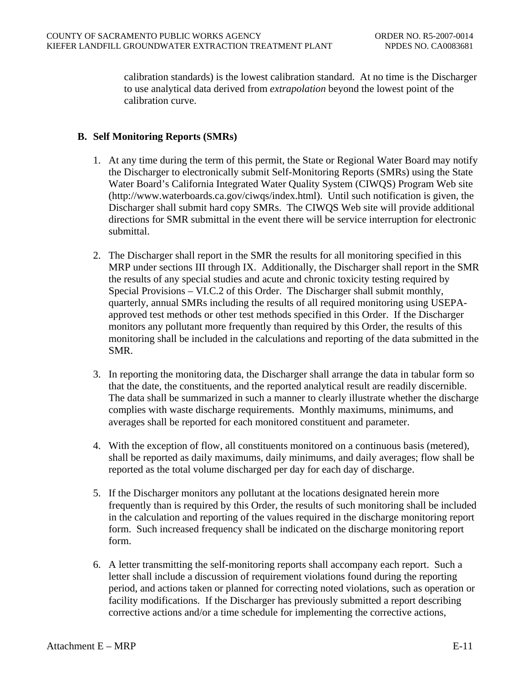<span id="page-48-0"></span>calibration standards) is the lowest calibration standard. At no time is the Discharger to use analytical data derived from *extrapolation* beyond the lowest point of the calibration curve.

## **B. Self Monitoring Reports (SMRs)**

- 1. At any time during the term of this permit, the State or Regional Water Board may notify the Discharger to electronically submit Self-Monitoring Reports (SMRs) using the State Water Board's California Integrated Water Quality System (CIWQS) Program Web site (http://www.waterboards.ca.gov/ciwqs/index.html). Until such notification is given, the Discharger shall submit hard copy SMRs. The CIWQS Web site will provide additional directions for SMR submittal in the event there will be service interruption for electronic submittal.
- 2. The Discharger shall report in the SMR the results for all monitoring specified in this MRP under sections III through IX. Additionally, the Discharger shall report in the SMR the results of any special studies and acute and chronic toxicity testing required by Special Provisions – VI.C.2 of this Order. The Discharger shall submit monthly, quarterly, annual SMRs including the results of all required monitoring using USEPAapproved test methods or other test methods specified in this Order. If the Discharger monitors any pollutant more frequently than required by this Order, the results of this monitoring shall be included in the calculations and reporting of the data submitted in the SMR.
- 3. In reporting the monitoring data, the Discharger shall arrange the data in tabular form so that the date, the constituents, and the reported analytical result are readily discernible. The data shall be summarized in such a manner to clearly illustrate whether the discharge complies with waste discharge requirements. Monthly maximums, minimums, and averages shall be reported for each monitored constituent and parameter.
- 4. With the exception of flow, all constituents monitored on a continuous basis (metered), shall be reported as daily maximums, daily minimums, and daily averages; flow shall be reported as the total volume discharged per day for each day of discharge.
- 5. If the Discharger monitors any pollutant at the locations designated herein more frequently than is required by this Order, the results of such monitoring shall be included in the calculation and reporting of the values required in the discharge monitoring report form. Such increased frequency shall be indicated on the discharge monitoring report form.
- 6. A letter transmitting the self-monitoring reports shall accompany each report. Such a letter shall include a discussion of requirement violations found during the reporting period, and actions taken or planned for correcting noted violations, such as operation or facility modifications. If the Discharger has previously submitted a report describing corrective actions and/or a time schedule for implementing the corrective actions,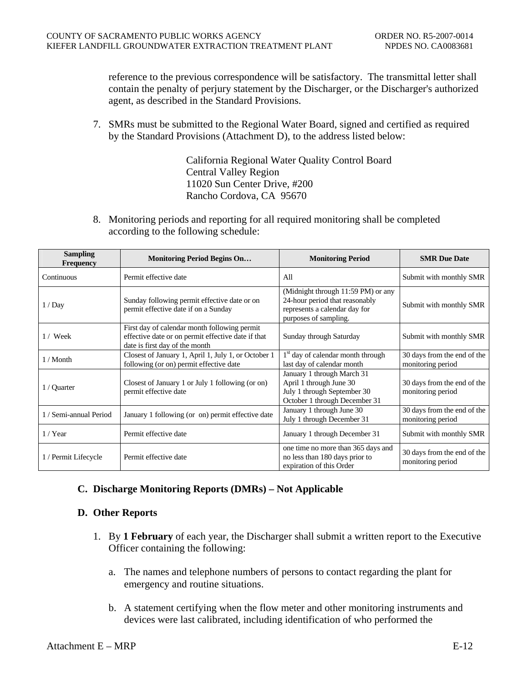<span id="page-49-0"></span>reference to the previous correspondence will be satisfactory. The transmittal letter shall contain the penalty of perjury statement by the Discharger, or the Discharger's authorized agent, as described in the Standard Provisions.

7. SMRs must be submitted to the Regional Water Board, signed and certified as required by the Standard Provisions (Attachment D), to the address listed below:

> California Regional Water Quality Control Board Central Valley Region 11020 Sun Center Drive, #200 Rancho Cordova, CA 95670

8. Monitoring periods and reporting for all required monitoring shall be completed according to the following schedule:

| <b>Sampling</b><br><b>Frequency</b> | <b>Monitoring Period Begins On</b>                                                                                                   | <b>Monitoring Period</b>                                                                                                       | <b>SMR</b> Due Date                              |
|-------------------------------------|--------------------------------------------------------------------------------------------------------------------------------------|--------------------------------------------------------------------------------------------------------------------------------|--------------------------------------------------|
| Continuous                          | Permit effective date                                                                                                                | All                                                                                                                            | Submit with monthly SMR                          |
| 1/Day                               | Sunday following permit effective date or on<br>permit effective date if on a Sunday                                                 | (Midnight through 11:59 PM) or any<br>24-hour period that reasonably<br>represents a calendar day for<br>purposes of sampling. | Submit with monthly SMR                          |
| $1 /$ Week                          | First day of calendar month following permit<br>effective date or on permit effective date if that<br>date is first day of the month | Sunday through Saturday                                                                                                        | Submit with monthly SMR                          |
| 1 / Month                           | Closest of January 1, April 1, July 1, or October 1<br>following (or on) permit effective date                                       | 1 <sup>st</sup> day of calendar month through<br>last day of calendar month                                                    | 30 days from the end of the<br>monitoring period |
| 1 / Quarter                         | Closest of January 1 or July 1 following (or on)<br>permit effective date                                                            | January 1 through March 31<br>April 1 through June 30<br>July 1 through September 30<br>October 1 through December 31          | 30 days from the end of the<br>monitoring period |
| 1 / Semi-annual Period              | January 1 following (or on) permit effective date                                                                                    | January 1 through June 30<br>July 1 through December 31                                                                        | 30 days from the end of the<br>monitoring period |
| $1 /$ Year                          | Permit effective date                                                                                                                | January 1 through December 31                                                                                                  | Submit with monthly SMR                          |
| 1 / Permit Lifecycle                | Permit effective date                                                                                                                | one time no more than 365 days and<br>no less than 180 days prior to<br>expiration of this Order                               | 30 days from the end of the<br>monitoring period |

# **C. Discharge Monitoring Reports (DMRs) – Not Applicable**

#### **D. Other Reports**

- 1. By **1 February** of each year, the Discharger shall submit a written report to the Executive Officer containing the following:
	- a. The names and telephone numbers of persons to contact regarding the plant for emergency and routine situations.
	- b. A statement certifying when the flow meter and other monitoring instruments and devices were last calibrated, including identification of who performed the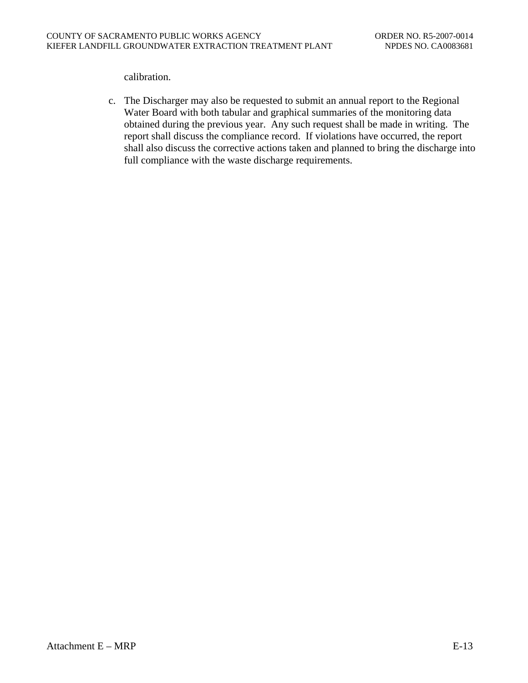calibration.

c. The Discharger may also be requested to submit an annual report to the Regional Water Board with both tabular and graphical summaries of the monitoring data obtained during the previous year. Any such request shall be made in writing. The report shall discuss the compliance record. If violations have occurred, the report shall also discuss the corrective actions taken and planned to bring the discharge into full compliance with the waste discharge requirements.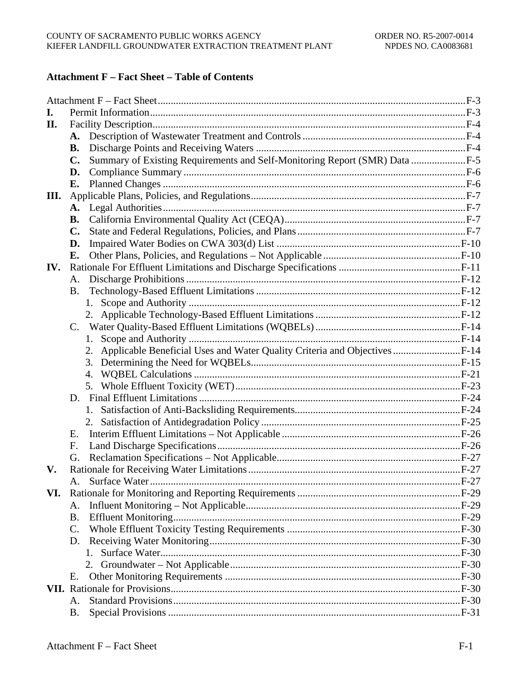# **Attachment F** – Fact Sheet – Table of Contents

| I.  |                |                                                                               |  |
|-----|----------------|-------------------------------------------------------------------------------|--|
| II. |                |                                                                               |  |
|     | A.             |                                                                               |  |
|     | В.             |                                                                               |  |
|     | $\mathbf{C}$ . | Summary of Existing Requirements and Self-Monitoring Report (SMR) Data F-5    |  |
|     | D.             |                                                                               |  |
|     | Е.             |                                                                               |  |
| Ш.  |                |                                                                               |  |
|     | A.             |                                                                               |  |
|     | В.             |                                                                               |  |
|     | $\mathbf{C}$ . |                                                                               |  |
|     | D.             |                                                                               |  |
|     | Е.             |                                                                               |  |
| IV. |                |                                                                               |  |
|     | А.             |                                                                               |  |
|     | <b>B.</b>      |                                                                               |  |
|     |                |                                                                               |  |
|     |                |                                                                               |  |
|     | $\mathbf{C}$ . |                                                                               |  |
|     |                | 1.                                                                            |  |
|     |                | 2. Applicable Beneficial Uses and Water Quality Criteria and Objectives  F-14 |  |
|     |                |                                                                               |  |
|     |                | 4.                                                                            |  |
|     |                |                                                                               |  |
|     | D.             |                                                                               |  |
|     |                |                                                                               |  |
|     |                |                                                                               |  |
|     | Е.             |                                                                               |  |
|     | F.             |                                                                               |  |
|     | G.             |                                                                               |  |
| V.  |                |                                                                               |  |
|     |                |                                                                               |  |
| VI. |                |                                                                               |  |
|     | A.             |                                                                               |  |
|     | B.             |                                                                               |  |
|     | C.             |                                                                               |  |
|     | D.             |                                                                               |  |
|     |                | 1.                                                                            |  |
|     |                |                                                                               |  |
|     | Е.             |                                                                               |  |
|     |                |                                                                               |  |
|     | Α.             |                                                                               |  |
|     | <b>B.</b>      |                                                                               |  |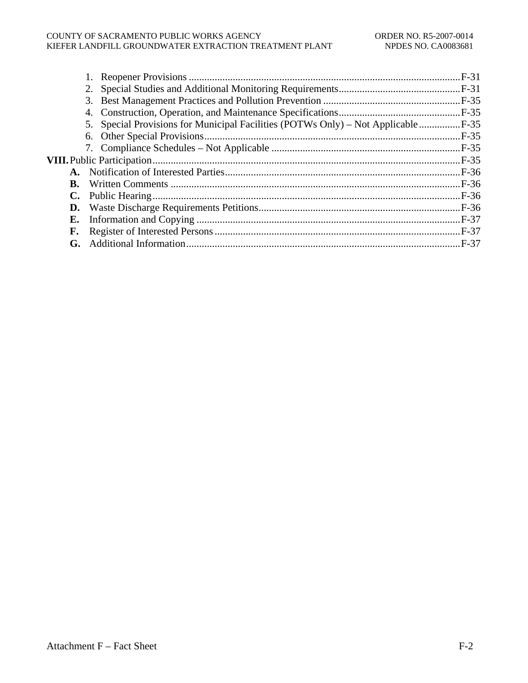#### COUNTY OF SACRAMENTO PUBLIC WORKS AGENCY ORDER NO. R5-2007-0014 KIEFER LANDFILL GROUNDWATER EXTRACTION TREATMENT PLANT NPDES NO. CA0083681

|    | 5. Special Provisions for Municipal Facilities (POTWs Only) – Not Applicable  F-35 |  |
|----|------------------------------------------------------------------------------------|--|
|    |                                                                                    |  |
|    |                                                                                    |  |
|    |                                                                                    |  |
|    |                                                                                    |  |
| B. |                                                                                    |  |
| C. |                                                                                    |  |
| D. |                                                                                    |  |
| Е. |                                                                                    |  |
| F. |                                                                                    |  |
| G. |                                                                                    |  |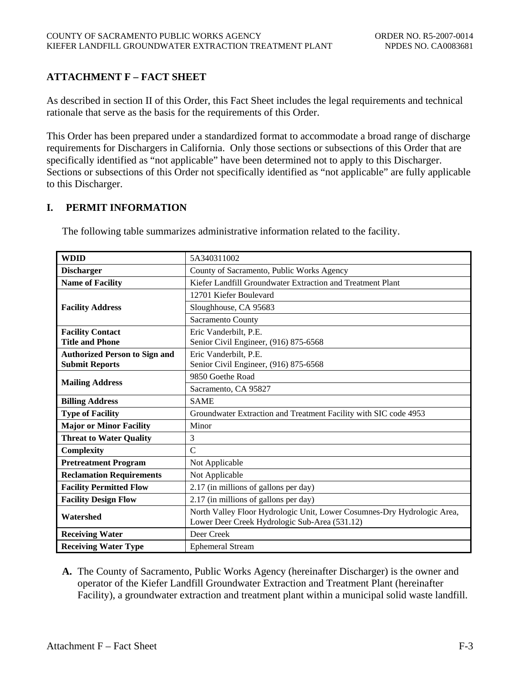# <span id="page-53-0"></span>**ATTACHMENT F – FACT SHEET**

As described in section II of this Order, this Fact Sheet includes the legal requirements and technical rationale that serve as the basis for the requirements of this Order.

This Order has been prepared under a standardized format to accommodate a broad range of discharge requirements for Dischargers in California. Only those sections or subsections of this Order that are specifically identified as "not applicable" have been determined not to apply to this Discharger. Sections or subsections of this Order not specifically identified as "not applicable" are fully applicable to this Discharger.

## **I. PERMIT INFORMATION**

| <b>WDID</b>                          | 5A340311002                                                             |  |  |
|--------------------------------------|-------------------------------------------------------------------------|--|--|
| <b>Discharger</b>                    | County of Sacramento, Public Works Agency                               |  |  |
| <b>Name of Facility</b>              | Kiefer Landfill Groundwater Extraction and Treatment Plant              |  |  |
|                                      | 12701 Kiefer Boulevard                                                  |  |  |
| <b>Facility Address</b>              | Sloughhouse, CA 95683                                                   |  |  |
|                                      | Sacramento County                                                       |  |  |
| <b>Facility Contact</b>              | Eric Vanderbilt, P.E.                                                   |  |  |
| <b>Title and Phone</b>               | Senior Civil Engineer, (916) 875-6568                                   |  |  |
| <b>Authorized Person to Sign and</b> | Eric Vanderbilt, P.E.                                                   |  |  |
| <b>Submit Reports</b>                | Senior Civil Engineer, (916) 875-6568                                   |  |  |
|                                      | 9850 Goethe Road                                                        |  |  |
| <b>Mailing Address</b>               | Sacramento, CA 95827                                                    |  |  |
| <b>Billing Address</b>               | <b>SAME</b>                                                             |  |  |
| <b>Type of Facility</b>              | Groundwater Extraction and Treatment Facility with SIC code 4953        |  |  |
| <b>Major or Minor Facility</b>       | Minor                                                                   |  |  |
| <b>Threat to Water Quality</b>       | 3                                                                       |  |  |
| <b>Complexity</b>                    | $\mathcal{C}$                                                           |  |  |
| <b>Pretreatment Program</b>          | Not Applicable                                                          |  |  |
| <b>Reclamation Requirements</b>      | Not Applicable                                                          |  |  |
| <b>Facility Permitted Flow</b>       | 2.17 (in millions of gallons per day)                                   |  |  |
| <b>Facility Design Flow</b>          | 2.17 (in millions of gallons per day)                                   |  |  |
| Watershed                            | North Valley Floor Hydrologic Unit, Lower Cosumnes-Dry Hydrologic Area, |  |  |
|                                      | Lower Deer Creek Hydrologic Sub-Area (531.12)                           |  |  |
| <b>Receiving Water</b>               | Deer Creek                                                              |  |  |
| <b>Receiving Water Type</b>          | <b>Ephemeral Stream</b>                                                 |  |  |

The following table summarizes administrative information related to the facility.

**A.** The County of Sacramento, Public Works Agency (hereinafter Discharger) is the owner and operator of the Kiefer Landfill Groundwater Extraction and Treatment Plant (hereinafter Facility), a groundwater extraction and treatment plant within a municipal solid waste landfill.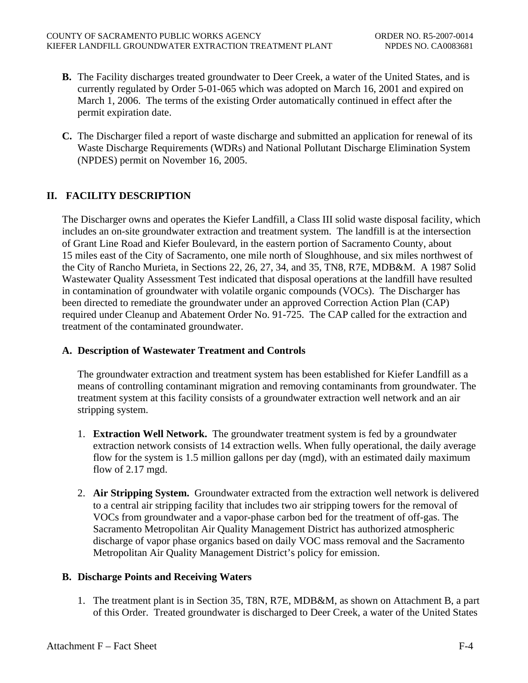- <span id="page-54-0"></span>**B.** The Facility discharges treated groundwater to Deer Creek, a water of the United States, and is currently regulated by Order 5-01-065 which was adopted on March 16, 2001 and expired on March 1, 2006. The terms of the existing Order automatically continued in effect after the permit expiration date.
- **C.** The Discharger filed a report of waste discharge and submitted an application for renewal of its Waste Discharge Requirements (WDRs) and National Pollutant Discharge Elimination System (NPDES) permit on November 16, 2005.

# **II. FACILITY DESCRIPTION**

The Discharger owns and operates the Kiefer Landfill, a Class III solid waste disposal facility, which includes an on-site groundwater extraction and treatment system. The landfill is at the intersection of Grant Line Road and Kiefer Boulevard, in the eastern portion of Sacramento County, about 15 miles east of the City of Sacramento, one mile north of Sloughhouse, and six miles northwest of the City of Rancho Murieta, in Sections 22, 26, 27, 34, and 35, TN8, R7E, MDB&M. A 1987 Solid Wastewater Quality Assessment Test indicated that disposal operations at the landfill have resulted in contamination of groundwater with volatile organic compounds (VOCs). The Discharger has been directed to remediate the groundwater under an approved Correction Action Plan (CAP) required under Cleanup and Abatement Order No. 91-725. The CAP called for the extraction and treatment of the contaminated groundwater.

# **A. Description of Wastewater Treatment and Controls**

The groundwater extraction and treatment system has been established for Kiefer Landfill as a means of controlling contaminant migration and removing contaminants from groundwater. The treatment system at this facility consists of a groundwater extraction well network and an air stripping system.

- 1. **Extraction Well Network.** The groundwater treatment system is fed by a groundwater extraction network consists of 14 extraction wells. When fully operational, the daily average flow for the system is 1.5 million gallons per day (mgd), with an estimated daily maximum flow of 2.17 mgd.
- 2. **Air Stripping System.** Groundwater extracted from the extraction well network is delivered to a central air stripping facility that includes two air stripping towers for the removal of VOCs from groundwater and a vapor-phase carbon bed for the treatment of off-gas. The Sacramento Metropolitan Air Quality Management District has authorized atmospheric discharge of vapor phase organics based on daily VOC mass removal and the Sacramento Metropolitan Air Quality Management District's policy for emission.

# **B. Discharge Points and Receiving Waters**

1. The treatment plant is in Section 35, T8N, R7E, MDB&M, as shown on Attachment B, a part of this Order. Treated groundwater is discharged to Deer Creek, a water of the United States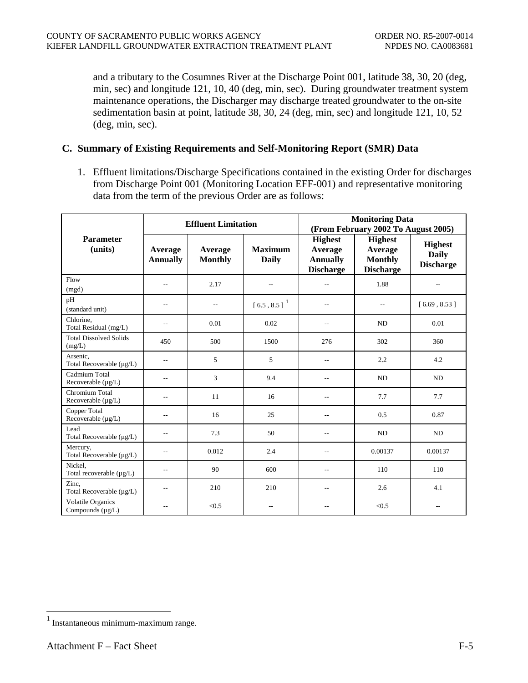<span id="page-55-0"></span>and a tributary to the Cosumnes River at the Discharge Point 001, latitude 38, 30, 20 (deg, min, sec) and longitude 121, 10, 40 (deg, min, sec). During groundwater treatment system maintenance operations, the Discharger may discharge treated groundwater to the on-site sedimentation basin at point, latitude 38, 30, 24 (deg, min, sec) and longitude 121, 10, 52 (deg, min, sec).

#### **C. Summary of Existing Requirements and Self-Monitoring Report (SMR) Data**

1. Effluent limitations/Discharge Specifications contained in the existing Order for discharges from Discharge Point 001 (Monitoring Location EFF-001) and representative monitoring data from the term of the previous Order are as follows:

|                                                   | <b>Effluent Limitation</b> |                           |                                                                         | <b>Monitoring Data</b><br>(From February 2002 To August 2005)    |                                                                 |                                                    |
|---------------------------------------------------|----------------------------|---------------------------|-------------------------------------------------------------------------|------------------------------------------------------------------|-----------------------------------------------------------------|----------------------------------------------------|
| <b>Parameter</b><br>(units)                       | Average<br><b>Annually</b> | Average<br><b>Monthly</b> | <b>Maximum</b><br><b>Daily</b>                                          | <b>Highest</b><br>Average<br><b>Annually</b><br><b>Discharge</b> | <b>Highest</b><br>Average<br><b>Monthly</b><br><b>Discharge</b> | <b>Highest</b><br><b>Daily</b><br><b>Discharge</b> |
| Flow<br>(mgd)                                     | $\overline{a}$             | 2.17                      | $\overline{a}$                                                          | $\overline{a}$                                                   | 1.88                                                            | $-$                                                |
| pH<br>(standard unit)                             | $\overline{a}$             | $\overline{a}$            | $\left[\right.6.5\right.,\left.\right.8.5\left.\right]$ $\left.\right]$ | $\overline{a}$                                                   | $\qquad \qquad -$                                               | [6.69, 8.53]                                       |
| Chlorine,<br>Total Residual (mg/L)                | $-$                        | 0.01                      | 0.02                                                                    | $-$                                                              | ND                                                              | 0.01                                               |
| <b>Total Dissolved Solids</b><br>(mg/L)           | 450                        | 500                       | 1500                                                                    | 276                                                              | 302                                                             | 360                                                |
| Arsenic,<br>Total Recoverable (µg/L)              | $\qquad \qquad -$          | 5                         | 5                                                                       | $\overline{a}$                                                   | 2.2                                                             | 4.2                                                |
| Cadmium Total<br>Recoverable (µg/L)               | $\overline{a}$             | 3                         | 9.4                                                                     |                                                                  | N <sub>D</sub>                                                  | <b>ND</b>                                          |
| Chromium Total<br>Recoverable $(\mu g/L)$         | $\overline{a}$             | 11                        | 16                                                                      |                                                                  | 7.7                                                             | 7.7                                                |
| Copper Total<br>Recoverable (µg/L)                | $\sim$                     | 16                        | 25                                                                      | $\sim$                                                           | 0.5                                                             | 0.87                                               |
| Lead<br>Total Recoverable (µg/L)                  | $\overline{\phantom{m}}$   | 7.3                       | 50                                                                      | $-$                                                              | ND                                                              | ND                                                 |
| Mercury,<br>Total Recoverable (µg/L)              | $-$                        | 0.012                     | 2.4                                                                     | $\overline{a}$                                                   | 0.00137                                                         | 0.00137                                            |
| Nickel,<br>Total recoverable $(\mu g/L)$          | $\overline{a}$             | 90                        | 600                                                                     | $\overline{a}$                                                   | 110                                                             | 110                                                |
| Zinc.<br>Total Recoverable (µg/L)                 | $\overline{a}$             | 210                       | 210                                                                     | $\overline{a}$                                                   | 2.6                                                             | 4.1                                                |
| <b>Volatile Organics</b><br>Compounds $(\mu g/L)$ | --                         | < 0.5                     | ٠.                                                                      |                                                                  | < 0.5                                                           | $-$                                                |

 $\overline{a}$ 

<span id="page-55-1"></span><sup>1</sup> Instantaneous minimum-maximum range.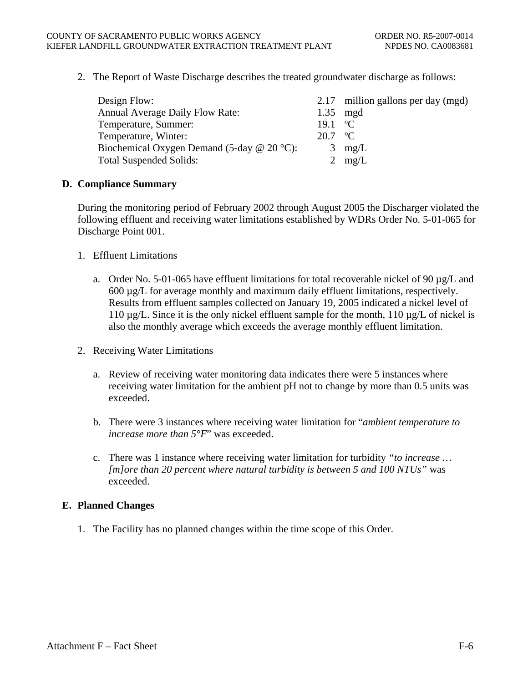<span id="page-56-0"></span>2. The Report of Waste Discharge describes the treated groundwater discharge as follows:

| Design Flow:                                      |                   | 2.17 million gallons per day (mgd) |
|---------------------------------------------------|-------------------|------------------------------------|
| <b>Annual Average Daily Flow Rate:</b>            | 1.35              | mgd                                |
| Temperature, Summer:                              | 19.1              | $^{\circ}$ C                       |
| Temperature, Winter:                              | $20.7 \text{ °C}$ |                                    |
| Biochemical Oxygen Demand (5-day $\omega$ 20 °C): | 3                 | mg/L                               |
| <b>Total Suspended Solids:</b>                    |                   | 2 $mg/L$                           |

#### **D. Compliance Summary**

During the monitoring period of February 2002 through August 2005 the Discharger violated the following effluent and receiving water limitations established by WDRs Order No. 5-01-065 for Discharge Point 001.

- 1. Effluent Limitations
	- a. Order No. 5-01-065 have effluent limitations for total recoverable nickel of 90  $\mu$ g/L and 600 µg/L for average monthly and maximum daily effluent limitations, respectively. Results from effluent samples collected on January 19, 2005 indicated a nickel level of 110  $\mu$ g/L. Since it is the only nickel effluent sample for the month, 110  $\mu$ g/L of nickel is also the monthly average which exceeds the average monthly effluent limitation.
- 2. Receiving Water Limitations
	- a. Review of receiving water monitoring data indicates there were 5 instances where receiving water limitation for the ambient pH not to change by more than 0.5 units was exceeded.
	- b. There were 3 instances where receiving water limitation for "*ambient temperature to increase more than 5°F*" was exceeded.
	- c. There was 1 instance where receiving water limitation for turbidity *"to increase … [m]ore than 20 percent where natural turbidity is between 5 and 100 NTUs"* was exceeded.

#### **E. Planned Changes**

1. The Facility has no planned changes within the time scope of this Order.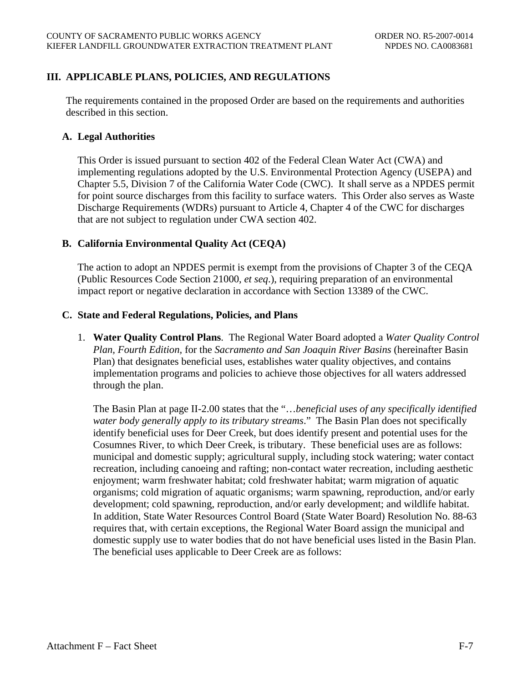## <span id="page-57-0"></span>**III. APPLICABLE PLANS, POLICIES, AND REGULATIONS**

The requirements contained in the proposed Order are based on the requirements and authorities described in this section.

#### **A. Legal Authorities**

This Order is issued pursuant to section 402 of the Federal Clean Water Act (CWA) and implementing regulations adopted by the U.S. Environmental Protection Agency (USEPA) and Chapter 5.5, Division 7 of the California Water Code (CWC). It shall serve as a NPDES permit for point source discharges from this facility to surface waters. This Order also serves as Waste Discharge Requirements (WDRs) pursuant to Article 4, Chapter 4 of the CWC for discharges that are not subject to regulation under CWA section 402.

#### **B. California Environmental Quality Act (CEQA)**

The action to adopt an NPDES permit is exempt from the provisions of Chapter 3 of the CEQA (Public Resources Code Section 21000, *et seq*.), requiring preparation of an environmental impact report or negative declaration in accordance with Section 13389 of the CWC.

#### **C. State and Federal Regulations, Policies, and Plans**

1. **Water Quality Control Plans**. The Regional Water Board adopted a *Water Quality Control Plan, Fourth Edition,* for the *Sacramento and San Joaquin River Basins* (hereinafter Basin Plan) that designates beneficial uses, establishes water quality objectives, and contains implementation programs and policies to achieve those objectives for all waters addressed through the plan.

The Basin Plan at page II-2.00 states that the "…*beneficial uses of any specifically identified water body generally apply to its tributary streams*." The Basin Plan does not specifically identify beneficial uses for Deer Creek, but does identify present and potential uses for the Cosumnes River, to which Deer Creek, is tributary. These beneficial uses are as follows: municipal and domestic supply; agricultural supply, including stock watering; water contact recreation, including canoeing and rafting; non-contact water recreation, including aesthetic enjoyment; warm freshwater habitat; cold freshwater habitat; warm migration of aquatic organisms; cold migration of aquatic organisms; warm spawning, reproduction, and/or early development; cold spawning, reproduction, and/or early development; and wildlife habitat. In addition, State Water Resources Control Board (State Water Board) Resolution No. 88-63 requires that, with certain exceptions, the Regional Water Board assign the municipal and domestic supply use to water bodies that do not have beneficial uses listed in the Basin Plan. The beneficial uses applicable to Deer Creek are as follows: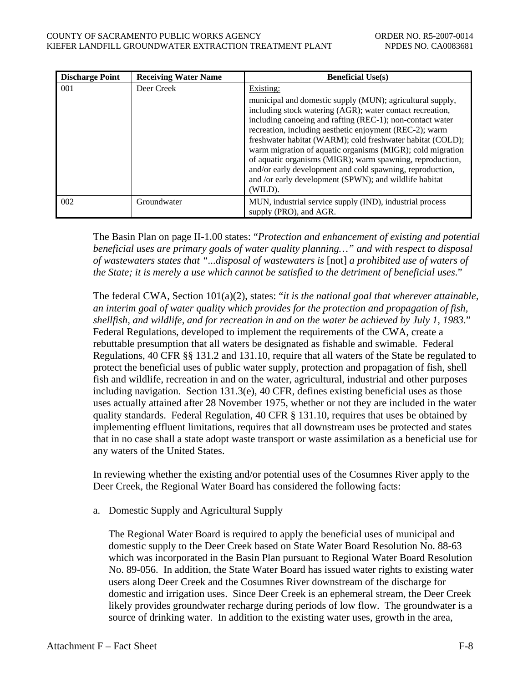| <b>Discharge Point</b> | <b>Receiving Water Name</b> | <b>Beneficial Use(s)</b>                                                                                                                                                                                                                                                                                                                                                                                                                                                                                                                                                  |
|------------------------|-----------------------------|---------------------------------------------------------------------------------------------------------------------------------------------------------------------------------------------------------------------------------------------------------------------------------------------------------------------------------------------------------------------------------------------------------------------------------------------------------------------------------------------------------------------------------------------------------------------------|
| 001                    | Deer Creek                  | Existing:                                                                                                                                                                                                                                                                                                                                                                                                                                                                                                                                                                 |
|                        |                             | municipal and domestic supply (MUN); agricultural supply,<br>including stock watering (AGR); water contact recreation,<br>including canoeing and rafting (REC-1); non-contact water<br>recreation, including aesthetic enjoyment (REC-2); warm<br>freshwater habitat (WARM); cold freshwater habitat (COLD);<br>warm migration of aquatic organisms (MIGR); cold migration<br>of aquatic organisms (MIGR); warm spawning, reproduction,<br>and/or early development and cold spawning, reproduction,<br>and /or early development (SPWN); and wildlife habitat<br>(WILD). |
| 002                    | Groundwater                 | MUN, industrial service supply (IND), industrial process<br>supply (PRO), and AGR.                                                                                                                                                                                                                                                                                                                                                                                                                                                                                        |

The Basin Plan on page II-1.00 states: "*Protection and enhancement of existing and potential beneficial uses are primary goals of water quality planning…" and with respect to disposal of wastewaters states that "...disposal of wastewaters is* [not] *a prohibited use of waters of the State; it is merely a use which cannot be satisfied to the detriment of beneficial uses*."

The federal CWA, Section 101(a)(2), states: "*it is the national goal that wherever attainable, an interim goal of water quality which provides for the protection and propagation of fish, shellfish, and wildlife, and for recreation in and on the water be achieved by July 1, 1983*." Federal Regulations, developed to implement the requirements of the CWA, create a rebuttable presumption that all waters be designated as fishable and swimable. Federal Regulations, 40 CFR §§ 131.2 and 131.10, require that all waters of the State be regulated to protect the beneficial uses of public water supply, protection and propagation of fish, shell fish and wildlife, recreation in and on the water, agricultural, industrial and other purposes including navigation. Section 131.3(e), 40 CFR, defines existing beneficial uses as those uses actually attained after 28 November 1975, whether or not they are included in the water quality standards. Federal Regulation, 40 CFR § 131.10, requires that uses be obtained by implementing effluent limitations, requires that all downstream uses be protected and states that in no case shall a state adopt waste transport or waste assimilation as a beneficial use for any waters of the United States.

In reviewing whether the existing and/or potential uses of the Cosumnes River apply to the Deer Creek, the Regional Water Board has considered the following facts:

a. Domestic Supply and Agricultural Supply

The Regional Water Board is required to apply the beneficial uses of municipal and domestic supply to the Deer Creek based on State Water Board Resolution No. 88-63 which was incorporated in the Basin Plan pursuant to Regional Water Board Resolution No. 89-056. In addition, the State Water Board has issued water rights to existing water users along Deer Creek and the Cosumnes River downstream of the discharge for domestic and irrigation uses. Since Deer Creek is an ephemeral stream, the Deer Creek likely provides groundwater recharge during periods of low flow. The groundwater is a source of drinking water. In addition to the existing water uses, growth in the area,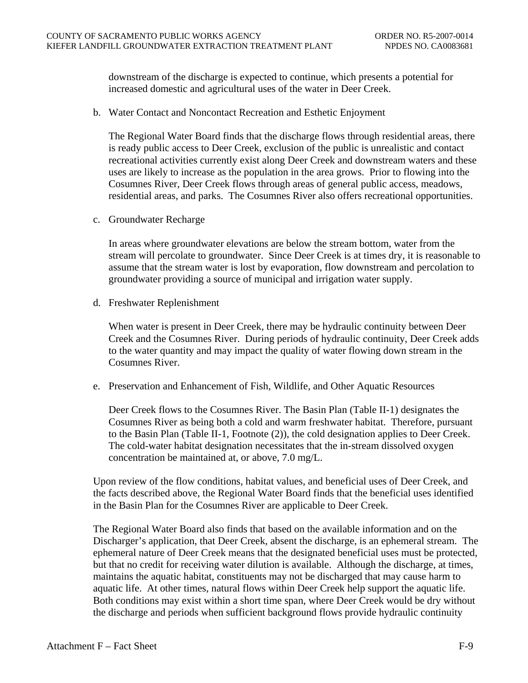downstream of the discharge is expected to continue, which presents a potential for increased domestic and agricultural uses of the water in Deer Creek.

b. Water Contact and Noncontact Recreation and Esthetic Enjoyment

The Regional Water Board finds that the discharge flows through residential areas, there is ready public access to Deer Creek, exclusion of the public is unrealistic and contact recreational activities currently exist along Deer Creek and downstream waters and these uses are likely to increase as the population in the area grows. Prior to flowing into the Cosumnes River, Deer Creek flows through areas of general public access, meadows, residential areas, and parks. The Cosumnes River also offers recreational opportunities.

c. Groundwater Recharge

In areas where groundwater elevations are below the stream bottom, water from the stream will percolate to groundwater. Since Deer Creek is at times dry, it is reasonable to assume that the stream water is lost by evaporation, flow downstream and percolation to groundwater providing a source of municipal and irrigation water supply.

d. Freshwater Replenishment

When water is present in Deer Creek, there may be hydraulic continuity between Deer Creek and the Cosumnes River. During periods of hydraulic continuity, Deer Creek adds to the water quantity and may impact the quality of water flowing down stream in the Cosumnes River.

e. Preservation and Enhancement of Fish, Wildlife, and Other Aquatic Resources

Deer Creek flows to the Cosumnes River. The Basin Plan (Table II-1) designates the Cosumnes River as being both a cold and warm freshwater habitat. Therefore, pursuant to the Basin Plan (Table II-1, Footnote (2)), the cold designation applies to Deer Creek. The cold-water habitat designation necessitates that the in-stream dissolved oxygen concentration be maintained at, or above, 7.0 mg/L.

Upon review of the flow conditions, habitat values, and beneficial uses of Deer Creek, and the facts described above, the Regional Water Board finds that the beneficial uses identified in the Basin Plan for the Cosumnes River are applicable to Deer Creek.

The Regional Water Board also finds that based on the available information and on the Discharger's application, that Deer Creek, absent the discharge, is an ephemeral stream. The ephemeral nature of Deer Creek means that the designated beneficial uses must be protected, but that no credit for receiving water dilution is available. Although the discharge, at times, maintains the aquatic habitat, constituents may not be discharged that may cause harm to aquatic life. At other times, natural flows within Deer Creek help support the aquatic life. Both conditions may exist within a short time span, where Deer Creek would be dry without the discharge and periods when sufficient background flows provide hydraulic continuity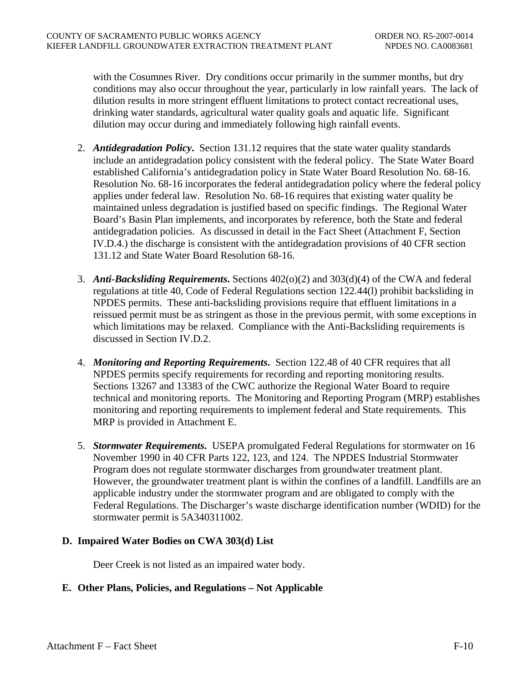<span id="page-60-0"></span>with the Cosumnes River. Dry conditions occur primarily in the summer months, but dry conditions may also occur throughout the year, particularly in low rainfall years. The lack of dilution results in more stringent effluent limitations to protect contact recreational uses, drinking water standards, agricultural water quality goals and aquatic life. Significant dilution may occur during and immediately following high rainfall events.

- 2. *Antidegradation Policy***.** Section 131.12 requires that the state water quality standards include an antidegradation policy consistent with the federal policy. The State Water Board established California's antidegradation policy in State Water Board Resolution No. 68-16. Resolution No. 68-16 incorporates the federal antidegradation policy where the federal policy applies under federal law. Resolution No. 68-16 requires that existing water quality be maintained unless degradation is justified based on specific findings. The Regional Water Board's Basin Plan implements, and incorporates by reference, both the State and federal antidegradation policies. As discussed in detail in the Fact Sheet (Attachment F, Section IV.D.4.) the discharge is consistent with the antidegradation provisions of 40 CFR section 131.12 and State Water Board Resolution 68-16.
- 3. *Anti-Backsliding Requirements***.** Sections 402(o)(2) and 303(d)(4) of the CWA and federal regulations at title 40, Code of Federal Regulations section 122.44(l) prohibit backsliding in NPDES permits. These anti-backsliding provisions require that effluent limitations in a reissued permit must be as stringent as those in the previous permit, with some exceptions in which limitations may be relaxed. Compliance with the Anti-Backsliding requirements is discussed in Section IV.D.2.
- 4. *Monitoring and Reporting Requirements***.** Section 122.48 of 40 CFR requires that all NPDES permits specify requirements for recording and reporting monitoring results. Sections 13267 and 13383 of the CWC authorize the Regional Water Board to require technical and monitoring reports. The Monitoring and Reporting Program (MRP) establishes monitoring and reporting requirements to implement federal and State requirements. This MRP is provided in Attachment E.
- 5. *Stormwater Requirements***.** USEPA promulgated Federal Regulations for stormwater on 16 November 1990 in 40 CFR Parts 122, 123, and 124. The NPDES Industrial Stormwater Program does not regulate stormwater discharges from groundwater treatment plant. However, the groundwater treatment plant is within the confines of a landfill. Landfills are an applicable industry under the stormwater program and are obligated to comply with the Federal Regulations. The Discharger's waste discharge identification number (WDID) for the stormwater permit is 5A340311002.

#### **D. Impaired Water Bodies on CWA 303(d) List**

Deer Creek is not listed as an impaired water body.

# **E. Other Plans, Policies, and Regulations – Not Applicable**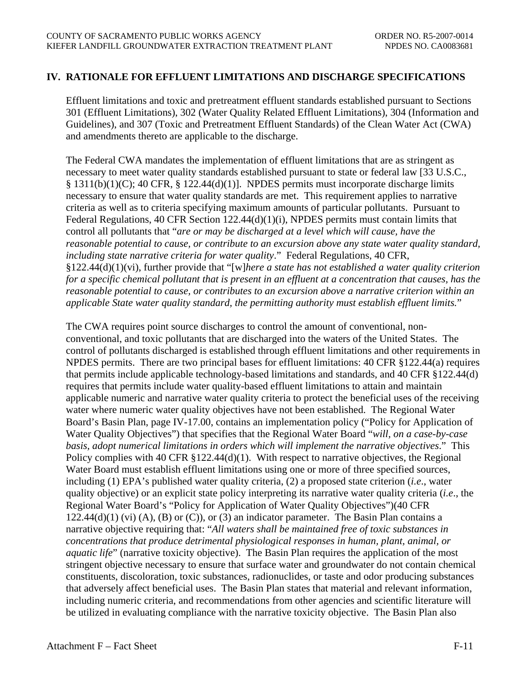## <span id="page-61-0"></span>**IV. RATIONALE FOR EFFLUENT LIMITATIONS AND DISCHARGE SPECIFICATIONS**

Effluent limitations and toxic and pretreatment effluent standards established pursuant to Sections 301 (Effluent Limitations), 302 (Water Quality Related Effluent Limitations), 304 (Information and Guidelines), and 307 (Toxic and Pretreatment Effluent Standards) of the Clean Water Act (CWA) and amendments thereto are applicable to the discharge.

The Federal CWA mandates the implementation of effluent limitations that are as stringent as necessary to meet water quality standards established pursuant to state or federal law [33 U.S.C., § 1311(b)(1)(C); 40 CFR, § 122.44(d)(1)]. NPDES permits must incorporate discharge limits necessary to ensure that water quality standards are met. This requirement applies to narrative criteria as well as to criteria specifying maximum amounts of particular pollutants. Pursuant to Federal Regulations, 40 CFR Section 122.44(d)(1)(i), NPDES permits must contain limits that control all pollutants that "*are or may be discharged at a level which will cause, have the reasonable potential to cause, or contribute to an excursion above any state water quality standard, including state narrative criteria for water quality*." Federal Regulations, 40 CFR, §122.44(d)(1)(vi), further provide that "[w]*here a state has not established a water quality criterion for a specific chemical pollutant that is present in an effluent at a concentration that causes, has the reasonable potential to cause, or contributes to an excursion above a narrative criterion within an applicable State water quality standard, the permitting authority must establish effluent limits.*"

The CWA requires point source discharges to control the amount of conventional, nonconventional, and toxic pollutants that are discharged into the waters of the United States. The control of pollutants discharged is established through effluent limitations and other requirements in NPDES permits. There are two principal bases for effluent limitations: 40 CFR §122.44(a) requires that permits include applicable technology-based limitations and standards, and 40 CFR §122.44(d) requires that permits include water quality-based effluent limitations to attain and maintain applicable numeric and narrative water quality criteria to protect the beneficial uses of the receiving water where numeric water quality objectives have not been established. The Regional Water Board's Basin Plan, page IV-17.00, contains an implementation policy ("Policy for Application of Water Quality Objectives") that specifies that the Regional Water Board "*will, on a case-by-case basis, adopt numerical limitations in orders which will implement the narrative objectives*." This Policy complies with 40 CFR §122.44(d)(1). With respect to narrative objectives, the Regional Water Board must establish effluent limitations using one or more of three specified sources, including (1) EPA's published water quality criteria, (2) a proposed state criterion (*i.e*., water quality objective) or an explicit state policy interpreting its narrative water quality criteria (*i.e*., the Regional Water Board's "Policy for Application of Water Quality Objectives")(40 CFR  $122.44(d)(1)$  (vi) (A), (B) or (C)), or (3) an indicator parameter. The Basin Plan contains a narrative objective requiring that: "*All waters shall be maintained free of toxic substances in concentrations that produce detrimental physiological responses in human, plant, animal, or aquatic life*" (narrative toxicity objective). The Basin Plan requires the application of the most stringent objective necessary to ensure that surface water and groundwater do not contain chemical constituents, discoloration, toxic substances, radionuclides, or taste and odor producing substances that adversely affect beneficial uses. The Basin Plan states that material and relevant information, including numeric criteria, and recommendations from other agencies and scientific literature will be utilized in evaluating compliance with the narrative toxicity objective. The Basin Plan also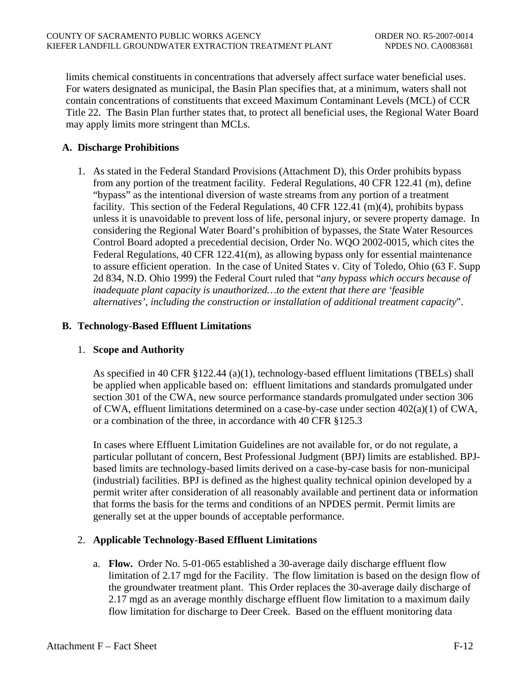<span id="page-62-0"></span>limits chemical constituents in concentrations that adversely affect surface water beneficial uses. For waters designated as municipal, the Basin Plan specifies that, at a minimum, waters shall not contain concentrations of constituents that exceed Maximum Contaminant Levels (MCL) of CCR Title 22. The Basin Plan further states that, to protect all beneficial uses, the Regional Water Board may apply limits more stringent than MCLs.

## **A. Discharge Prohibitions**

1. As stated in the Federal Standard Provisions (Attachment D), this Order prohibits bypass from any portion of the treatment facility*.* Federal Regulations, 40 CFR 122.41 (m), define "bypass" as the intentional diversion of waste streams from any portion of a treatment facility. This section of the Federal Regulations, 40 CFR 122.41 (m)(4), prohibits bypass unless it is unavoidable to prevent loss of life, personal injury, or severe property damage. In considering the Regional Water Board's prohibition of bypasses, the State Water Resources Control Board adopted a precedential decision, Order No. WQO 2002-0015, which cites the Federal Regulations, 40 CFR 122.41(m), as allowing bypass only for essential maintenance to assure efficient operation. In the case of United States v. City of Toledo, Ohio (63 F. Supp 2d 834, N.D. Ohio 1999) the Federal Court ruled that "*any bypass which occurs because of inadequate plant capacity is unauthorized…to the extent that there are 'feasible alternatives', including the construction or installation of additional treatment capacity*".

#### **B. Technology-Based Effluent Limitations**

#### 1. **Scope and Authority**

As specified in 40 CFR §122.44 (a)(1), technology-based effluent limitations (TBELs) shall be applied when applicable based on: effluent limitations and standards promulgated under section 301 of the CWA, new source performance standards promulgated under section 306 of CWA, effluent limitations determined on a case-by-case under section 402(a)(1) of CWA, or a combination of the three, in accordance with 40 CFR §125.3

In cases where Effluent Limitation Guidelines are not available for, or do not regulate, a particular pollutant of concern, Best Professional Judgment (BPJ) limits are established. BPJbased limits are technology-based limits derived on a case-by-case basis for non-municipal (industrial) facilities. BPJ is defined as the highest quality technical opinion developed by a permit writer after consideration of all reasonably available and pertinent data or information that forms the basis for the terms and conditions of an NPDES permit. Permit limits are generally set at the upper bounds of acceptable performance.

# 2. **Applicable Technology-Based Effluent Limitations**

a. **Flow.** Order No. 5-01-065 established a 30-average daily discharge effluent flow limitation of 2.17 mgd for the Facility. The flow limitation is based on the design flow of the groundwater treatment plant. This Order replaces the 30-average daily discharge of 2.17 mgd as an average monthly discharge effluent flow limitation to a maximum daily flow limitation for discharge to Deer Creek. Based on the effluent monitoring data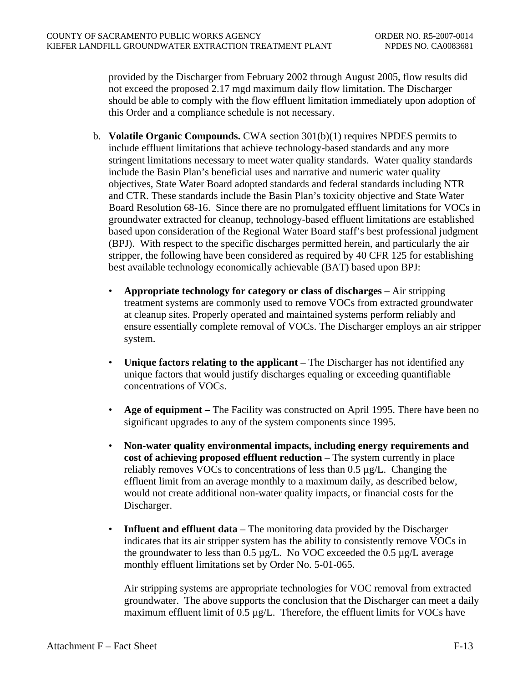provided by the Discharger from February 2002 through August 2005, flow results did not exceed the proposed 2.17 mgd maximum daily flow limitation. The Discharger should be able to comply with the flow effluent limitation immediately upon adoption of this Order and a compliance schedule is not necessary.

- b. **Volatile Organic Compounds.** CWA section 301(b)(1) requires NPDES permits to include effluent limitations that achieve technology-based standards and any more stringent limitations necessary to meet water quality standards. Water quality standards include the Basin Plan's beneficial uses and narrative and numeric water quality objectives, State Water Board adopted standards and federal standards including NTR and CTR. These standards include the Basin Plan's toxicity objective and State Water Board Resolution 68-16. Since there are no promulgated effluent limitations for VOCs in groundwater extracted for cleanup, technology-based effluent limitations are established based upon consideration of the Regional Water Board staff's best professional judgment (BPJ). With respect to the specific discharges permitted herein, and particularly the air stripper, the following have been considered as required by 40 CFR 125 for establishing best available technology economically achievable (BAT) based upon BPJ:
	- **Appropriate technology for category or class of discharges** Air stripping treatment systems are commonly used to remove VOCs from extracted groundwater at cleanup sites. Properly operated and maintained systems perform reliably and ensure essentially complete removal of VOCs. The Discharger employs an air stripper system.
	- **Unique factors relating to the applicant** The Discharger has not identified any unique factors that would justify discharges equaling or exceeding quantifiable concentrations of VOCs.
	- **Age of equipment** The Facility was constructed on April 1995. There have been no significant upgrades to any of the system components since 1995.
	- **Non-water quality environmental impacts, including energy requirements and cost of achieving proposed effluent reduction** – The system currently in place reliably removes VOCs to concentrations of less than 0.5 µg/L. Changing the effluent limit from an average monthly to a maximum daily, as described below, would not create additional non-water quality impacts, or financial costs for the Discharger.
	- **Influent and effluent data** The monitoring data provided by the Discharger indicates that its air stripper system has the ability to consistently remove VOCs in the groundwater to less than  $0.5 \mu g/L$ . No VOC exceeded the  $0.5 \mu g/L$  average monthly effluent limitations set by Order No. 5-01-065.

Air stripping systems are appropriate technologies for VOC removal from extracted groundwater. The above supports the conclusion that the Discharger can meet a daily maximum effluent limit of 0.5 µg/L. Therefore, the effluent limits for VOCs have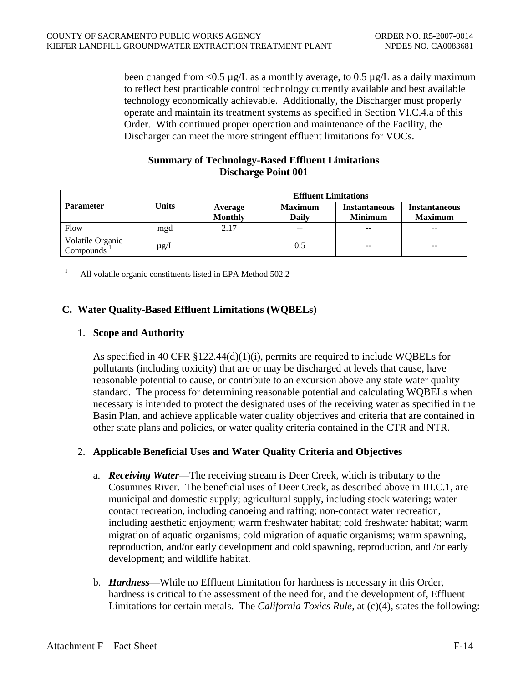<span id="page-64-0"></span>been changed from  $\langle 0.5 \mu g/L \rangle$  as a monthly average, to 0.5  $\mu g/L$  as a daily maximum to reflect best practicable control technology currently available and best available technology economically achievable. Additionally, the Discharger must properly operate and maintain its treatment systems as specified in Section VI.C.4.a of this Order. With continued proper operation and maintenance of the Facility, the Discharger can meet the more stringent effluent limitations for VOCs.

#### **Summary of Technology-Based Effluent Limitations Discharge Point 001**

|                                            | Units     | <b>Effluent Limitations</b> |                          |                                        |                                        |
|--------------------------------------------|-----------|-----------------------------|--------------------------|----------------------------------------|----------------------------------------|
| <b>Parameter</b>                           |           | Average<br><b>Monthly</b>   | <b>Maximum</b><br>Daily  | <b>Instantaneous</b><br><b>Minimum</b> | <b>Instantaneous</b><br><b>Maximum</b> |
| Flow                                       | mgd       | 2.17                        | $\overline{\phantom{m}}$ | $\sim$                                 | $\overline{\phantom{a}}$               |
| Volatile Organic<br>Compounds <sup>1</sup> | $\mu$ g/L |                             | 0.5                      | $- -$                                  | $- -$                                  |

<span id="page-64-1"></span>1 All volatile organic constituents listed in EPA Method 502.2

## **C. Water Quality-Based Effluent Limitations (WQBELs)**

#### 1. **Scope and Authority**

As specified in 40 CFR  $\S 122.44(d)(1)(i)$ , permits are required to include WQBELs for pollutants (including toxicity) that are or may be discharged at levels that cause, have reasonable potential to cause, or contribute to an excursion above any state water quality standard. The process for determining reasonable potential and calculating WQBELs when necessary is intended to protect the designated uses of the receiving water as specified in the Basin Plan, and achieve applicable water quality objectives and criteria that are contained in other state plans and policies, or water quality criteria contained in the CTR and NTR.

#### 2. **Applicable Beneficial Uses and Water Quality Criteria and Objectives**

- a. *Receiving Water*—The receiving stream is Deer Creek, which is tributary to the Cosumnes River. The beneficial uses of Deer Creek, as described above in III.C.1, are municipal and domestic supply; agricultural supply, including stock watering; water contact recreation, including canoeing and rafting; non-contact water recreation, including aesthetic enjoyment; warm freshwater habitat; cold freshwater habitat; warm migration of aquatic organisms; cold migration of aquatic organisms; warm spawning, reproduction, and/or early development and cold spawning, reproduction, and /or early development; and wildlife habitat.
- b. *Hardness*—While no Effluent Limitation for hardness is necessary in this Order, hardness is critical to the assessment of the need for, and the development of, Effluent Limitations for certain metals. The *California Toxics Rule*, at (c)(4), states the following: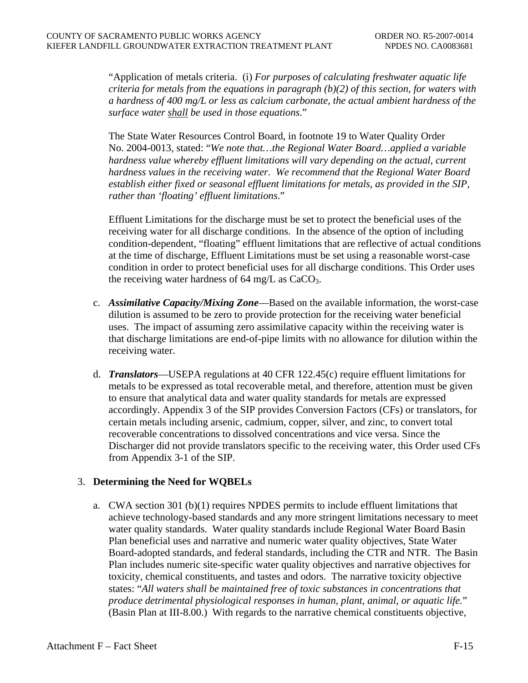<span id="page-65-0"></span>"Application of metals criteria. (i) *For purposes of calculating freshwater aquatic life criteria for metals from the equations in paragraph (b)(2) of this section, for waters with a hardness of 400 mg/L or less as calcium carbonate, the actual ambient hardness of the surface water shall be used in those equations*."

The State Water Resources Control Board, in footnote 19 to Water Quality Order No. 2004-0013, stated: "*We note that…the Regional Water Board…applied a variable hardness value whereby effluent limitations will vary depending on the actual, current hardness values in the receiving water. We recommend that the Regional Water Board establish either fixed or seasonal effluent limitations for metals, as provided in the SIP, rather than 'floating' effluent limitations*."

Effluent Limitations for the discharge must be set to protect the beneficial uses of the receiving water for all discharge conditions. In the absence of the option of including condition-dependent, "floating" effluent limitations that are reflective of actual conditions at the time of discharge, Effluent Limitations must be set using a reasonable worst-case condition in order to protect beneficial uses for all discharge conditions. This Order uses the receiving water hardness of  $64 \text{ mg/L}$  as  $CaCO<sub>3</sub>$ .

- c. *Assimilative Capacity/Mixing Zone*—Based on the available information, the worst-case dilution is assumed to be zero to provide protection for the receiving water beneficial uses. The impact of assuming zero assimilative capacity within the receiving water is that discharge limitations are end-of-pipe limits with no allowance for dilution within the receiving water.
- d. *Translators*—USEPA regulations at 40 CFR 122.45(c) require effluent limitations for metals to be expressed as total recoverable metal, and therefore, attention must be given to ensure that analytical data and water quality standards for metals are expressed accordingly. Appendix 3 of the SIP provides Conversion Factors (CFs) or translators, for certain metals including arsenic, cadmium, copper, silver, and zinc, to convert total recoverable concentrations to dissolved concentrations and vice versa. Since the Discharger did not provide translators specific to the receiving water, this Order used CFs from Appendix 3-1 of the SIP.

#### 3. **Determining the Need for WQBELs**

a. CWA section 301 (b)(1) requires NPDES permits to include effluent limitations that achieve technology-based standards and any more stringent limitations necessary to meet water quality standards. Water quality standards include Regional Water Board Basin Plan beneficial uses and narrative and numeric water quality objectives, State Water Board-adopted standards, and federal standards, including the CTR and NTR. The Basin Plan includes numeric site-specific water quality objectives and narrative objectives for toxicity, chemical constituents, and tastes and odors. The narrative toxicity objective states: "*All waters shall be maintained free of toxic substances in concentrations that produce detrimental physiological responses in human, plant, animal, or aquatic life.*" (Basin Plan at III-8.00.) With regards to the narrative chemical constituents objective,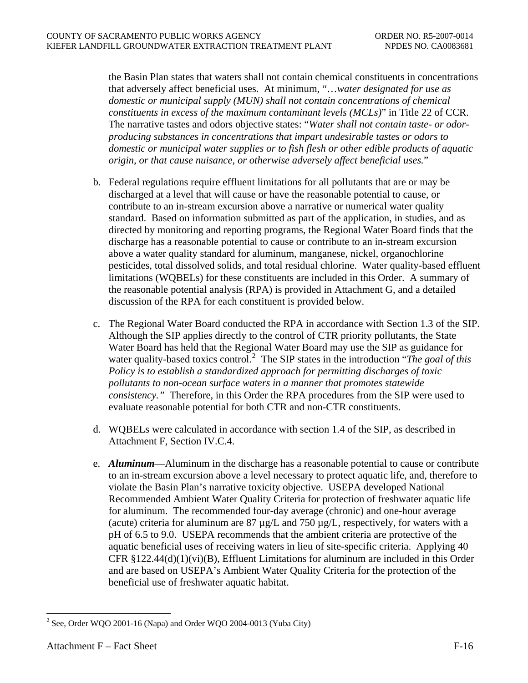the Basin Plan states that waters shall not contain chemical constituents in concentrations that adversely affect beneficial uses. At minimum, "…*water designated for use as domestic or municipal supply (MUN) shall not contain concentrations of chemical constituents in excess of the maximum contaminant levels (MCLs)*" in Title 22 of CCR. The narrative tastes and odors objective states: "*Water shall not contain taste- or odorproducing substances in concentrations that impart undesirable tastes or odors to domestic or municipal water supplies or to fish flesh or other edible products of aquatic origin, or that cause nuisance, or otherwise adversely affect beneficial uses.*"

- b. Federal regulations require effluent limitations for all pollutants that are or may be discharged at a level that will cause or have the reasonable potential to cause, or contribute to an in-stream excursion above a narrative or numerical water quality standard. Based on information submitted as part of the application, in studies, and as directed by monitoring and reporting programs, the Regional Water Board finds that the discharge has a reasonable potential to cause or contribute to an in-stream excursion above a water quality standard for aluminum, manganese, nickel, organochlorine pesticides, total dissolved solids, and total residual chlorine. Water quality-based effluent limitations (WQBELs) for these constituents are included in this Order. A summary of the reasonable potential analysis (RPA) is provided in Attachment G, and a detailed discussion of the RPA for each constituent is provided below.
- c. The Regional Water Board conducted the RPA in accordance with Section 1.3 of the SIP. Although the SIP applies directly to the control of CTR priority pollutants, the State Water Board has held that the Regional Water Board may use the SIP as guidance for water quality-based toxics control.<sup>[2](#page-66-0)</sup> The SIP states in the introduction "*The goal of this Policy is to establish a standardized approach for permitting discharges of toxic pollutants to non-ocean surface waters in a manner that promotes statewide consistency."* Therefore, in this Order the RPA procedures from the SIP were used to evaluate reasonable potential for both CTR and non-CTR constituents.
- d. WQBELs were calculated in accordance with section 1.4 of the SIP, as described in Attachment F, Section IV.C.4.
- e. *Aluminum*—Aluminum in the discharge has a reasonable potential to cause or contribute to an in-stream excursion above a level necessary to protect aquatic life, and, therefore to violate the Basin Plan's narrative toxicity objective. USEPA developed National Recommended Ambient Water Quality Criteria for protection of freshwater aquatic life for aluminum. The recommended four-day average (chronic) and one-hour average (acute) criteria for aluminum are  $87 \mu g/L$  and  $750 \mu g/L$ , respectively, for waters with a pH of 6.5 to 9.0. USEPA recommends that the ambient criteria are protective of the aquatic beneficial uses of receiving waters in lieu of site-specific criteria.Applying 40 CFR  $\S 122.44(d)(1)(vi)(B)$ , Effluent Limitations for aluminum are included in this Order and are based on USEPA's Ambient Water Quality Criteria for the protection of the beneficial use of freshwater aquatic habitat.

<span id="page-66-0"></span><sup>&</sup>lt;sup>2</sup> See, Order WQO 2001-16 (Napa) and Order WQO 2004-0013 (Yuba City)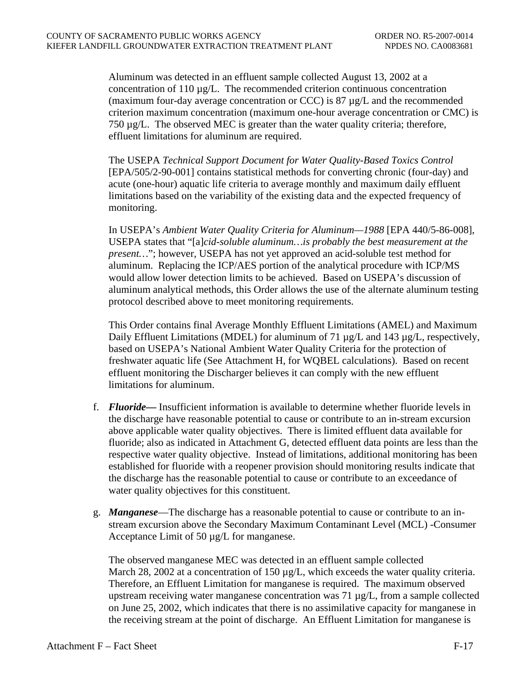Aluminum was detected in an effluent sample collected August 13, 2002 at a concentration of 110 µg/L. The recommended criterion continuous concentration (maximum four-day average concentration or CCC) is 87  $\mu$ g/L and the recommended criterion maximum concentration (maximum one-hour average concentration or CMC) is 750 µg/L. The observed MEC is greater than the water quality criteria; therefore, effluent limitations for aluminum are required.

The USEPA *Technical Support Document for Water Quality-Based Toxics Control* [EPA/505/2-90-001] contains statistical methods for converting chronic (four-day) and acute (one-hour) aquatic life criteria to average monthly and maximum daily effluent limitations based on the variability of the existing data and the expected frequency of monitoring.

In USEPA's *Ambient Water Quality Criteria for Aluminum—1988* [EPA 440/5-86-008], USEPA states that "[a]*cid-soluble aluminum…is probably the best measurement at the present…*"; however, USEPA has not yet approved an acid-soluble test method for aluminum. Replacing the ICP/AES portion of the analytical procedure with ICP/MS would allow lower detection limits to be achieved. Based on USEPA's discussion of aluminum analytical methods, this Order allows the use of the alternate aluminum testing protocol described above to meet monitoring requirements.

This Order contains final Average Monthly Effluent Limitations (AMEL) and Maximum Daily Effluent Limitations (MDEL) for aluminum of 71  $\mu$ g/L and 143  $\mu$ g/L, respectively, based on USEPA's National Ambient Water Quality Criteria for the protection of freshwater aquatic life (See Attachment H, for WQBEL calculations). Based on recent effluent monitoring the Discharger believes it can comply with the new effluent limitations for aluminum.

- f. *Fluoride—* Insufficient information is available to determine whether fluoride levels in the discharge have reasonable potential to cause or contribute to an in-stream excursion above applicable water quality objectives. There is limited effluent data available for fluoride; also as indicated in Attachment G, detected effluent data points are less than the respective water quality objective. Instead of limitations, additional monitoring has been established for fluoride with a reopener provision should monitoring results indicate that the discharge has the reasonable potential to cause or contribute to an exceedance of water quality objectives for this constituent.
- g. *Manganese*—The discharge has a reasonable potential to cause or contribute to an instream excursion above the Secondary Maximum Contaminant Level (MCL) -Consumer Acceptance Limit of 50  $\mu$ g/L for manganese.

The observed manganese MEC was detected in an effluent sample collected March 28, 2002 at a concentration of 150  $\mu$ g/L, which exceeds the water quality criteria. Therefore, an Effluent Limitation for manganese is required. The maximum observed upstream receiving water manganese concentration was 71 µg/L, from a sample collected on June 25, 2002, which indicates that there is no assimilative capacity for manganese in the receiving stream at the point of discharge. An Effluent Limitation for manganese is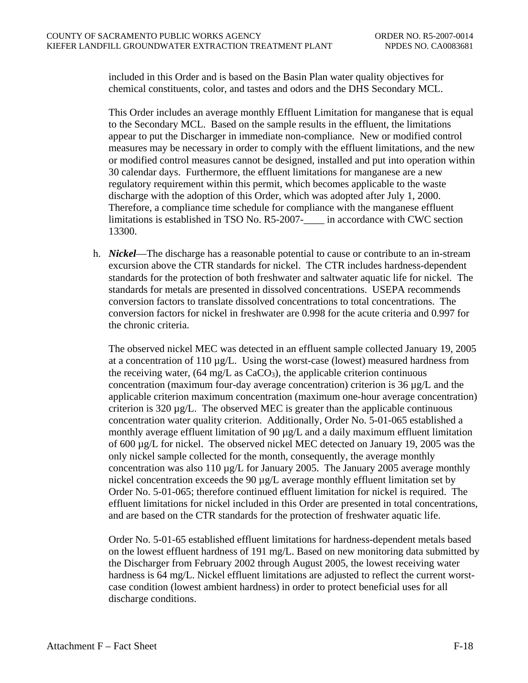included in this Order and is based on the Basin Plan water quality objectives for chemical constituents, color, and tastes and odors and the DHS Secondary MCL.

This Order includes an average monthly Effluent Limitation for manganese that is equal to the Secondary MCL. Based on the sample results in the effluent, the limitations appear to put the Discharger in immediate non-compliance. New or modified control measures may be necessary in order to comply with the effluent limitations, and the new or modified control measures cannot be designed, installed and put into operation within 30 calendar days. Furthermore, the effluent limitations for manganese are a new regulatory requirement within this permit, which becomes applicable to the waste discharge with the adoption of this Order, which was adopted after July 1, 2000. Therefore, a compliance time schedule for compliance with the manganese effluent limitations is established in TSO No. R5-2007- in accordance with CWC section 13300.

h. *Nickel*—The discharge has a reasonable potential to cause or contribute to an in-stream excursion above the CTR standards for nickel. The CTR includes hardness-dependent standards for the protection of both freshwater and saltwater aquatic life for nickel. The standards for metals are presented in dissolved concentrations. USEPA recommends conversion factors to translate dissolved concentrations to total concentrations. The conversion factors for nickel in freshwater are 0.998 for the acute criteria and 0.997 for the chronic criteria.

The observed nickel MEC was detected in an effluent sample collected January 19, 2005 at a concentration of 110 µg/L. Using the worst-case (lowest) measured hardness from the receiving water,  $(64 \text{ mg/L as } CaCO<sub>3</sub>)$ , the applicable criterion continuous concentration (maximum four-day average concentration) criterion is 36 µg/L and the applicable criterion maximum concentration (maximum one-hour average concentration) criterion is  $320 \mu g/L$ . The observed MEC is greater than the applicable continuous concentration water quality criterion. Additionally, Order No. 5-01-065 established a monthly average effluent limitation of 90  $\mu$ g/L and a daily maximum effluent limitation of 600 µg/L for nickel. The observed nickel MEC detected on January 19, 2005 was the only nickel sample collected for the month, consequently, the average monthly concentration was also 110  $\mu$ g/L for January 2005. The January 2005 average monthly nickel concentration exceeds the 90 µg/L average monthly effluent limitation set by Order No. 5-01-065; therefore continued effluent limitation for nickel is required. The effluent limitations for nickel included in this Order are presented in total concentrations, and are based on the CTR standards for the protection of freshwater aquatic life.

Order No. 5-01-65 established effluent limitations for hardness-dependent metals based on the lowest effluent hardness of 191 mg/L. Based on new monitoring data submitted by the Discharger from February 2002 through August 2005, the lowest receiving water hardness is 64 mg/L. Nickel effluent limitations are adjusted to reflect the current worstcase condition (lowest ambient hardness) in order to protect beneficial uses for all discharge conditions.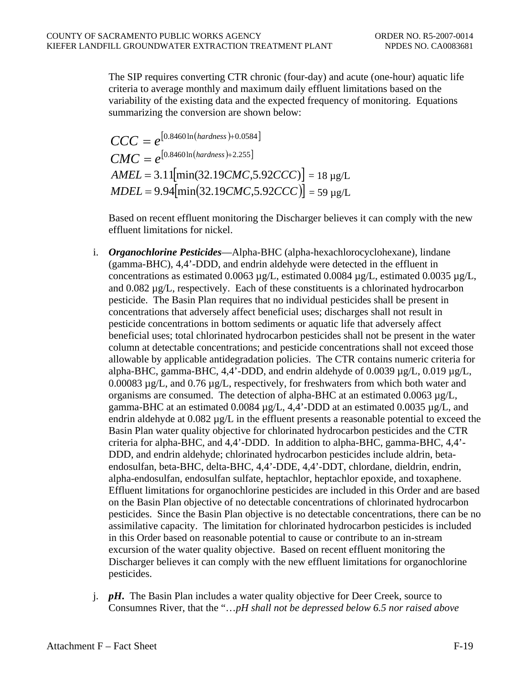The SIP requires converting CTR chronic (four-day) and acute (one-hour) aquatic life criteria to average monthly and maximum daily effluent limitations based on the variability of the existing data and the expected frequency of monitoring. Equations summarizing the conversion are shown below:

$$
CCC = e^{[0.8460 \ln(hardness) + 0.0584]}
$$
  
\n
$$
CMC = e^{[0.8460 \ln(hardness) + 2.255]}
$$
  
\n
$$
AMEL = 3.11[\min(32.19CMC, 5.92CCC)] = 18 \mu g/L
$$
  
\n
$$
MDEL = 9.94[\min(32.19CMC, 5.92CCC)] = 59 \mu g/L
$$

Based on recent effluent monitoring the Discharger believes it can comply with the new effluent limitations for nickel.

- i. *Organochlorine Pesticides*—Alpha-BHC (alpha-hexachlorocyclohexane), lindane (gamma-BHC), 4,4'-DDD, and endrin aldehyde were detected in the effluent in concentrations as estimated 0.0063  $\mu$ g/L, estimated 0.0084  $\mu$ g/L, estimated 0.0035  $\mu$ g/L, and  $0.082 \mu g/L$ , respectively. Each of these constituents is a chlorinated hydrocarbon pesticide. The Basin Plan requires that no individual pesticides shall be present in concentrations that adversely affect beneficial uses; discharges shall not result in pesticide concentrations in bottom sediments or aquatic life that adversely affect beneficial uses; total chlorinated hydrocarbon pesticides shall not be present in the water column at detectable concentrations; and pesticide concentrations shall not exceed those allowable by applicable antidegradation policies. The CTR contains numeric criteria for alpha-BHC, gamma-BHC, 4,4'-DDD, and endrin aldehyde of 0.0039 µg/L, 0.019 µg/L, 0.00083 µg/L, and 0.76 µg/L, respectively, for freshwaters from which both water and organisms are consumed. The detection of alpha-BHC at an estimated  $0.0063 \mu g/L$ , gamma-BHC at an estimated 0.0084  $\mu$ g/L, 4,4'-DDD at an estimated 0.0035  $\mu$ g/L, and endrin aldehyde at  $0.082 \mu g/L$  in the effluent presents a reasonable potential to exceed the Basin Plan water quality objective for chlorinated hydrocarbon pesticides and the CTR criteria for alpha-BHC, and 4,4'-DDD. In addition to alpha-BHC, gamma-BHC, 4,4'- DDD, and endrin aldehyde; chlorinated hydrocarbon pesticides include aldrin, betaendosulfan, beta-BHC, delta-BHC, 4,4'-DDE, 4,4'-DDT, chlordane, dieldrin, endrin, alpha-endosulfan, endosulfan sulfate, heptachlor, heptachlor epoxide, and toxaphene. Effluent limitations for organochlorine pesticides are included in this Order and are based on the Basin Plan objective of no detectable concentrations of chlorinated hydrocarbon pesticides. Since the Basin Plan objective is no detectable concentrations, there can be no assimilative capacity. The limitation for chlorinated hydrocarbon pesticides is included in this Order based on reasonable potential to cause or contribute to an in-stream excursion of the water quality objective. Based on recent effluent monitoring the Discharger believes it can comply with the new effluent limitations for organochlorine pesticides.
- j. *pH***.** The Basin Plan includes a water quality objective for Deer Creek, source to Consumnes River, that the "…*pH shall not be depressed below 6.5 nor raised above*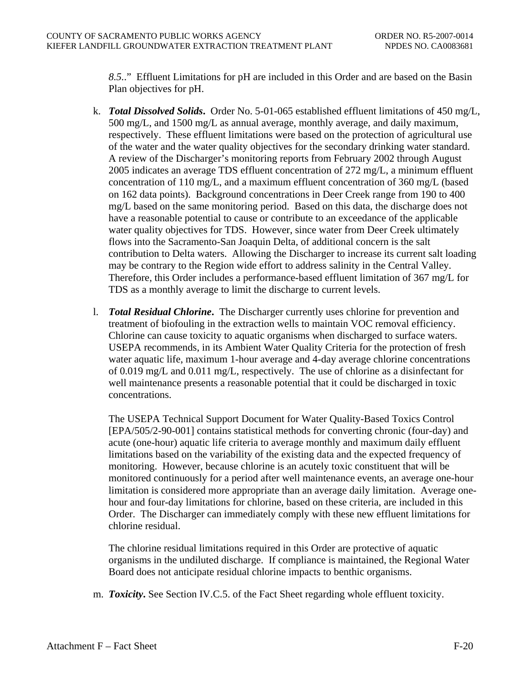*8.5.*." Effluent Limitations for pH are included in this Order and are based on the Basin Plan objectives for pH.

- k. *Total Dissolved Solids***.** Order No. 5-01-065 established effluent limitations of 450 mg/L, 500 mg/L, and 1500 mg/L as annual average, monthly average, and daily maximum, respectively. These effluent limitations were based on the protection of agricultural use of the water and the water quality objectives for the secondary drinking water standard. A review of the Discharger's monitoring reports from February 2002 through August 2005 indicates an average TDS effluent concentration of 272 mg/L, a minimum effluent concentration of 110 mg/L, and a maximum effluent concentration of 360 mg/L (based on 162 data points). Background concentrations in Deer Creek range from 190 to 400 mg/L based on the same monitoring period. Based on this data, the discharge does not have a reasonable potential to cause or contribute to an exceedance of the applicable water quality objectives for TDS. However, since water from Deer Creek ultimately flows into the Sacramento-San Joaquin Delta, of additional concern is the salt contribution to Delta waters. Allowing the Discharger to increase its current salt loading may be contrary to the Region wide effort to address salinity in the Central Valley. Therefore, this Order includes a performance-based effluent limitation of 367 mg/L for TDS as a monthly average to limit the discharge to current levels.
- l. *Total Residual Chlorine***.** The Discharger currently uses chlorine for prevention and treatment of biofouling in the extraction wells to maintain VOC removal efficiency. Chlorine can cause toxicity to aquatic organisms when discharged to surface waters. USEPA recommends, in its Ambient Water Quality Criteria for the protection of fresh water aquatic life, maximum 1-hour average and 4-day average chlorine concentrations of 0.019 mg/L and 0.011 mg/L, respectively. The use of chlorine as a disinfectant for well maintenance presents a reasonable potential that it could be discharged in toxic concentrations.

The USEPA Technical Support Document for Water Quality-Based Toxics Control [EPA/505/2-90-001] contains statistical methods for converting chronic (four-day) and acute (one-hour) aquatic life criteria to average monthly and maximum daily effluent limitations based on the variability of the existing data and the expected frequency of monitoring. However, because chlorine is an acutely toxic constituent that will be monitored continuously for a period after well maintenance events, an average one-hour limitation is considered more appropriate than an average daily limitation. Average onehour and four-day limitations for chlorine, based on these criteria, are included in this Order. The Discharger can immediately comply with these new effluent limitations for chlorine residual.

The chlorine residual limitations required in this Order are protective of aquatic organisms in the undiluted discharge. If compliance is maintained, the Regional Water Board does not anticipate residual chlorine impacts to benthic organisms.

m. *Toxicity***.** See Section IV.C.5. of the Fact Sheet regarding whole effluent toxicity.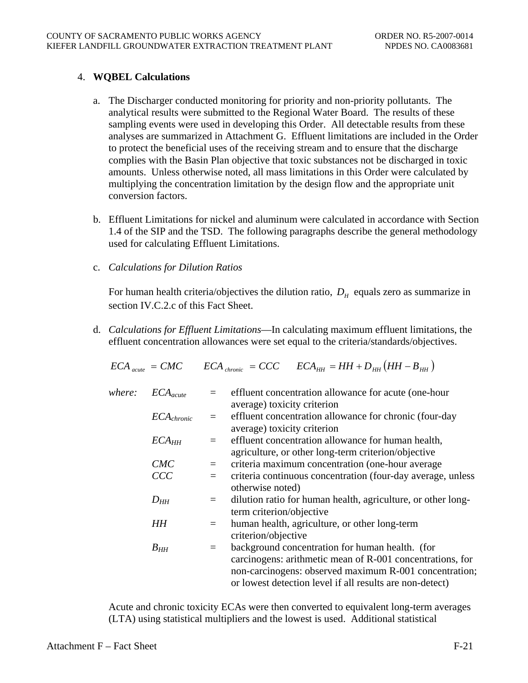## <span id="page-71-0"></span>4. **WQBEL Calculations**

- a. The Discharger conducted monitoring for priority and non-priority pollutants. The analytical results were submitted to the Regional Water Board. The results of these sampling events were used in developing this Order. All detectable results from these analyses are summarized in Attachment G. Effluent limitations are included in the Order to protect the beneficial uses of the receiving stream and to ensure that the discharge complies with the Basin Plan objective that toxic substances not be discharged in toxic amounts. Unless otherwise noted, all mass limitations in this Order were calculated by multiplying the concentration limitation by the design flow and the appropriate unit conversion factors.
- b. Effluent Limitations for nickel and aluminum were calculated in accordance with Section 1.4 of the SIP and the TSD. The following paragraphs describe the general methodology used for calculating Effluent Limitations.
- c. *Calculations for Dilution Ratios*

For human health criteria/objectives the dilution ratio,  $D<sub>H</sub>$  equals zero as summarize in section IV.C.2.c of this Fact Sheet.

d. *Calculations for Effluent Limitations*—In calculating maximum effluent limitations, the effluent concentration allowances were set equal to the criteria/standards/objectives.

$$
ECA_{\text{acute}} = CMC \qquad ECA_{\text{chromic}} = CCC \qquad ECA_{\text{HH}} = HH + D_{\text{HH}}(HH - B_{\text{HH}})
$$

| where: | $ECA_{acute}$     |     | effluent concentration allowance for acute (one-hour         |
|--------|-------------------|-----|--------------------------------------------------------------|
|        |                   |     | average) toxicity criterion                                  |
|        | $ECA_{chronic}$   |     | effluent concentration allowance for chronic (four-day       |
|        |                   |     | average) toxicity criterion                                  |
|        | ECA <sub>HH</sub> |     | effluent concentration allowance for human health,           |
|        |                   |     | agriculture, or other long-term criterion/objective          |
|        | CMC               | $=$ | criteria maximum concentration (one-hour average             |
|        | CCC               |     | criteria continuous concentration (four-day average, unless  |
|        |                   |     | otherwise noted)                                             |
|        | $D_{HH}$          | $=$ | dilution ratio for human health, agriculture, or other long- |
|        |                   |     | term criterion/objective                                     |
|        | HH                |     | human health, agriculture, or other long-term                |
|        |                   |     | criterion/objective                                          |
|        | $B_{HH}$          | $=$ | background concentration for human health. (for              |
|        |                   |     | carcinogens: arithmetic mean of R-001 concentrations, for    |
|        |                   |     | non-carcinogens: observed maximum R-001 concentration;       |
|        |                   |     | or lowest detection level if all results are non-detect)     |

Acute and chronic toxicity ECAs were then converted to equivalent long-term averages (LTA) using statistical multipliers and the lowest is used. Additional statistical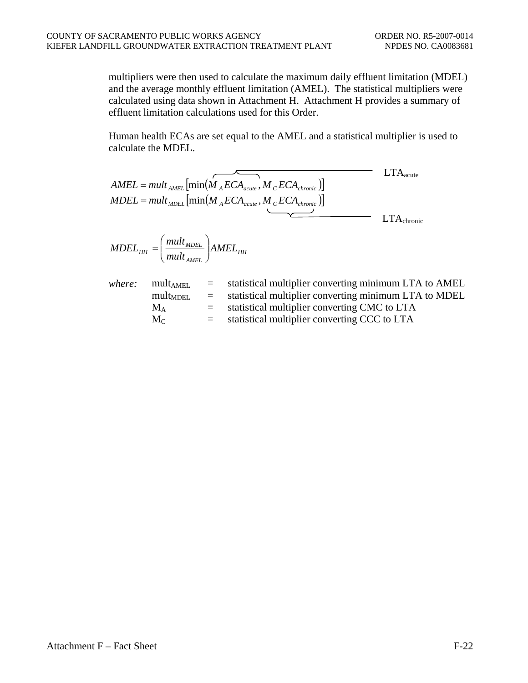multipliers were then used to calculate the maximum daily effluent limitation (MDEL) and the average monthly effluent limitation (AMEL). The statistical multipliers were calculated using data shown in Attachment H. Attachment H provides a summary of effluent limitation calculations used for this Order.

Human health ECAs are set equal to the AMEL and a statistical multiplier is used to calculate the MDEL.

|        |                                                                                                                           |     | $AMEL = mult_{AMEL} [\min(\stackrel{\frown}{M_AECA_{acute}}, \stackrel{\frown}{M_CECA_{chronic}})]$<br>$MDEL = mult_{MDEL}[\min(M_{A}ECA_{acute},M_{C}ECA_{chronic})]$ | $\rm LTA_{acute}$      |
|--------|---------------------------------------------------------------------------------------------------------------------------|-----|------------------------------------------------------------------------------------------------------------------------------------------------------------------------|------------------------|
|        |                                                                                                                           |     |                                                                                                                                                                        | $LTA_{\text{chronic}}$ |
|        | $\textit{MDEL}_{HH} = \left(\frac{\textit{mult}_{\textit{MDEL}}}{\textit{mult}_{\textit{MET}}}\right) \textit{AMEL}_{HH}$ |     |                                                                                                                                                                        |                        |
| where: | mult <sub>AMEL</sub><br>$mult_{\text{MDEL}}$ =                                                                            | $=$ | statistical multiplier converting minimum LTA to AMEL<br>statistical multiplier converting minimum LTA to MDEL                                                         |                        |

| $\rm M_A$ |  | statistical multiplier converting CMC to LTA |
|-----------|--|----------------------------------------------|

 $M_C$  = statistical multiplier converting CCC to LTA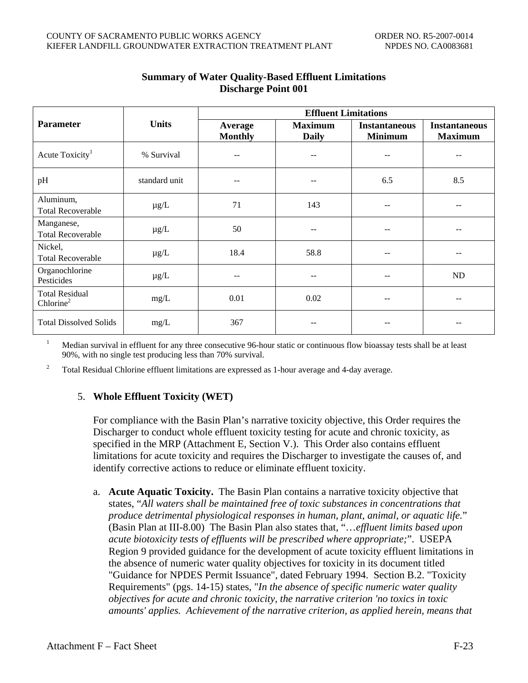|                                                |               | <b>Effluent Limitations</b> |                                |                                        |                                        |  |  |
|------------------------------------------------|---------------|-----------------------------|--------------------------------|----------------------------------------|----------------------------------------|--|--|
| <b>Parameter</b>                               | <b>Units</b>  | Average<br><b>Monthly</b>   | <b>Maximum</b><br><b>Daily</b> | <b>Instantaneous</b><br><b>Minimum</b> | <b>Instantaneous</b><br><b>Maximum</b> |  |  |
| Acute Toxicity <sup>1</sup>                    | % Survival    | --                          |                                | --                                     |                                        |  |  |
| pH                                             | standard unit | --                          | --                             | 6.5                                    | 8.5                                    |  |  |
| Aluminum,<br><b>Total Recoverable</b>          | $\mu$ g/L     | 71                          | 143                            |                                        |                                        |  |  |
| Manganese,<br><b>Total Recoverable</b>         | $\mu$ g/L     | 50                          | --                             | --                                     |                                        |  |  |
| Nickel,<br><b>Total Recoverable</b>            | $\mu$ g/L     | 18.4                        | 58.8                           |                                        |                                        |  |  |
| Organochlorine<br>Pesticides                   | $\mu g/L$     |                             |                                |                                        | ND                                     |  |  |
| <b>Total Residual</b><br>Chlorine <sup>2</sup> | mg/L          | 0.01                        | 0.02                           |                                        |                                        |  |  |
| <b>Total Dissolved Solids</b>                  | mg/L          | 367                         |                                |                                        |                                        |  |  |

# **Summary of Water Quality-Based Effluent Limitations Discharge Point 001**

1 Median survival in effluent for any three consecutive 96-hour static or continuous flow bioassay tests shall be at least 90%, with no single test producing less than 70% survival.

2 Total Residual Chlorine effluent limitations are expressed as 1-hour average and 4-day average.

# 5. **Whole Effluent Toxicity (WET)**

For compliance with the Basin Plan's narrative toxicity objective, this Order requires the Discharger to conduct whole effluent toxicity testing for acute and chronic toxicity, as specified in the MRP (Attachment E, Section V.). This Order also contains effluent limitations for acute toxicity and requires the Discharger to investigate the causes of, and identify corrective actions to reduce or eliminate effluent toxicity.

a. **Acute Aquatic Toxicity.** The Basin Plan contains a narrative toxicity objective that states, "*All waters shall be maintained free of toxic substances in concentrations that produce detrimental physiological responses in human, plant, animal, or aquatic life.*" (Basin Plan at III-8.00) The Basin Plan also states that, "…*effluent limits based upon acute biotoxicity tests of effluents will be prescribed where appropriate;*". USEPA Region 9 provided guidance for the development of acute toxicity effluent limitations in the absence of numeric water quality objectives for toxicity in its document titled "Guidance for NPDES Permit Issuance", dated February 1994. Section B.2. "Toxicity Requirements" (pgs. 14-15) states, "*In the absence of specific numeric water quality objectives for acute and chronic toxicity, the narrative criterion 'no toxics in toxic amounts' applies. Achievement of the narrative criterion, as applied herein, means that*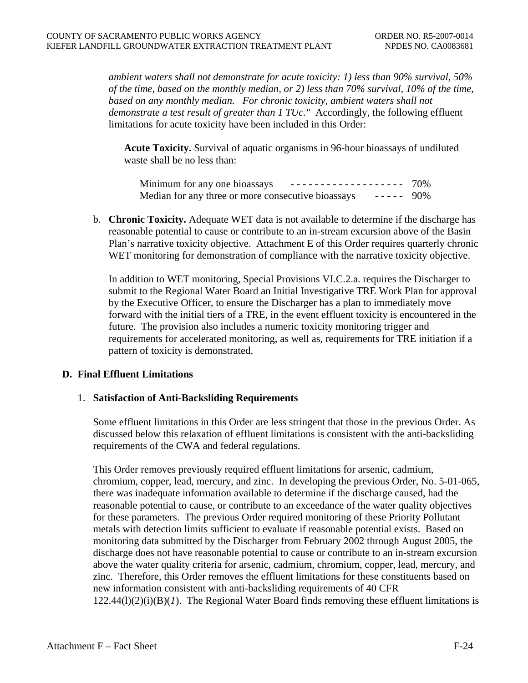*ambient waters shall not demonstrate for acute toxicity: 1) less than 90% survival, 50% of the time, based on the monthly median, or 2) less than 70% survival, 10% of the time, based on any monthly median. For chronic toxicity, ambient waters shall not demonstrate a test result of greater than 1 TUc."* Accordingly, the following effluent limitations for acute toxicity have been included in this Order:

**Acute Toxicity.** Survival of aquatic organisms in 96-hour bioassays of undiluted waste shall be no less than:

| Minimum for any one bioassays                      | ------------------- 70% |  |
|----------------------------------------------------|-------------------------|--|
| Median for any three or more consecutive bioassays | $- - - - - - 90\%$      |  |

b. **Chronic Toxicity.** Adequate WET data is not available to determine if the discharge has reasonable potential to cause or contribute to an in-stream excursion above of the Basin Plan's narrative toxicity objective. Attachment E of this Order requires quarterly chronic WET monitoring for demonstration of compliance with the narrative toxicity objective.

In addition to WET monitoring, Special Provisions VI.C.2.a. requires the Discharger to submit to the Regional Water Board an Initial Investigative TRE Work Plan for approval by the Executive Officer, to ensure the Discharger has a plan to immediately move forward with the initial tiers of a TRE, in the event effluent toxicity is encountered in the future. The provision also includes a numeric toxicity monitoring trigger and requirements for accelerated monitoring, as well as, requirements for TRE initiation if a pattern of toxicity is demonstrated.

# **D. Final Effluent Limitations**

#### 1. **Satisfaction of Anti-Backsliding Requirements**

Some effluent limitations in this Order are less stringent that those in the previous Order. As discussed below this relaxation of effluent limitations is consistent with the anti-backsliding requirements of the CWA and federal regulations.

This Order removes previously required effluent limitations for arsenic, cadmium, chromium, copper, lead, mercury, and zinc. In developing the previous Order, No. 5-01-065, there was inadequate information available to determine if the discharge caused, had the reasonable potential to cause, or contribute to an exceedance of the water quality objectives for these parameters. The previous Order required monitoring of these Priority Pollutant metals with detection limits sufficient to evaluate if reasonable potential exists. Based on monitoring data submitted by the Discharger from February 2002 through August 2005, the discharge does not have reasonable potential to cause or contribute to an in-stream excursion above the water quality criteria for arsenic, cadmium, chromium, copper, lead, mercury, and zinc. Therefore, this Order removes the effluent limitations for these constituents based on new information consistent with anti-backsliding requirements of 40 CFR  $122.44(l)(2)(i)(B)(I)$ . The Regional Water Board finds removing these effluent limitations is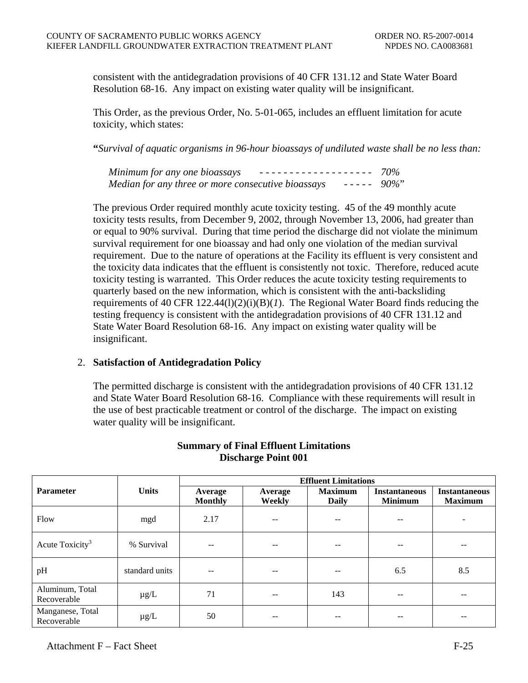consistent with the antidegradation provisions of 40 CFR 131.12 and State Water Board Resolution 68-16. Any impact on existing water quality will be insignificant.

This Order, as the previous Order, No. 5-01-065, includes an effluent limitation for acute toxicity, which states:

**"***Survival of aquatic organisms in 96-hour bioassays of undiluted waste shall be no less than:* 

| Minimum for any one bioassays<br>------------------- 70%               |  |
|------------------------------------------------------------------------|--|
| $- - - - - 90\%$<br>Median for any three or more consecutive bioassays |  |

The previous Order required monthly acute toxicity testing. 45 of the 49 monthly acute toxicity tests results, from December 9, 2002, through November 13, 2006, had greater than or equal to 90% survival. During that time period the discharge did not violate the minimum survival requirement for one bioassay and had only one violation of the median survival requirement. Due to the nature of operations at the Facility its effluent is very consistent and the toxicity data indicates that the effluent is consistently not toxic. Therefore, reduced acute toxicity testing is warranted. This Order reduces the acute toxicity testing requirements to quarterly based on the new information, which is consistent with the anti-backsliding requirements of 40 CFR  $122.44(1)(2)(i)(B)(I)$ . The Regional Water Board finds reducing the testing frequency is consistent with the antidegradation provisions of 40 CFR 131.12 and State Water Board Resolution 68-16. Any impact on existing water quality will be insignificant.

# 2. **Satisfaction of Antidegradation Policy**

The permitted discharge is consistent with the antidegradation provisions of 40 CFR 131.12 and State Water Board Resolution 68-16. Compliance with these requirements will result in the use of best practicable treatment or control of the discharge. The impact on existing water quality will be insignificant.

|                                 |                | <b>Effluent Limitations</b> |                   |                                |                                        |                                        |  |  |  |
|---------------------------------|----------------|-----------------------------|-------------------|--------------------------------|----------------------------------------|----------------------------------------|--|--|--|
| <b>Parameter</b>                | <b>Units</b>   | Average<br><b>Monthly</b>   | Average<br>Weekly | <b>Maximum</b><br><b>Daily</b> | <b>Instantaneous</b><br><b>Minimum</b> | <b>Instantaneous</b><br><b>Maximum</b> |  |  |  |
| Flow                            | mgd            | 2.17                        | --                | $- -$                          | --                                     |                                        |  |  |  |
| Acute Toxicity <sup>3</sup>     | % Survival     |                             |                   |                                |                                        |                                        |  |  |  |
| pH                              | standard units | $- -$                       | --                | --                             | 6.5                                    | 8.5                                    |  |  |  |
| Aluminum, Total<br>Recoverable  | $\mu$ g/L      | 71                          | --                | 143                            | $- -$                                  | --                                     |  |  |  |
| Manganese, Total<br>Recoverable | $\mu$ g/L      | 50                          |                   |                                |                                        | --                                     |  |  |  |

# **Summary of Final Effluent Limitations Discharge Point 001**

Attachment  $F -$  Fact Sheet F-25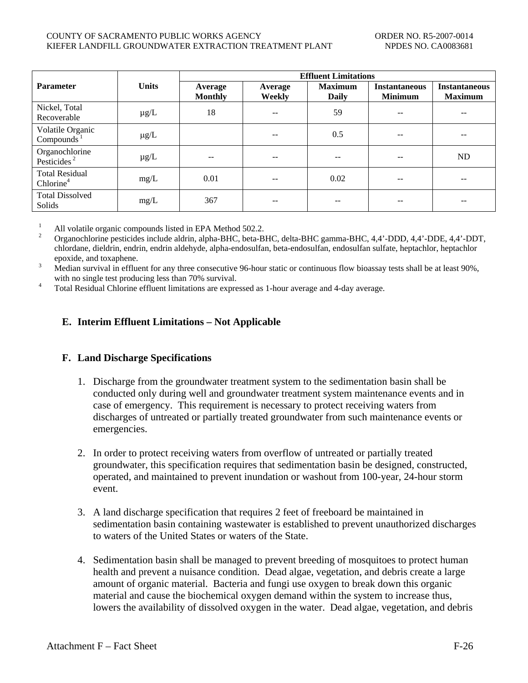#### COUNTY OF SACRAMENTO PUBLIC WORKS AGENCY ORDER NO. R5-2007-0014 KIEFER LANDFILL GROUNDWATER EXTRACTION TREATMENT PLANT NPDES NO. CA0083681

|                                                |              | <b>Effluent Limitations</b> |                          |                                |                                        |                                        |  |  |
|------------------------------------------------|--------------|-----------------------------|--------------------------|--------------------------------|----------------------------------------|----------------------------------------|--|--|
| <b>Parameter</b>                               | <b>Units</b> | Average<br><b>Monthly</b>   | Average<br><b>Weekly</b> | <b>Maximum</b><br><b>Daily</b> | <b>Instantaneous</b><br><b>Minimum</b> | <b>Instantaneous</b><br><b>Maximum</b> |  |  |
| Nickel, Total<br>Recoverable                   | $\mu$ g/L    | 18                          | --                       | 59                             | --                                     | $\qquad \qquad -$                      |  |  |
| Volatile Organic<br>Compounds $1$              | $\mu$ g/L    |                             |                          | 0.5                            |                                        | --                                     |  |  |
| Organochlorine<br>Pesticides <sup>2</sup>      | $\mu$ g/L    | $- -$                       | --                       | $- -$                          | --                                     | ND                                     |  |  |
| <b>Total Residual</b><br>Chlorine <sup>4</sup> | mg/L         | 0.01                        | $- -$                    | 0.02                           | --                                     | $- -$                                  |  |  |
| <b>Total Dissolved</b><br>Solids               | mg/L         | 367                         | --                       | --                             |                                        |                                        |  |  |

1 All volatile organic compounds listed in EPA Method 502.2.

 $\overline{2}$  Organochlorine pesticides include aldrin, alpha-BHC, beta-BHC, delta-BHC gamma-BHC, 4,4'-DDD, 4,4'-DDE, 4,4'-DDT, chlordane, dieldrin, endrin, endrin aldehyde, alpha-endosulfan, beta-endosulfan, endosulfan sulfate, heptachlor, heptachlor epoxide, and toxaphene.

 Median survival in effluent for any three consecutive 96-hour static or continuous flow bioassay tests shall be at least 90%, with no single test producing less than 70% survival.

Total Residual Chlorine effluent limitations are expressed as 1-hour average and 4-day average.

# **E. Interim Effluent Limitations – Not Applicable**

# **F. Land Discharge Specifications**

- 1. Discharge from the groundwater treatment system to the sedimentation basin shall be conducted only during well and groundwater treatment system maintenance events and in case of emergency. This requirement is necessary to protect receiving waters from discharges of untreated or partially treated groundwater from such maintenance events or emergencies.
- 2. In order to protect receiving waters from overflow of untreated or partially treated groundwater, this specification requires that sedimentation basin be designed, constructed, operated, and maintained to prevent inundation or washout from 100-year, 24-hour storm event.
- 3. A land discharge specification that requires 2 feet of freeboard be maintained in sedimentation basin containing wastewater is established to prevent unauthorized discharges to waters of the United States or waters of the State.
- 4. Sedimentation basin shall be managed to prevent breeding of mosquitoes to protect human health and prevent a nuisance condition. Dead algae, vegetation, and debris create a large amount of organic material. Bacteria and fungi use oxygen to break down this organic material and cause the biochemical oxygen demand within the system to increase thus, lowers the availability of dissolved oxygen in the water. Dead algae, vegetation, and debris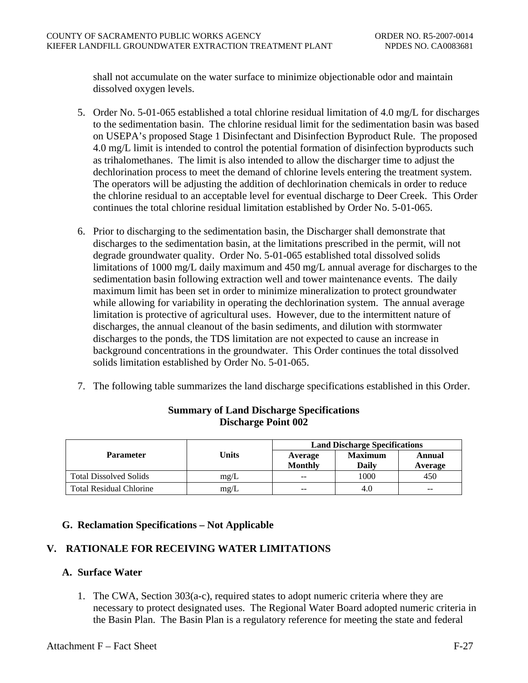shall not accumulate on the water surface to minimize objectionable odor and maintain dissolved oxygen levels.

- 5. Order No. 5-01-065 established a total chlorine residual limitation of 4.0 mg/L for discharges to the sedimentation basin. The chlorine residual limit for the sedimentation basin was based on USEPA's proposed Stage 1 Disinfectant and Disinfection Byproduct Rule. The proposed 4.0 mg/L limit is intended to control the potential formation of disinfection byproducts such as trihalomethanes. The limit is also intended to allow the discharger time to adjust the dechlorination process to meet the demand of chlorine levels entering the treatment system. The operators will be adjusting the addition of dechlorination chemicals in order to reduce the chlorine residual to an acceptable level for eventual discharge to Deer Creek. This Order continues the total chlorine residual limitation established by Order No. 5-01-065.
- 6. Prior to discharging to the sedimentation basin, the Discharger shall demonstrate that discharges to the sedimentation basin, at the limitations prescribed in the permit, will not degrade groundwater quality. Order No. 5-01-065 established total dissolved solids limitations of 1000 mg/L daily maximum and 450 mg/L annual average for discharges to the sedimentation basin following extraction well and tower maintenance events. The daily maximum limit has been set in order to minimize mineralization to protect groundwater while allowing for variability in operating the dechlorination system. The annual average limitation is protective of agricultural uses. However, due to the intermittent nature of discharges, the annual cleanout of the basin sediments, and dilution with stormwater discharges to the ponds, the TDS limitation are not expected to cause an increase in background concentrations in the groundwater. This Order continues the total dissolved solids limitation established by Order No. 5-01-065.
- 7. The following table summarizes the land discharge specifications established in this Order.

|                                |       | <b>Land Discharge Specifications</b> |                         |                   |  |
|--------------------------------|-------|--------------------------------------|-------------------------|-------------------|--|
| <b>Parameter</b>               | Units | Average<br><b>Monthly</b>            | <b>Maximum</b><br>Daily | Annual<br>Average |  |
| <b>Total Dissolved Solids</b>  | mg/L  | $- -$                                | 1000                    | 450               |  |
| <b>Total Residual Chlorine</b> | mg/L  | $- -$                                | 4.0                     | $- -$             |  |

# **Summary of Land Discharge Specifications Discharge Point 002**

# **G. Reclamation Specifications – Not Applicable**

# **V. RATIONALE FOR RECEIVING WATER LIMITATIONS**

# **A. Surface Water**

1. The CWA, Section 303(a-c), required states to adopt numeric criteria where they are necessary to protect designated uses. The Regional Water Board adopted numeric criteria in the Basin Plan. The Basin Plan is a regulatory reference for meeting the state and federal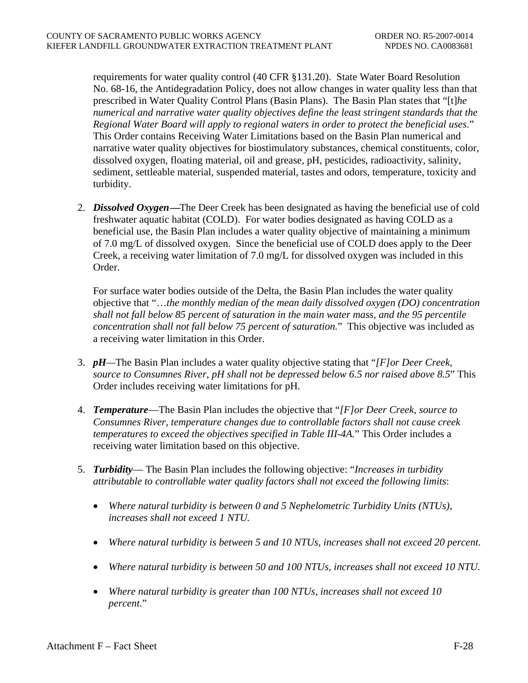requirements for water quality control (40 CFR §131.20). State Water Board Resolution No. 68-16, the Antidegradation Policy, does not allow changes in water quality less than that prescribed in Water Quality Control Plans (Basin Plans). The Basin Plan states that "[t]*he numerical and narrative water quality objectives define the least stringent standards that the Regional Water Board will apply to regional waters in order to protect the beneficial uses*." This Order contains Receiving Water Limitations based on the Basin Plan numerical and narrative water quality objectives for biostimulatory substances, chemical constituents, color, dissolved oxygen, floating material, oil and grease, pH, pesticides, radioactivity, salinity, sediment, settleable material, suspended material, tastes and odors, temperature, toxicity and turbidity.

2. *Dissolved Oxygen***—**The Deer Creek has been designated as having the beneficial use of cold freshwater aquatic habitat (COLD). For water bodies designated as having COLD as a beneficial use, the Basin Plan includes a water quality objective of maintaining a minimum of 7.0 mg/L of dissolved oxygen. Since the beneficial use of COLD does apply to the Deer Creek, a receiving water limitation of 7.0 mg/L for dissolved oxygen was included in this Order.

For surface water bodies outside of the Delta, the Basin Plan includes the water quality objective that "…*the monthly median of the mean daily dissolved oxygen (DO) concentration shall not fall below 85 percent of saturation in the main water mass, and the 95 percentile concentration shall not fall below 75 percent of saturation.*" This objective was included as a receiving water limitation in this Order.

- 3. *pH—*The Basin Plan includes a water quality objective stating that "*[F]or Deer Creek, source to Consumnes River, pH shall not be depressed below 6.5 nor raised above 8.5*" This Order includes receiving water limitations for pH.
- 4. *Temperature*—The Basin Plan includes the objective that "*[F]or Deer Creek, source to Consumnes River, temperature changes due to controllable factors shall not cause creek temperatures to exceed the objectives specified in Table III-4A.*" This Order includes a receiving water limitation based on this objective.
- 5. *Turbidity* The Basin Plan includes the following objective: "*Increases in turbidity attributable to controllable water quality factors shall not exceed the following limits*:
	- *Where natural turbidity is between 0 and 5 Nephelometric Turbidity Units (NTUs), increases shall not exceed 1 NTU.*
	- *Where natural turbidity is between 5 and 10 NTUs, increases shall not exceed 20 percent.*
	- *Where natural turbidity is between 50 and 100 NTUs, increases shall not exceed 10 NTU.*
	- *Where natural turbidity is greater than 100 NTUs, increases shall not exceed 10 percent.*"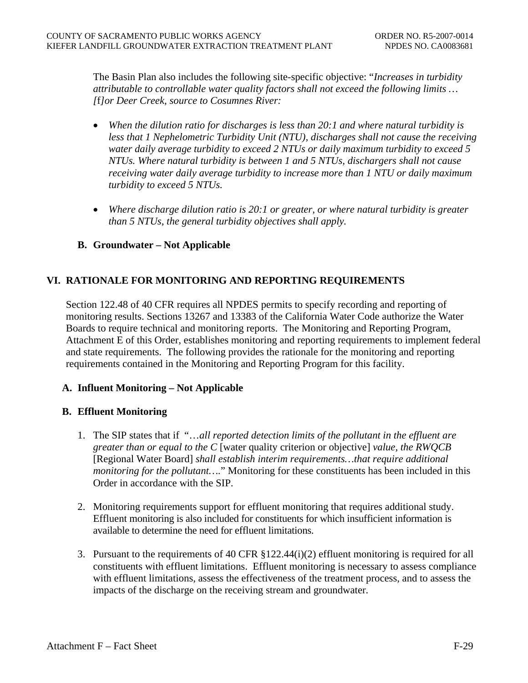The Basin Plan also includes the following site-specific objective: "*Increases in turbidity attributable to controllable water quality factors shall not exceed the following limits … [*f*]or Deer Creek, source to Cosumnes River:*

- *When the dilution ratio for discharges is less than 20:1 and where natural turbidity is less that 1 Nephelometric Turbidity Unit (NTU), discharges shall not cause the receiving water daily average turbidity to exceed 2 NTUs or daily maximum turbidity to exceed 5 NTUs. Where natural turbidity is between 1 and 5 NTUs, dischargers shall not cause receiving water daily average turbidity to increase more than 1 NTU or daily maximum turbidity to exceed 5 NTUs.*
- *Where discharge dilution ratio is 20:1 or greater, or where natural turbidity is greater than 5 NTUs, the general turbidity objectives shall apply.*

# **B. Groundwater – Not Applicable**

# **VI. RATIONALE FOR MONITORING AND REPORTING REQUIREMENTS**

Section 122.48 of 40 CFR requires all NPDES permits to specify recording and reporting of monitoring results. Sections 13267 and 13383 of the California Water Code authorize the Water Boards to require technical and monitoring reports. The Monitoring and Reporting Program, Attachment E of this Order, establishes monitoring and reporting requirements to implement federal and state requirements. The following provides the rationale for the monitoring and reporting requirements contained in the Monitoring and Reporting Program for this facility.

# **A. Influent Monitoring – Not Applicable**

# **B. Effluent Monitoring**

- 1. The SIP states that if "…*all reported detection limits of the pollutant in the effluent are greater than or equal to the C* [water quality criterion or objective] *value, the RWQCB* [Regional Water Board] *shall establish interim requirements…that require additional monitoring for the pollutant….*" Monitoring for these constituents has been included in this Order in accordance with the SIP.
- 2. Monitoring requirements support for effluent monitoring that requires additional study. Effluent monitoring is also included for constituents for which insufficient information is available to determine the need for effluent limitations.
- 3. Pursuant to the requirements of 40 CFR §122.44(i)(2) effluent monitoring is required for all constituents with effluent limitations. Effluent monitoring is necessary to assess compliance with effluent limitations, assess the effectiveness of the treatment process, and to assess the impacts of the discharge on the receiving stream and groundwater.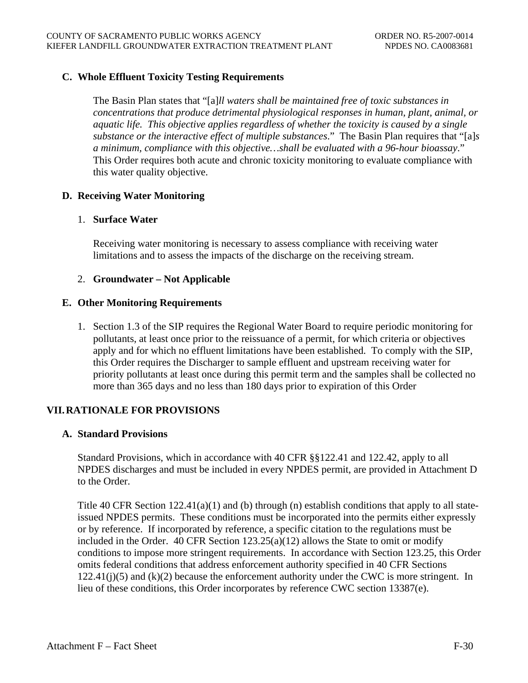# **C. Whole Effluent Toxicity Testing Requirements**

The Basin Plan states that "[a]*ll waters shall be maintained free of toxic substances in concentrations that produce detrimental physiological responses in human, plant, animal, or aquatic life. This objective applies regardless of whether the toxicity is caused by a single substance or the interactive effect of multiple substances*." The Basin Plan requires that "[a]*s a minimum, compliance with this objective…shall be evaluated with a 96-hour bioassay*." This Order requires both acute and chronic toxicity monitoring to evaluate compliance with this water quality objective.

# **D. Receiving Water Monitoring**

### 1. **Surface Water**

Receiving water monitoring is necessary to assess compliance with receiving water limitations and to assess the impacts of the discharge on the receiving stream.

# 2. **Groundwater – Not Applicable**

### **E. Other Monitoring Requirements**

1. Section 1.3 of the SIP requires the Regional Water Board to require periodic monitoring for pollutants, at least once prior to the reissuance of a permit, for which criteria or objectives apply and for which no effluent limitations have been established. To comply with the SIP, this Order requires the Discharger to sample effluent and upstream receiving water for priority pollutants at least once during this permit term and the samples shall be collected no more than 365 days and no less than 180 days prior to expiration of this Order

# **VII. RATIONALE FOR PROVISIONS**

### **A. Standard Provisions**

Standard Provisions, which in accordance with 40 CFR §§122.41 and 122.42, apply to all NPDES discharges and must be included in every NPDES permit, are provided in Attachment D to the Order.

Title 40 CFR Section  $122.41(a)(1)$  and (b) through (n) establish conditions that apply to all stateissued NPDES permits. These conditions must be incorporated into the permits either expressly or by reference. If incorporated by reference, a specific citation to the regulations must be included in the Order. 40 CFR Section 123.25(a)(12) allows the State to omit or modify conditions to impose more stringent requirements. In accordance with Section 123.25, this Order omits federal conditions that address enforcement authority specified in 40 CFR Sections  $122.41(j)(5)$  and  $(k)(2)$  because the enforcement authority under the CWC is more stringent. In lieu of these conditions, this Order incorporates by reference CWC section 13387(e).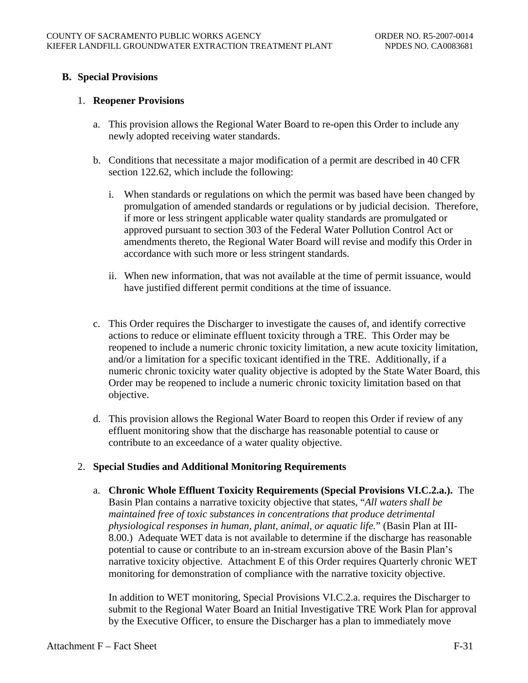# **B. Special Provisions**

### 1. **Reopener Provisions**

- a. This provision allows the Regional Water Board to re-open this Order to include any newly adopted receiving water standards.
- b. Conditions that necessitate a major modification of a permit are described in 40 CFR section 122.62, which include the following:
	- i. When standards or regulations on which the permit was based have been changed by promulgation of amended standards or regulations or by judicial decision. Therefore, if more or less stringent applicable water quality standards are promulgated or approved pursuant to section 303 of the Federal Water Pollution Control Act or amendments thereto, the Regional Water Board will revise and modify this Order in accordance with such more or less stringent standards.
	- ii. When new information, that was not available at the time of permit issuance, would have justified different permit conditions at the time of issuance.
- c. This Order requires the Discharger to investigate the causes of, and identify corrective actions to reduce or eliminate effluent toxicity through a TRE. This Order may be reopened to include a numeric chronic toxicity limitation, a new acute toxicity limitation, and/or a limitation for a specific toxicant identified in the TRE. Additionally, if a numeric chronic toxicity water quality objective is adopted by the State Water Board, this Order may be reopened to include a numeric chronic toxicity limitation based on that objective.
- d. This provision allows the Regional Water Board to reopen this Order if review of any effluent monitoring show that the discharge has reasonable potential to cause or contribute to an exceedance of a water quality objective.

# 2. **Special Studies and Additional Monitoring Requirements**

a. **Chronic Whole Effluent Toxicity Requirements (Special Provisions VI.C.2.a.).** The Basin Plan contains a narrative toxicity objective that states, "*All waters shall be maintained free of toxic substances in concentrations that produce detrimental physiological responses in human, plant, animal, or aquatic life.*" (Basin Plan at III-8.00.) Adequate WET data is not available to determine if the discharge has reasonable potential to cause or contribute to an in-stream excursion above of the Basin Plan's narrative toxicity objective. Attachment E of this Order requires Quarterly chronic WET monitoring for demonstration of compliance with the narrative toxicity objective.

In addition to WET monitoring, Special Provisions VI.C.2.a. requires the Discharger to submit to the Regional Water Board an Initial Investigative TRE Work Plan for approval by the Executive Officer, to ensure the Discharger has a plan to immediately move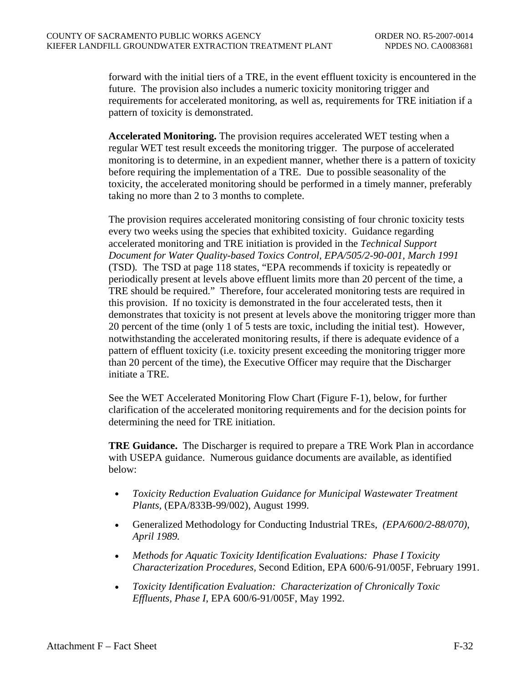forward with the initial tiers of a TRE, in the event effluent toxicity is encountered in the future. The provision also includes a numeric toxicity monitoring trigger and requirements for accelerated monitoring, as well as, requirements for TRE initiation if a pattern of toxicity is demonstrated.

**Accelerated Monitoring.** The provision requires accelerated WET testing when a regular WET test result exceeds the monitoring trigger. The purpose of accelerated monitoring is to determine, in an expedient manner, whether there is a pattern of toxicity before requiring the implementation of a TRE. Due to possible seasonality of the toxicity, the accelerated monitoring should be performed in a timely manner, preferably taking no more than 2 to 3 months to complete.

The provision requires accelerated monitoring consisting of four chronic toxicity tests every two weeks using the species that exhibited toxicity. Guidance regarding accelerated monitoring and TRE initiation is provided in the *Technical Support Document for Water Quality-based Toxics Control, EPA/505/2-90-001, March 1991*  (TSD)*.* The TSD at page 118 states, "EPA recommends if toxicity is repeatedly or periodically present at levels above effluent limits more than 20 percent of the time, a TRE should be required." Therefore, four accelerated monitoring tests are required in this provision. If no toxicity is demonstrated in the four accelerated tests, then it demonstrates that toxicity is not present at levels above the monitoring trigger more than 20 percent of the time (only 1 of 5 tests are toxic, including the initial test). However, notwithstanding the accelerated monitoring results, if there is adequate evidence of a pattern of effluent toxicity (i.e. toxicity present exceeding the monitoring trigger more than 20 percent of the time), the Executive Officer may require that the Discharger initiate a TRE.

See the WET Accelerated Monitoring Flow Chart [\(Figure F-1](#page-84-0)), below, for further clarification of the accelerated monitoring requirements and for the decision points for determining the need for TRE initiation.

**TRE Guidance.** The Discharger is required to prepare a TRE Work Plan in accordance with USEPA guidance. Numerous guidance documents are available, as identified below:

- *Toxicity Reduction Evaluation Guidance for Municipal Wastewater Treatment Plants,* (EPA/833B-99/002), August 1999.
- Generalized Methodology for Conducting Industrial TREs*, (EPA/600/2-88/070), April 1989.*
- *Methods for Aquatic Toxicity Identification Evaluations: Phase I Toxicity Characterization Procedures,* Second Edition, EPA 600/6-91/005F, February 1991.
- *Toxicity Identification Evaluation: Characterization of Chronically Toxic Effluents, Phase I*, EPA 600/6-91/005F, May 1992.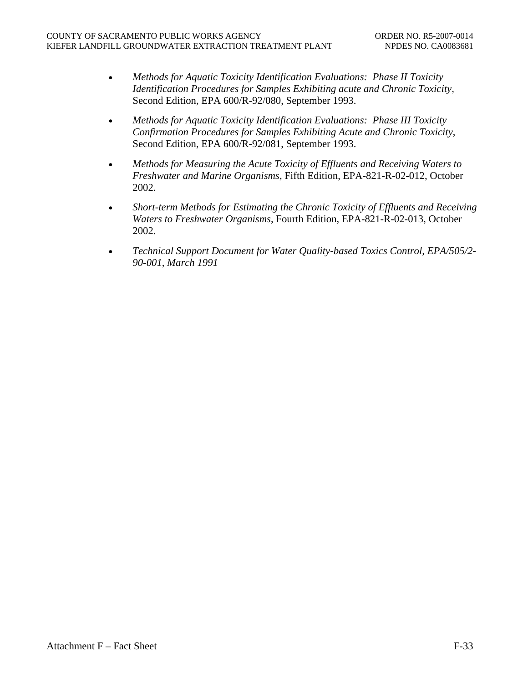- *Methods for Aquatic Toxicity Identification Evaluations: Phase II Toxicity Identification Procedures for Samples Exhibiting acute and Chronic Toxicity,*  Second Edition, EPA 600/R-92/080, September 1993.
- *Methods for Aquatic Toxicity Identification Evaluations: Phase III Toxicity Confirmation Procedures for Samples Exhibiting Acute and Chronic Toxicity*, Second Edition, EPA 600/R-92/081, September 1993.
- *Methods for Measuring the Acute Toxicity of Effluents and Receiving Waters to Freshwater and Marine Organisms*, Fifth Edition, EPA-821-R-02-012, October 2002.
- *Short-term Methods for Estimating the Chronic Toxicity of Effluents and Receiving Waters to Freshwater Organisms*, Fourth Edition, EPA-821-R-02-013, October 2002.
- *Technical Support Document for Water Quality-based Toxics Control, EPA/505/2- 90-001, March 1991*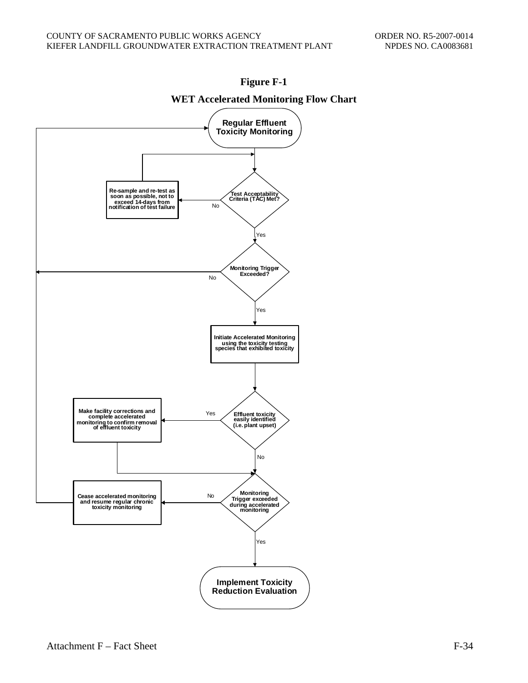<span id="page-84-0"></span>

# **Figure F-1**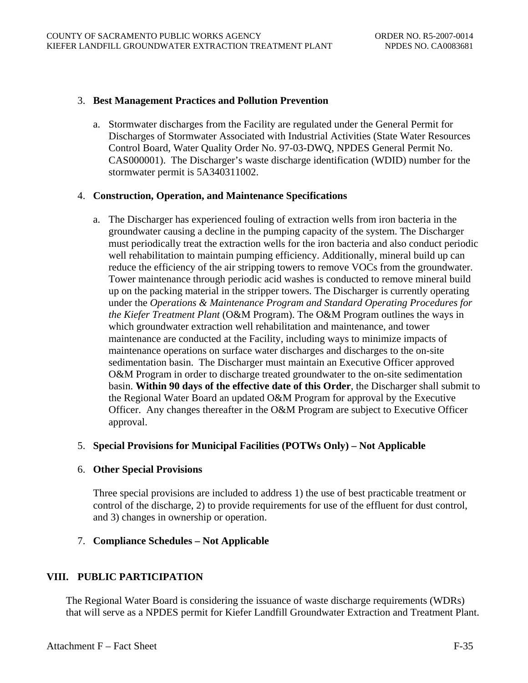#### 3. **Best Management Practices and Pollution Prevention**

a. Stormwater discharges from the Facility are regulated under the General Permit for Discharges of Stormwater Associated with Industrial Activities (State Water Resources Control Board, Water Quality Order No. 97-03-DWQ, NPDES General Permit No. CAS000001). The Discharger's waste discharge identification (WDID) number for the stormwater permit is 5A340311002.

### 4. **Construction, Operation, and Maintenance Specifications**

a. The Discharger has experienced fouling of extraction wells from iron bacteria in the groundwater causing a decline in the pumping capacity of the system. The Discharger must periodically treat the extraction wells for the iron bacteria and also conduct periodic well rehabilitation to maintain pumping efficiency. Additionally, mineral build up can reduce the efficiency of the air stripping towers to remove VOCs from the groundwater. Tower maintenance through periodic acid washes is conducted to remove mineral build up on the packing material in the stripper towers. The Discharger is currently operating under the *Operations & Maintenance Program and Standard Operating Procedures for the Kiefer Treatment Plant* (O&M Program). The O&M Program outlines the ways in which groundwater extraction well rehabilitation and maintenance, and tower maintenance are conducted at the Facility, including ways to minimize impacts of maintenance operations on surface water discharges and discharges to the on-site sedimentation basin. The Discharger must maintain an Executive Officer approved O&M Program in order to discharge treated groundwater to the on-site sedimentation basin. **Within 90 days of the effective date of this Order**, the Discharger shall submit to the Regional Water Board an updated O&M Program for approval by the Executive Officer. Any changes thereafter in the O&M Program are subject to Executive Officer approval.

# 5. **Special Provisions for Municipal Facilities (POTWs Only) – Not Applicable**

# 6. **Other Special Provisions**

Three special provisions are included to address 1) the use of best practicable treatment or control of the discharge, 2) to provide requirements for use of the effluent for dust control, and 3) changes in ownership or operation.

# 7. **Compliance Schedules – Not Applicable**

# **VIII. PUBLIC PARTICIPATION**

The Regional Water Board is considering the issuance of waste discharge requirements (WDRs) that will serve as a NPDES permit for Kiefer Landfill Groundwater Extraction and Treatment Plant.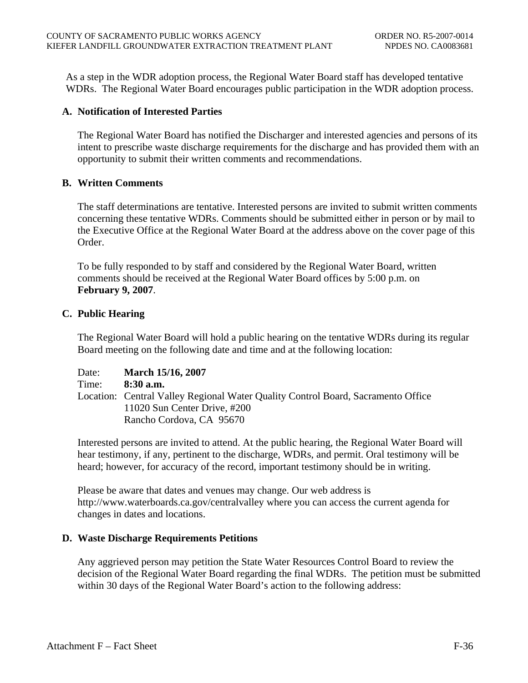As a step in the WDR adoption process, the Regional Water Board staff has developed tentative WDRs. The Regional Water Board encourages public participation in the WDR adoption process.

# **A. Notification of Interested Parties**

The Regional Water Board has notified the Discharger and interested agencies and persons of its intent to prescribe waste discharge requirements for the discharge and has provided them with an opportunity to submit their written comments and recommendations.

# **B. Written Comments**

The staff determinations are tentative. Interested persons are invited to submit written comments concerning these tentative WDRs. Comments should be submitted either in person or by mail to the Executive Office at the Regional Water Board at the address above on the cover page of this Order.

To be fully responded to by staff and considered by the Regional Water Board, written comments should be received at the Regional Water Board offices by 5:00 p.m. on **February 9, 2007**.

# **C. Public Hearing**

The Regional Water Board will hold a public hearing on the tentative WDRs during its regular Board meeting on the following date and time and at the following location:

| Date: | <b>March 15/16, 2007</b>                                                         |
|-------|----------------------------------------------------------------------------------|
| Time: | $8:30$ a.m.                                                                      |
|       | Location: Central Valley Regional Water Quality Control Board, Sacramento Office |
|       | 11020 Sun Center Drive, #200                                                     |
|       | Rancho Cordova, CA 95670                                                         |

Interested persons are invited to attend. At the public hearing, the Regional Water Board will hear testimony, if any, pertinent to the discharge, WDRs, and permit. Oral testimony will be heard; however, for accuracy of the record, important testimony should be in writing.

Please be aware that dates and venues may change. Our web address is http://www.waterboards.ca.gov/centralvalley where you can access the current agenda for changes in dates and locations.

# **D. Waste Discharge Requirements Petitions**

Any aggrieved person may petition the State Water Resources Control Board to review the decision of the Regional Water Board regarding the final WDRs. The petition must be submitted within 30 days of the Regional Water Board's action to the following address: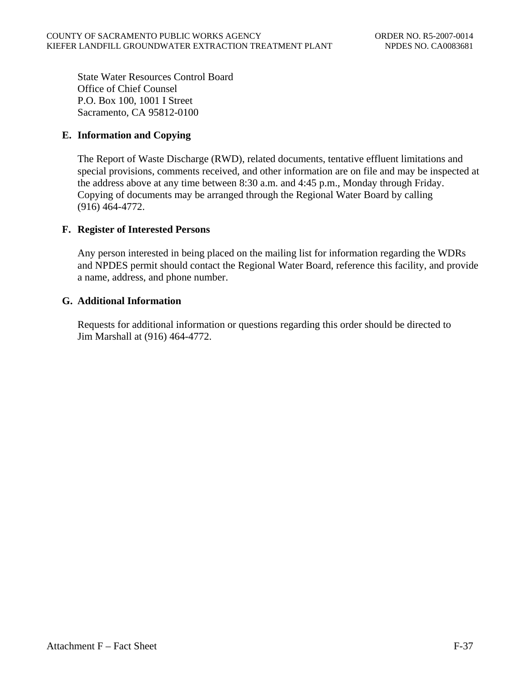State Water Resources Control Board Office of Chief Counsel P.O. Box 100, 1001 I Street Sacramento, CA 95812-0100

# **E. Information and Copying**

The Report of Waste Discharge (RWD), related documents, tentative effluent limitations and special provisions, comments received, and other information are on file and may be inspected at the address above at any time between 8:30 a.m. and 4:45 p.m., Monday through Friday. Copying of documents may be arranged through the Regional Water Board by calling (916) 464-4772.

# **F. Register of Interested Persons**

Any person interested in being placed on the mailing list for information regarding the WDRs and NPDES permit should contact the Regional Water Board, reference this facility, and provide a name, address, and phone number.

# **G. Additional Information**

Requests for additional information or questions regarding this order should be directed to Jim Marshall at (916) 464-4772.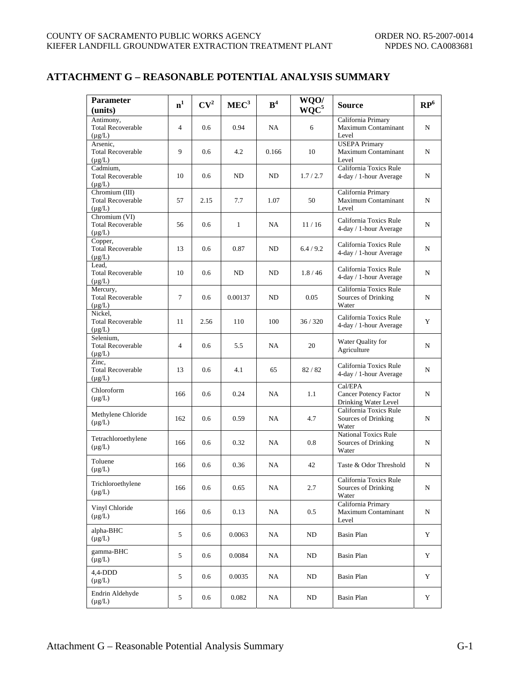# **ATTACHMENT G – REASONABLE POTENTIAL ANALYSIS SUMMARY**

| <b>Parameter</b><br>(units)                               | n <sup>1</sup> | CV <sup>2</sup> | MEC <sup>3</sup> | B <sup>4</sup> | WQO/<br>$WQC^5$ | Source                                                      | $\mathbb{RP}^6$ |
|-----------------------------------------------------------|----------------|-----------------|------------------|----------------|-----------------|-------------------------------------------------------------|-----------------|
| Antimony,<br><b>Total Recoverable</b><br>$(\mu g/L)$      | $\overline{4}$ | 0.6             | 0.94             | NA             | 6               | California Primary<br>Maximum Contaminant<br>Level          | N               |
| Arsenic,<br><b>Total Recoverable</b><br>$(\mu g/L)$       | 9              | 0.6             | 4.2              | 0.166          | 10              | <b>USEPA Primary</b><br>Maximum Contaminant<br>Level        | N               |
| Cadmium,<br><b>Total Recoverable</b><br>$(\mu g/L)$       | 10             | 0.6             | ND               | ND             | 1.7/2.7         | California Toxics Rule<br>4-day / 1-hour Average            | N               |
| Chromium (III)<br><b>Total Recoverable</b><br>$(\mu g/L)$ | 57             | 2.15            | 7.7              | 1.07           | 50              | California Primary<br>Maximum Contaminant<br>Level          | N               |
| Chromium (VI)<br><b>Total Recoverable</b><br>$(\mu g/L)$  | 56             | 0.6             | $\mathbf{1}$     | NA             | 11/16           | California Toxics Rule<br>4-day / 1-hour Average            | N               |
| Copper,<br><b>Total Recoverable</b><br>$(\mu g/L)$        | 13             | 0.6             | 0.87             | ND             | 6.4/9.2         | California Toxics Rule<br>4-day / 1-hour Average            | N               |
| Lead,<br><b>Total Recoverable</b><br>$(\mu g/L)$          | 10             | 0.6             | ND               | ND             | 1.8/46          | California Toxics Rule<br>4-day / 1-hour Average            | N               |
| Mercury,<br><b>Total Recoverable</b><br>$(\mu g/L)$       | $\tau$         | 0.6             | 0.00137          | ND             | 0.05            | California Toxics Rule<br>Sources of Drinking<br>Water      | N               |
| Nickel.<br><b>Total Recoverable</b><br>$(\mu g/L)$        | 11             | 2.56            | 110              | 100            | 36/320          | California Toxics Rule<br>4-day / 1-hour Average            | Y               |
| Selenium,<br><b>Total Recoverable</b><br>$(\mu g/L)$      | $\overline{4}$ | 0.6             | 5.5              | NA             | 20              | Water Quality for<br>Agriculture                            | N               |
| Zinc,<br><b>Total Recoverable</b><br>$(\mu g/L)$          | 13             | 0.6             | 4.1              | 65             | 82/82           | California Toxics Rule<br>4-day / 1-hour Average            | N               |
| Chloroform<br>$(\mu g/L)$                                 | 166            | 0.6             | 0.24             | NA             | 1.1             | Cal/EPA<br>Cancer Potency Factor<br>Drinking Water Level    | N               |
| Methylene Chloride<br>$(\mu g/L)$                         | 162            | 0.6             | 0.59             | NA             | 4.7             | California Toxics Rule<br>Sources of Drinking<br>Water      | N               |
| Tetrachloroethylene<br>$(\mu g/L)$                        | 166            | 0.6             | 0.32             | NA             | 0.8             | <b>National Toxics Rule</b><br>Sources of Drinking<br>Water | N               |
| Toluene<br>$(\mu g/L)$                                    | 166            | 0.6             | 0.36             | NA             | 42              | Taste & Odor Threshold                                      | N               |
| Trichloroethylene<br>$(\mu g/L)$                          | 166            | 0.6             | 0.65             | NA             | 2.7             | California Toxics Rule<br>Sources of Drinking<br>Water      | N               |
| Vinyl Chloride<br>$(\mu g/L)$                             | 166            | 0.6             | 0.13             | NA             | 0.5             | California Primary<br>Maximum Contaminant<br>Level          | N               |
| alpha-BHC<br>$(\mu g/L)$                                  | 5              | 0.6             | 0.0063           | NA             | ND              | <b>Basin Plan</b>                                           | Y               |
| gamma-BHC<br>$(\mu g/L)$                                  | 5              | 0.6             | 0.0084           | NA             | ND              | Basin Plan                                                  | Y               |
| 4,4-DDD<br>$(\mu g/L)$                                    | 5              | 0.6             | 0.0035           | NA             | ND              | Basin Plan                                                  | Y               |
| Endrin Aldehyde<br>$(\mu g/L)$                            | 5              | 0.6             | 0.082            | NA             | ND              | Basin Plan                                                  | Y               |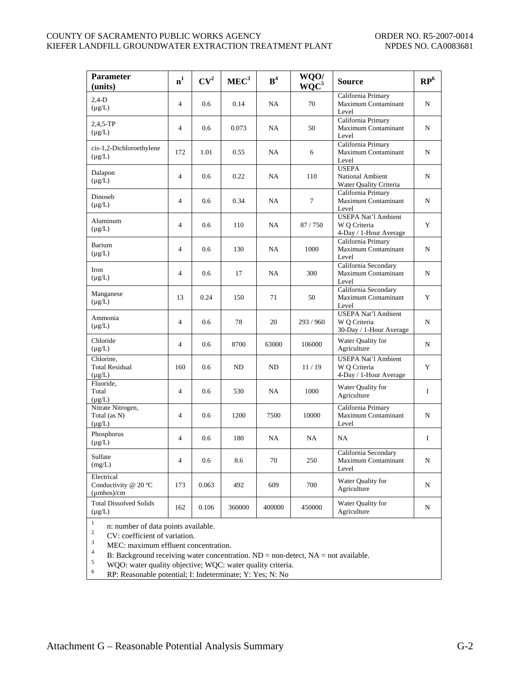#### COUNTY OF SACRAMENTO PUBLIC WORKS AGENCY ORDER NO. R5-2007-0014 KIEFER LANDFILL GROUNDWATER EXTRACTION TREATMENT PLANT NPDES NO. CA0083681

| <b>Parameter</b><br>(units)                              | n <sup>1</sup> | CV <sup>2</sup> | MEC <sup>3</sup> | B <sup>4</sup> | WQO/<br>WQC <sup>5</sup> | <b>Source</b>                                                         | $\mathbb{RP}^6$ |
|----------------------------------------------------------|----------------|-----------------|------------------|----------------|--------------------------|-----------------------------------------------------------------------|-----------------|
| $2,4-D$<br>$(\mu g/L)$                                   | $\overline{4}$ | 0.6             | 0.14             | NA             | 70                       | California Primary<br>Maximum Contaminant<br>Level                    | N               |
| $2,4,5-TP$<br>$(\mu g/L)$                                | $\overline{4}$ | 0.6             | 0.073            | NA             | 50                       | California Primary<br>Maximum Contaminant<br>Level                    | N               |
| cis-1,2-Dichloroethylene<br>$(\mu g/L)$                  | 172            | 1.01            | 0.55             | NA             | 6                        | California Primary<br>Maximum Contaminant<br>Level                    | N               |
| Dalapon<br>$(\mu g/L)$                                   | $\overline{4}$ | 0.6             | 0.22             | NA             | 110                      | <b>USEPA</b><br>National Ambient<br>Water Quality Criteria            | N               |
| Dinoseb<br>$(\mu g/L)$                                   | $\overline{4}$ | 0.6             | 0.34             | NA             | $\tau$                   | California Primary<br>Maximum Contaminant<br>Level                    | N               |
| Aluminum<br>$(\mu g/L)$                                  | $\overline{4}$ | 0.6             | 110              | NA             | 87/750                   | <b>USEPA Nat'l Ambient</b><br>W Q Criteria<br>4-Day / 1-Hour Average  | Y               |
| Barium<br>$(\mu g/L)$                                    | $\overline{4}$ | 0.6             | 130              | NA             | 1000                     | California Primary<br>Maximum Contaminant<br>Level                    | N               |
| Iron<br>$(\mu g/L)$                                      | $\overline{4}$ | 0.6             | 17               | NA             | 300                      | California Secondary<br>Maximum Contaminant<br>Level                  | N               |
| Manganese<br>$(\mu g/L)$                                 | 13             | 0.24            | 150              | 71             | 50                       | California Secondary<br>Maximum Contaminant<br>Level                  | Y               |
| Ammonia<br>$(\mu g/L)$                                   | $\overline{4}$ | 0.6             | 78               | 20             | 293/960                  | <b>USEPA Nat'l Ambient</b><br>W O Criteria<br>30-Day / 1-Hour Average | N               |
| Chloride<br>$(\mu g/L)$                                  | $\overline{4}$ | 0.6             | 8700             | 63000          | 106000                   | Water Quality for<br>Agriculture                                      | N               |
| Chlorine,<br><b>Total Residual</b><br>$(\mu g/L)$        | 160            | 0.6             | ND               | ND             | 11/19                    | <b>USEPA Nat'l Ambient</b><br>W Q Criteria<br>4-Day / 1-Hour Average  | Y               |
| Fluoride,<br>Total<br>$(\mu g/L)$                        | $\overline{4}$ | 0.6             | 530              | NA             | 1000                     | Water Quality for<br>Agriculture                                      | $\mathbf I$     |
| Nitrate Nitrogen,<br>Total (as N)<br>$(\mu g/L)$         | $\overline{4}$ | 0.6             | 1200             | 7500           | 10000                    | California Primary<br>Maximum Contaminant<br>Level                    | N               |
| Phosphorus<br>$(\mu g/L)$                                | $\overline{4}$ | 0.6             | 180              | NA             | NA                       | NA                                                                    | $\mathbf I$     |
| Sulfate<br>(mg/L)                                        | $\overline{4}$ | 0.6             | 8.6              | 70             | 250                      | California Secondary<br>Maximum Contaminant<br>Level                  | N               |
| Electrical<br>Conductivity @ 20 °C<br>$(\mu$ mhos $)/cm$ | 173            | 0.063           | 492              | 609            | 700                      | Water Quality for<br>Agriculture                                      | N               |
| <b>Total Dissolved Solids</b><br>$(\mu g/L)$<br>$\,1$    | 162            | 0.106           | 360000           | 400000         | 450000                   | Water Quality for<br>Agriculture                                      | N               |

<sup>2</sup> CV: coefficient of variation.<br>
MEC: maximum effluent concentration.<br>
<sup>3</sup> B: Background receiving water concentration. ND = non-detect, NA = not available.<br>
<sup>5</sup> WQO: water quality objective; WQC: water quality criteria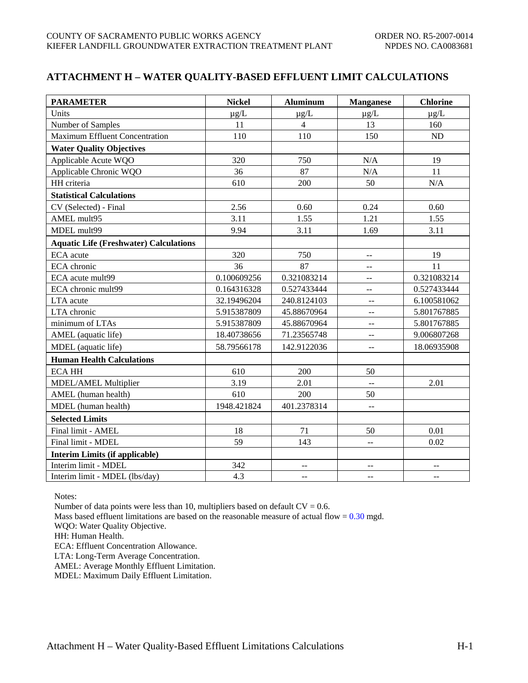# **ATTACHMENT H – WATER QUALITY-BASED EFFLUENT LIMIT CALCULATIONS**

| <b>PARAMETER</b>                              | <b>Nickel</b> | <b>Aluminum</b> | <b>Manganese</b>                              | <b>Chlorine</b> |
|-----------------------------------------------|---------------|-----------------|-----------------------------------------------|-----------------|
| Units                                         | $\mu$ g/L     | $\mu g/L$       | $\mu$ g/L                                     | $\mu$ g/L       |
| Number of Samples                             | 11            | $\overline{4}$  | 13                                            | 160             |
| <b>Maximum Effluent Concentration</b>         | 110           | 110             | 150                                           | ND              |
| <b>Water Quality Objectives</b>               |               |                 |                                               |                 |
| Applicable Acute WQO                          | 320           | 750             | N/A                                           | 19              |
| Applicable Chronic WQO                        | 36            | 87              | $\rm N/A$                                     | 11              |
| HH criteria                                   | 610           | 200             | 50                                            | N/A             |
| <b>Statistical Calculations</b>               |               |                 |                                               |                 |
| CV (Selected) - Final                         | 2.56          | 0.60            | 0.24                                          | 0.60            |
| AMEL mult95                                   | 3.11          | 1.55            | 1.21                                          | 1.55            |
| MDEL mult99                                   | 9.94          | 3.11            | 1.69                                          | 3.11            |
| <b>Aquatic Life (Freshwater) Calculations</b> |               |                 |                                               |                 |
| ECA acute                                     | 320           | 750             | --                                            | 19              |
| ECA chronic                                   | 36            | 87              | $-$                                           | 11              |
| ECA acute mult99                              | 0.100609256   | 0.321083214     | $- -$                                         | 0.321083214     |
| ECA chronic mult99                            | 0.164316328   | 0.527433444     | $-$                                           | 0.527433444     |
| LTA acute                                     | 32.19496204   | 240.8124103     | $\mathbb{L} \mathbb{L}$                       | 6.100581062     |
| LTA chronic                                   | 5.915387809   | 45.88670964     | $\overline{a}$                                | 5.801767885     |
| minimum of LTAs                               | 5.915387809   | 45.88670964     | 44                                            | 5.801767885     |
| AMEL (aquatic life)                           | 18.40738656   | 71.23565748     | $\mathord{\hspace{1pt}\text{--}\hspace{1pt}}$ | 9.006807268     |
| MDEL (aquatic life)                           | 58.79566178   | 142.9122036     | $\mathbf{u}$                                  | 18.06935908     |
| <b>Human Health Calculations</b>              |               |                 |                                               |                 |
| <b>ECA HH</b>                                 | 610           | 200             | 50                                            |                 |
| MDEL/AMEL Multiplier                          | 3.19          | 2.01            | $\overline{a}$                                | 2.01            |
| AMEL (human health)                           | 610           | 200             | 50                                            |                 |
| MDEL (human health)                           | 1948.421824   | 401.2378314     | $\Box$                                        |                 |
| <b>Selected Limits</b>                        |               |                 |                                               |                 |
| Final limit - AMEL                            | 18            | 71              | 50                                            | 0.01            |
| Final limit - MDEL                            | 59            | 143             | --                                            | 0.02            |
| <b>Interim Limits (if applicable)</b>         |               |                 |                                               |                 |
| Interim limit - MDEL                          | 342           | $-$             |                                               |                 |
| Interim limit - MDEL (lbs/day)                | 4.3           | $\mathbf{u}$    | $\mathbf{u}$                                  | $\overline{a}$  |

Notes:

Number of data points were less than 10, multipliers based on default  $CV = 0.6$ .

Mass based effluent limitations are based on the reasonable measure of actual flow =  $0.30$  mgd.

WQO: Water Quality Objective.

HH: Human Health.

ECA: Effluent Concentration Allowance.

LTA: Long-Term Average Concentration.

AMEL: Average Monthly Effluent Limitation.

MDEL: Maximum Daily Effluent Limitation.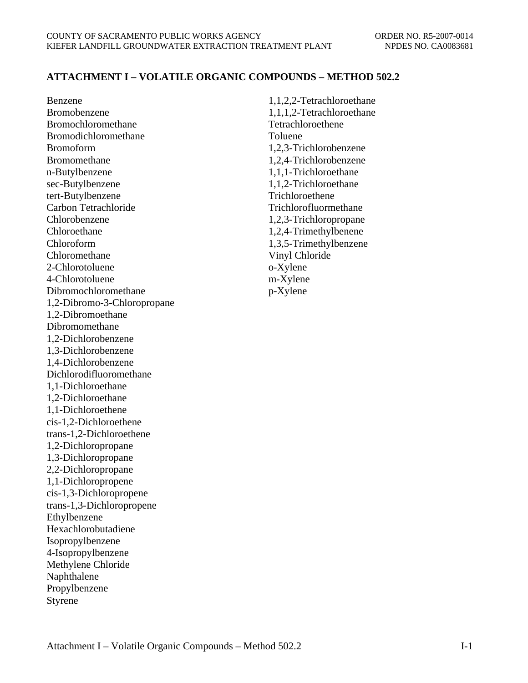# **ATTACHMENT I – VOLATILE ORGANIC COMPOUNDS – METHOD 502.2**

Benzene Bromobenzene Bromochloromethane Bromodichloromethane Bromoform Bromomethane n-Butylbenzene sec-Butylbenzene tert-Butylbenzene Carbon Tetrachloride Chlorobenzene Chloroethane Chloroform Chloromethane 2-Chlorotoluene 4-Chlorotoluene Dibromochloromethane 1,2-Dibromo-3-Chloropropane 1,2-Dibromoethane Dibromomethane 1,2-Dichlorobenzene 1,3-Dichlorobenzene 1,4-Dichlorobenzene Dichlorodifluoromethane 1,1-Dichloroethane 1,2-Dichloroethane 1,1-Dichloroethene cis-1,2-Dichloroethene trans-1,2-Dichloroethene 1,2-Dichloropropane 1,3-Dichloropropane 2,2-Dichloropropane 1,1-Dichloropropene cis-1,3-Dichloropropene trans-1,3-Dichloropropene Ethylbenzene Hexachlorobutadiene Isopropylbenzene 4-Isopropylbenzene Methylene Chloride Naphthalene Propylbenzene Styrene

1,1,2,2-Tetrachloroethane 1,1,1,2-Tetrachloroethane Tetrachloroethene Toluene 1,2,3-Trichlorobenzene 1,2,4-Trichlorobenzene 1,1,1-Trichloroethane 1,1,2-Trichloroethane Trichloroethene Trichlorofluormethane 1,2,3-Trichloropropane 1,2,4-Trimethylbenene 1,3,5-Trimethylbenzene Vinyl Chloride o-Xylene m-Xylene p-Xylene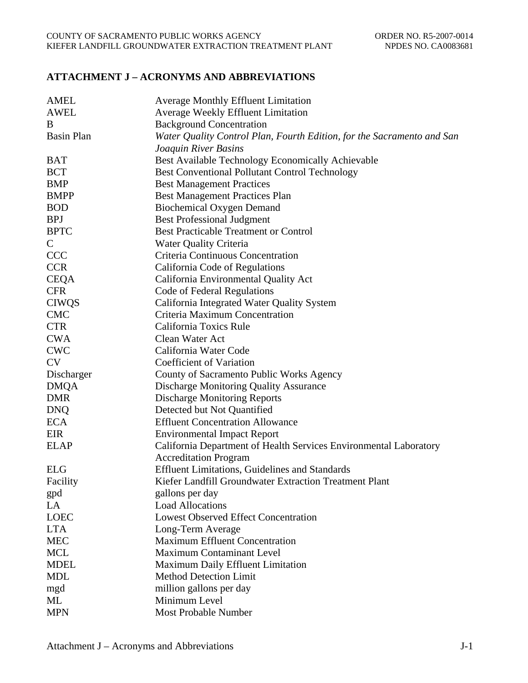# **ATTACHMENT J – ACRONYMS AND ABBREVIATIONS**

| <b>AMEL</b>       | <b>Average Monthly Effluent Limitation</b>                             |
|-------------------|------------------------------------------------------------------------|
| <b>AWEL</b>       | <b>Average Weekly Effluent Limitation</b>                              |
| B                 | <b>Background Concentration</b>                                        |
| <b>Basin Plan</b> | Water Quality Control Plan, Fourth Edition, for the Sacramento and San |
|                   | Joaquin River Basins                                                   |
| <b>BAT</b>        | Best Available Technology Economically Achievable                      |
| <b>BCT</b>        | <b>Best Conventional Pollutant Control Technology</b>                  |
| <b>BMP</b>        | <b>Best Management Practices</b>                                       |
| <b>BMPP</b>       | <b>Best Management Practices Plan</b>                                  |
| <b>BOD</b>        | <b>Biochemical Oxygen Demand</b>                                       |
| <b>BPJ</b>        | <b>Best Professional Judgment</b>                                      |
| <b>BPTC</b>       | <b>Best Practicable Treatment or Control</b>                           |
| $\mathsf{C}$      | <b>Water Quality Criteria</b>                                          |
| <b>CCC</b>        | Criteria Continuous Concentration                                      |
| <b>CCR</b>        | California Code of Regulations                                         |
| <b>CEQA</b>       | California Environmental Quality Act                                   |
| <b>CFR</b>        | Code of Federal Regulations                                            |
| <b>CIWQS</b>      | California Integrated Water Quality System                             |
| <b>CMC</b>        | Criteria Maximum Concentration                                         |
| <b>CTR</b>        | California Toxics Rule                                                 |
| <b>CWA</b>        | Clean Water Act                                                        |
| <b>CWC</b>        | California Water Code                                                  |
| <b>CV</b>         | Coefficient of Variation                                               |
| Discharger        | County of Sacramento Public Works Agency                               |
| <b>DMQA</b>       | <b>Discharge Monitoring Quality Assurance</b>                          |
| <b>DMR</b>        | <b>Discharge Monitoring Reports</b>                                    |
| <b>DNQ</b>        | Detected but Not Quantified                                            |
| <b>ECA</b>        | <b>Effluent Concentration Allowance</b>                                |
| EIR               | <b>Environmental Impact Report</b>                                     |
| <b>ELAP</b>       | California Department of Health Services Environmental Laboratory      |
|                   | <b>Accreditation Program</b>                                           |
| <b>ELG</b>        | <b>Effluent Limitations, Guidelines and Standards</b>                  |
| Facility          | Kiefer Landfill Groundwater Extraction Treatment Plant                 |
| gpd               | gallons per day                                                        |
| LA                | <b>Load Allocations</b>                                                |
| <b>LOEC</b>       | <b>Lowest Observed Effect Concentration</b>                            |
| <b>LTA</b>        | Long-Term Average                                                      |
| <b>MEC</b>        | <b>Maximum Effluent Concentration</b>                                  |
| <b>MCL</b>        | <b>Maximum Contaminant Level</b>                                       |
| <b>MDEL</b>       | Maximum Daily Effluent Limitation                                      |
| <b>MDL</b>        | <b>Method Detection Limit</b>                                          |
| mgd               | million gallons per day                                                |
| ML                | Minimum Level                                                          |
| <b>MPN</b>        | Most Probable Number                                                   |